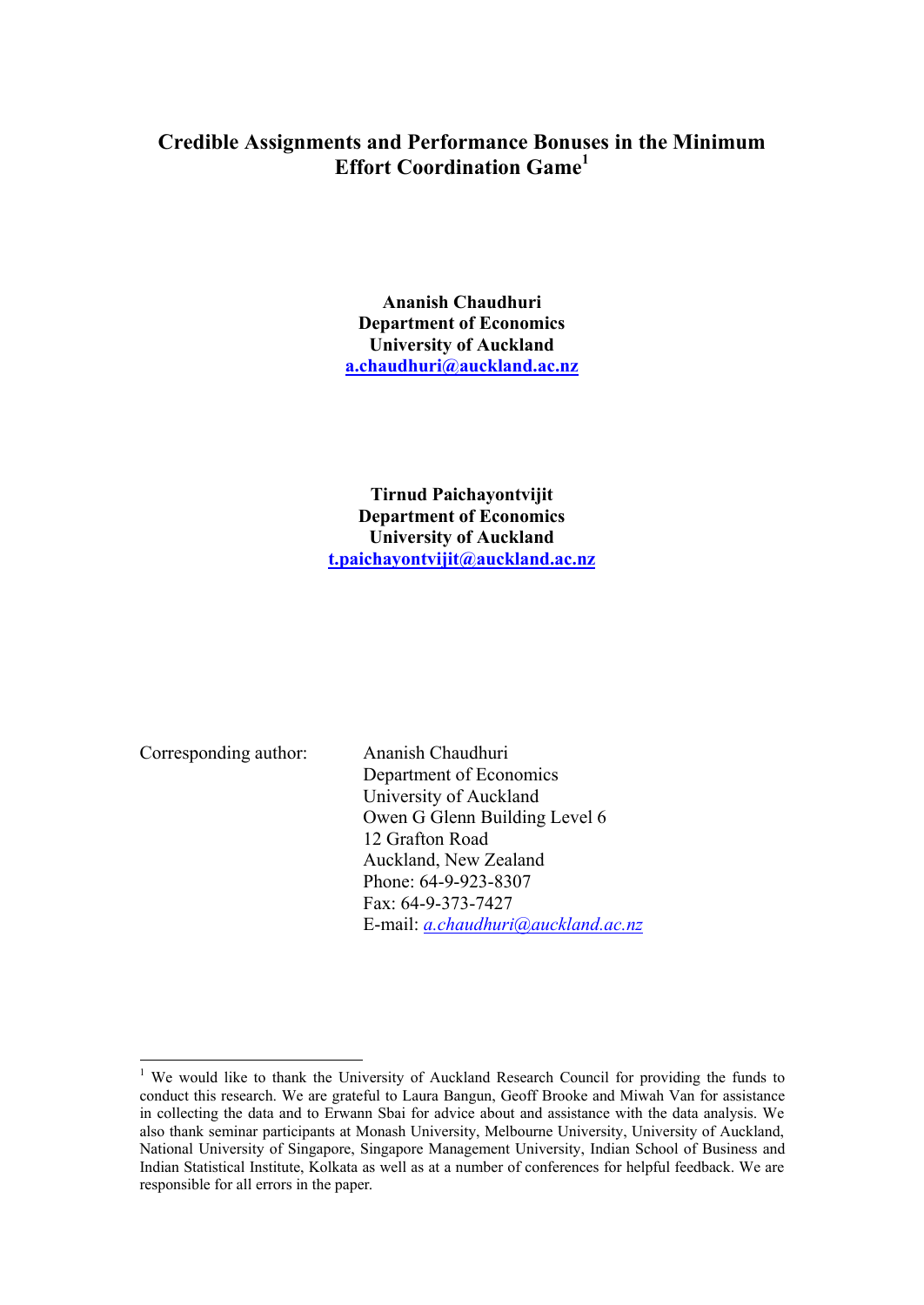## **Credible Assignments and Performance Bonuses in the Minimum Effort Coordination Game<sup>1</sup>**

**Ananish Chaudhuri Department of Economics University of Auckland a.chaudhuri@auckland.ac.nz**

**Tirnud Paichayontvijit Department of Economics University of Auckland t.paichayontvijit@auckland.ac.nz**

Corresponding author: Ananish Chaudhuri

 $\overline{a}$ 

Department of Economics University of Auckland Owen G Glenn Building Level 6 12 Grafton Road Auckland, New Zealand Phone: 64-9-923-8307 Fax: 64-9-373-7427 E-mail: *a.chaudhuri@auckland.ac.nz*

<sup>&</sup>lt;sup>1</sup> We would like to thank the University of Auckland Research Council for providing the funds to conduct this research. We are grateful to Laura Bangun, Geoff Brooke and Miwah Van for assistance in collecting the data and to Erwann Sbai for advice about and assistance with the data analysis. We also thank seminar participants at Monash University, Melbourne University, University of Auckland, National University of Singapore, Singapore Management University, Indian School of Business and Indian Statistical Institute, Kolkata as well as at a number of conferences for helpful feedback. We are responsible for all errors in the paper.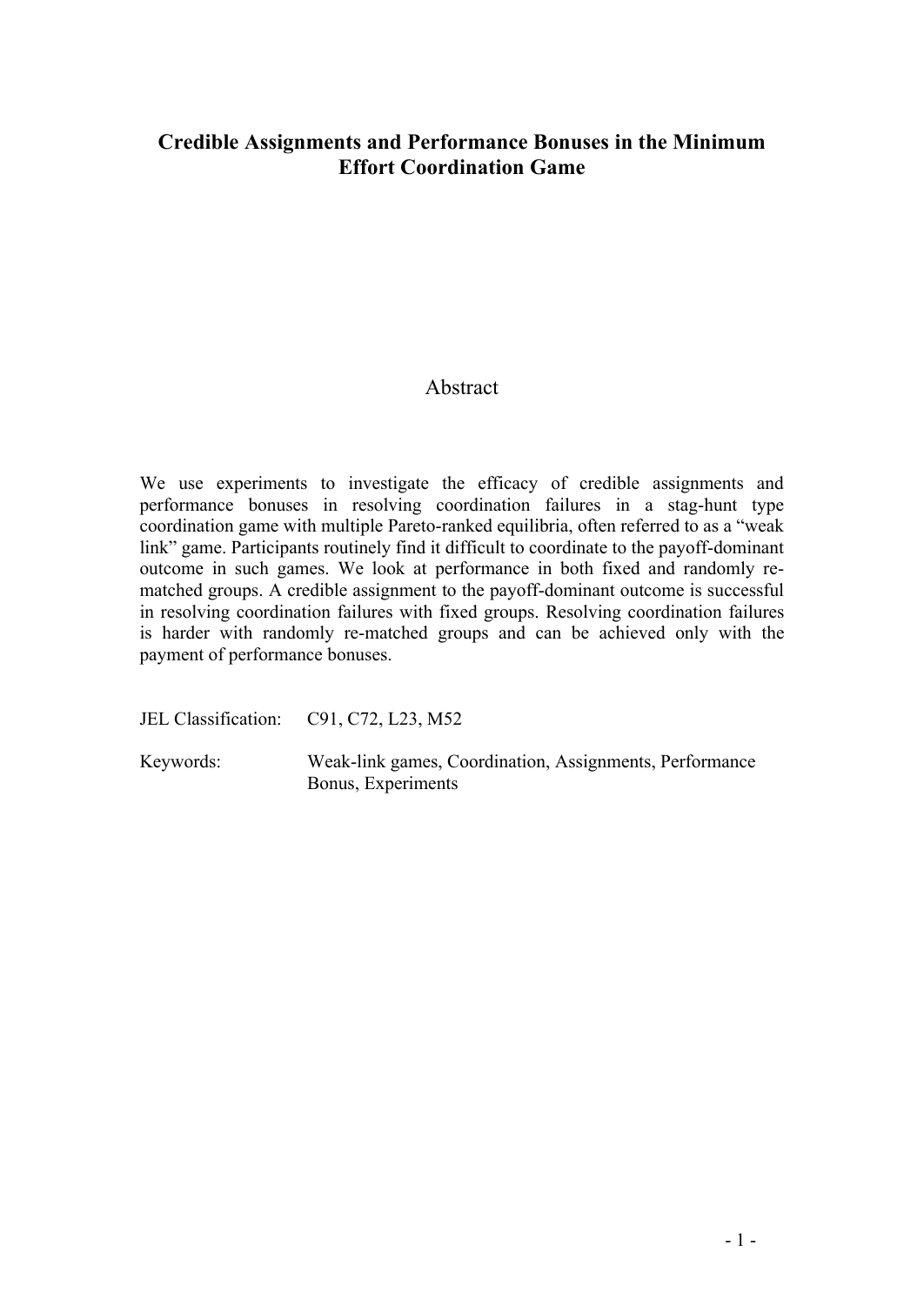## **Credible Assignments and Performance Bonuses in the Minimum Effort Coordination Game**

## Abstract

We use experiments to investigate the efficacy of credible assignments and performance bonuses in resolving coordination failures in a stag-hunt type coordination game with multiple Pareto-ranked equilibria, often referred to as a "weak link" game. Participants routinely find it difficult to coordinate to the payoff-dominant outcome in such games. We look at performance in both fixed and randomly rematched groups. A credible assignment to the payoff-dominant outcome is successful in resolving coordination failures with fixed groups. Resolving coordination failures is harder with randomly re-matched groups and can be achieved only with the payment of performance bonuses.

JEL Classification: C91, C72, L23, M52

Keywords: Weak-link games, Coordination, Assignments, Performance Bonus, Experiments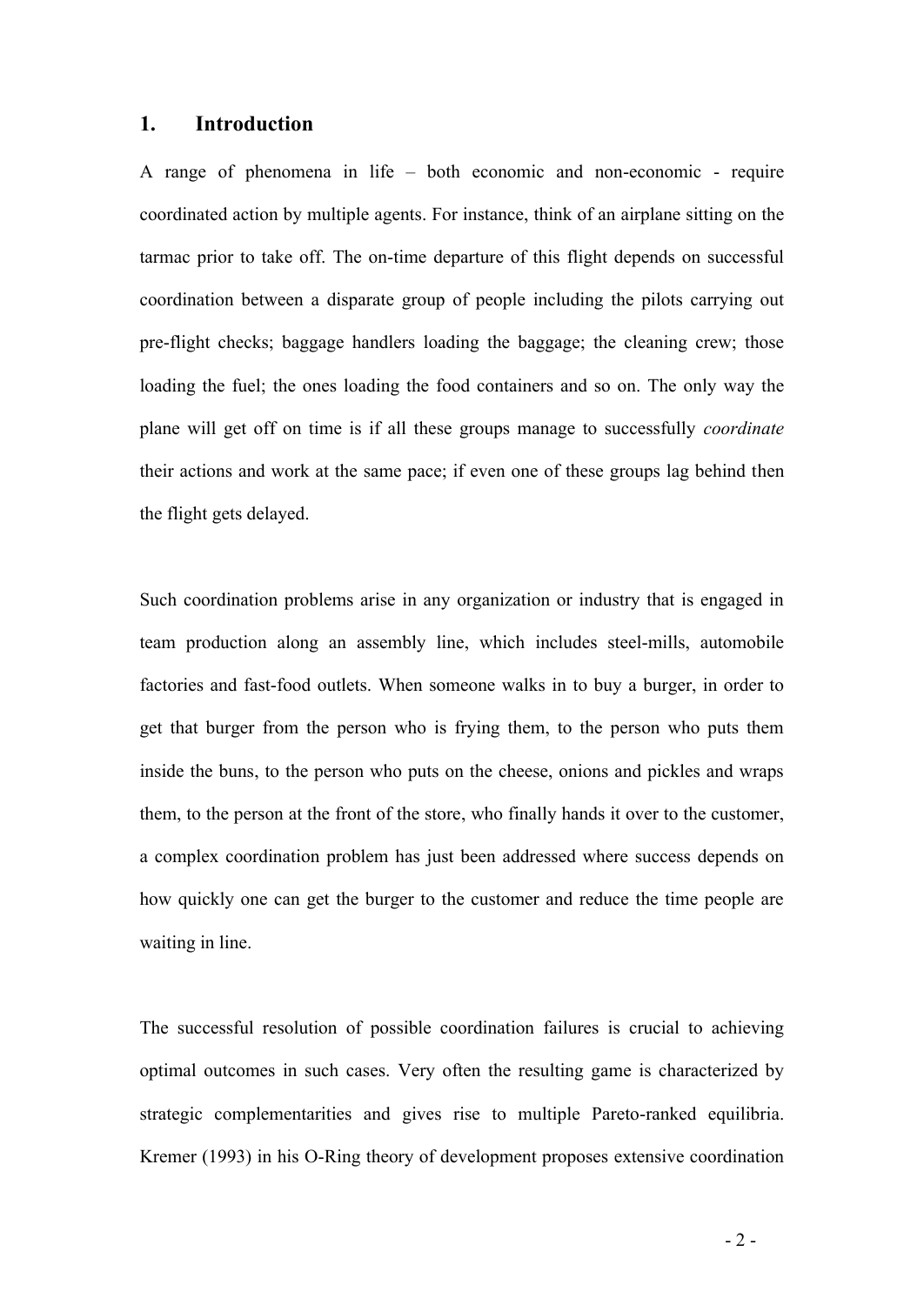#### **1. Introduction**

A range of phenomena in life – both economic and non-economic - require coordinated action by multiple agents. For instance, think of an airplane sitting on the tarmac prior to take off. The on-time departure of this flight depends on successful coordination between a disparate group of people including the pilots carrying out pre-flight checks; baggage handlers loading the baggage; the cleaning crew; those loading the fuel; the ones loading the food containers and so on. The only way the plane will get off on time is if all these groups manage to successfully *coordinate* their actions and work at the same pace; if even one of these groups lag behind then the flight gets delayed.

Such coordination problems arise in any organization or industry that is engaged in team production along an assembly line, which includes steel-mills, automobile factories and fast-food outlets. When someone walks in to buy a burger, in order to get that burger from the person who is frying them, to the person who puts them inside the buns, to the person who puts on the cheese, onions and pickles and wraps them, to the person at the front of the store, who finally hands it over to the customer, a complex coordination problem has just been addressed where success depends on how quickly one can get the burger to the customer and reduce the time people are waiting in line.

The successful resolution of possible coordination failures is crucial to achieving optimal outcomes in such cases. Very often the resulting game is characterized by strategic complementarities and gives rise to multiple Pareto-ranked equilibria. Kremer (1993) in his O-Ring theory of development proposes extensive coordination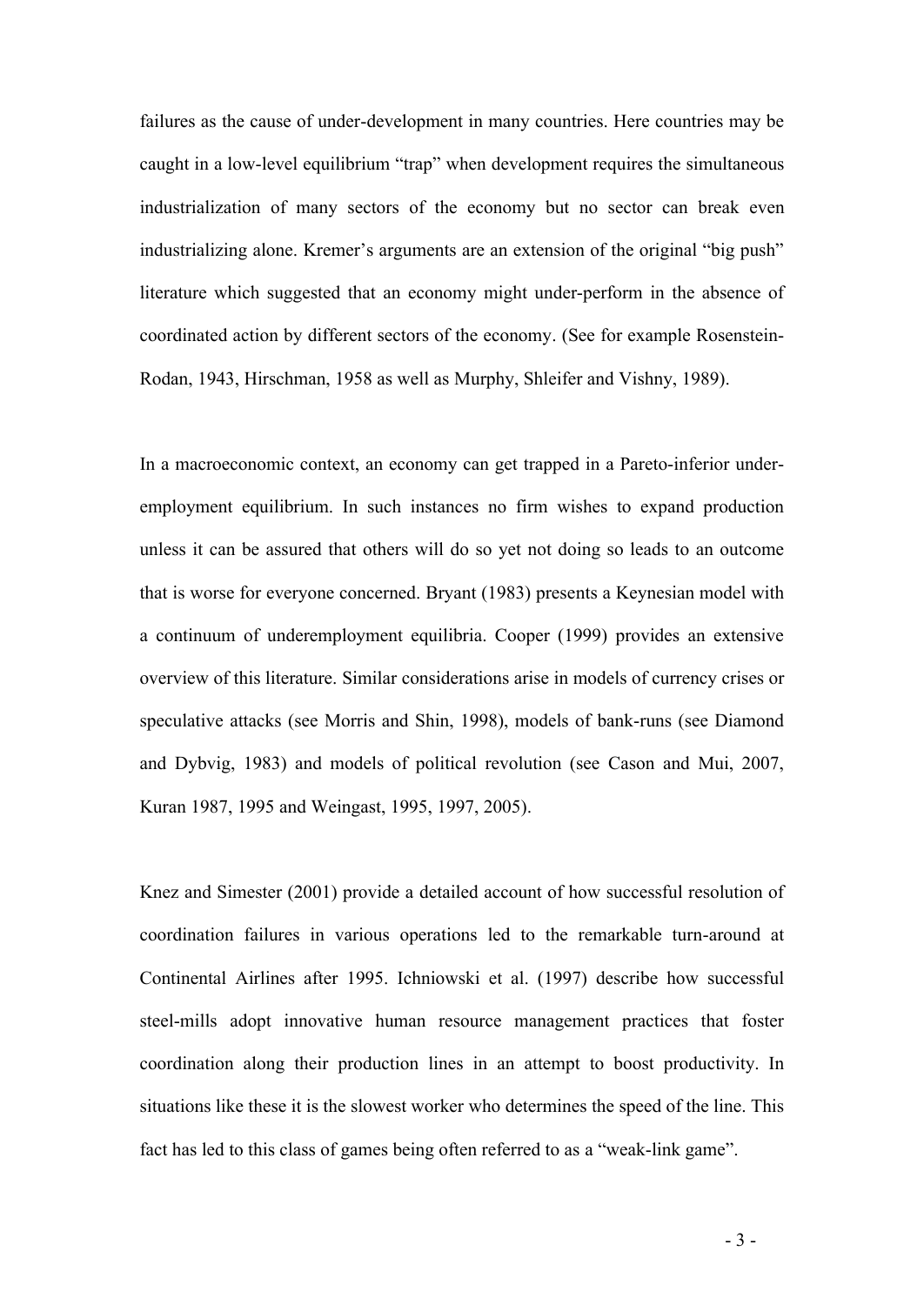failures as the cause of under-development in many countries. Here countries may be caught in a low-level equilibrium "trap" when development requires the simultaneous industrialization of many sectors of the economy but no sector can break even industrializing alone. Kremer's arguments are an extension of the original "big push" literature which suggested that an economy might under-perform in the absence of coordinated action by different sectors of the economy. (See for example Rosenstein-Rodan, 1943, Hirschman, 1958 as well as Murphy, Shleifer and Vishny, 1989).

In a macroeconomic context, an economy can get trapped in a Pareto-inferior underemployment equilibrium. In such instances no firm wishes to expand production unless it can be assured that others will do so yet not doing so leads to an outcome that is worse for everyone concerned. Bryant (1983) presents a Keynesian model with a continuum of underemployment equilibria. Cooper (1999) provides an extensive overview of this literature. Similar considerations arise in models of currency crises or speculative attacks (see Morris and Shin, 1998), models of bank-runs (see Diamond and Dybvig, 1983) and models of political revolution (see Cason and Mui, 2007, Kuran 1987, 1995 and Weingast, 1995, 1997, 2005).

Knez and Simester (2001) provide a detailed account of how successful resolution of coordination failures in various operations led to the remarkable turn-around at Continental Airlines after 1995. Ichniowski et al. (1997) describe how successful steel-mills adopt innovative human resource management practices that foster coordination along their production lines in an attempt to boost productivity. In situations like these it is the slowest worker who determines the speed of the line. This fact has led to this class of games being often referred to as a "weak-link game".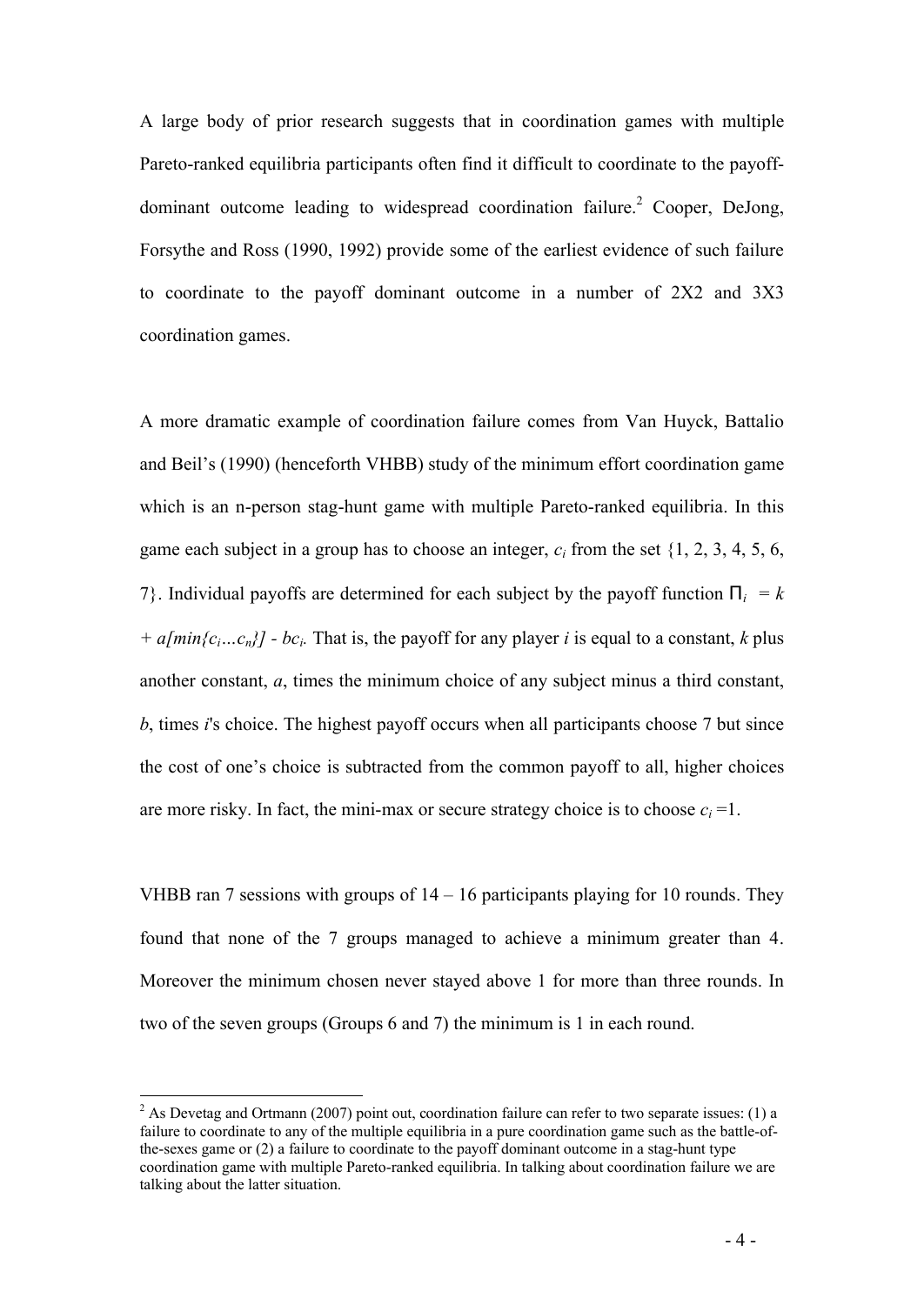A large body of prior research suggests that in coordination games with multiple Pareto-ranked equilibria participants often find it difficult to coordinate to the payoffdominant outcome leading to widespread coordination failure.<sup>2</sup> Cooper, DeJong, Forsythe and Ross (1990, 1992) provide some of the earliest evidence of such failure to coordinate to the payoff dominant outcome in a number of 2X2 and 3X3 coordination games.

A more dramatic example of coordination failure comes from Van Huyck, Battalio and Beil's (1990) (henceforth VHBB) study of the minimum effort coordination game which is an n-person stag-hunt game with multiple Pareto-ranked equilibria. In this game each subject in a group has to choose an integer,  $c_i$  from the set  $\{1, 2, 3, 4, 5, 6, \}$ 7}. Individual payoffs are determined for each subject by the payoff function  $P_i = k$ *+ a[min{c<sub>i</sub>…c<sub>n</sub>}] - bc<sub>i</sub>*. That is, the payoff for any player *i* is equal to a constant, *k* plus another constant, *a*, times the minimum choice of any subject minus a third constant, *b*, times *i*'s choice. The highest payoff occurs when all participants choose 7 but since the cost of one's choice is subtracted from the common payoff to all, higher choices are more risky. In fact, the mini-max or secure strategy choice is to choose  $c_i = 1$ .

VHBB ran 7 sessions with groups of 14 – 16 participants playing for 10 rounds. They found that none of the 7 groups managed to achieve a minimum greater than 4. Moreover the minimum chosen never stayed above 1 for more than three rounds. In two of the seven groups (Groups 6 and 7) the minimum is 1 in each round.

 $\overline{a}$ 

<sup>&</sup>lt;sup>2</sup> As Devetag and Ortmann (2007) point out, coordination failure can refer to two separate issues: (1) a failure to coordinate to any of the multiple equilibria in a pure coordination game such as the battle-ofthe-sexes game or (2) a failure to coordinate to the payoff dominant outcome in a stag-hunt type coordination game with multiple Pareto-ranked equilibria. In talking about coordination failure we are talking about the latter situation.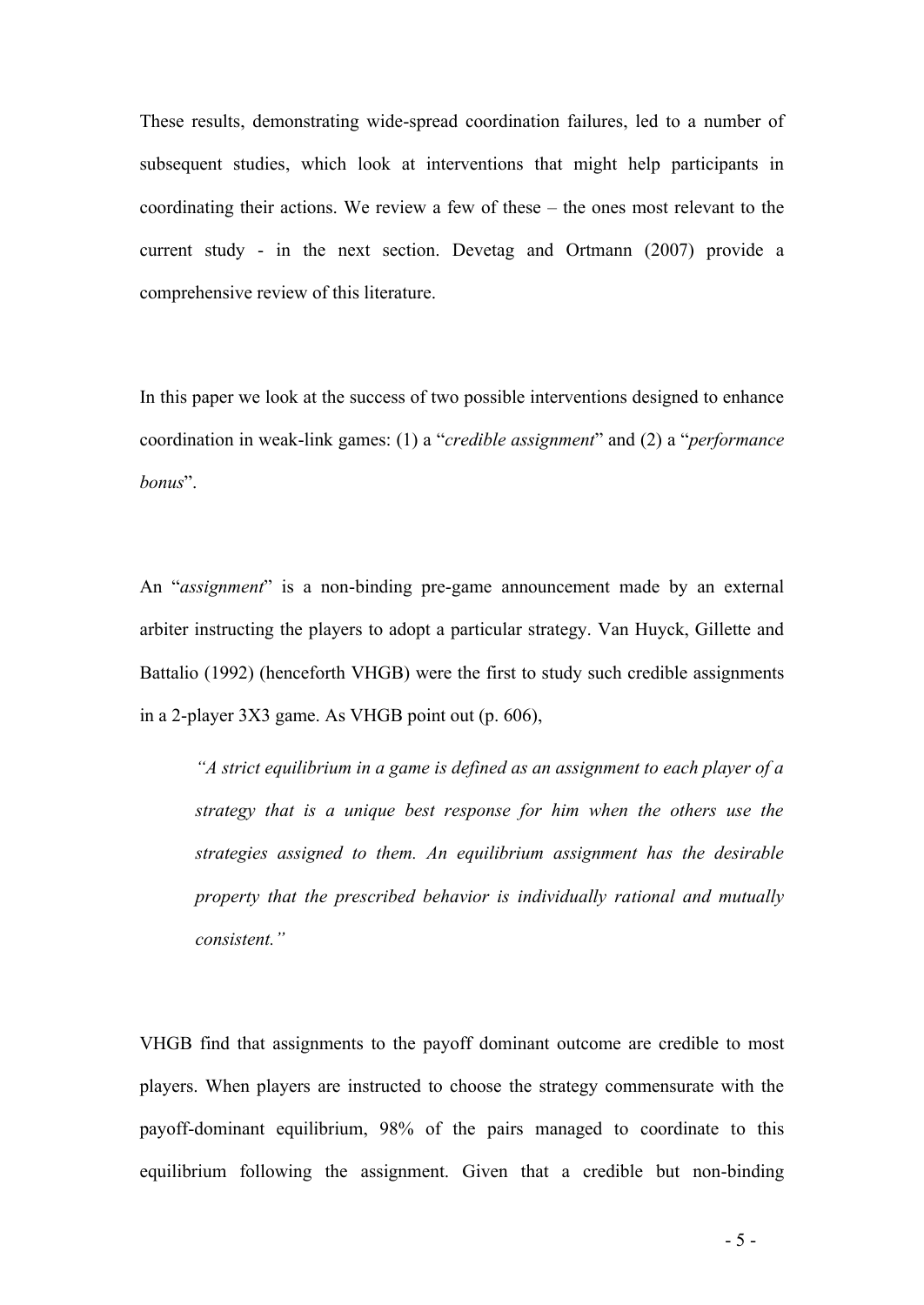These results, demonstrating wide-spread coordination failures, led to a number of subsequent studies, which look at interventions that might help participants in coordinating their actions. We review a few of these – the ones most relevant to the current study - in the next section. Devetag and Ortmann (2007) provide a comprehensive review of this literature.

In this paper we look at the success of two possible interventions designed to enhance coordination in weak-link games: (1) a "*credible assignment*" and (2) a "*performance bonus*".

An "*assignment*" is a non-binding pre-game announcement made by an external arbiter instructing the players to adopt a particular strategy. Van Huyck, Gillette and Battalio (1992) (henceforth VHGB) were the first to study such credible assignments in a 2-player 3X3 game. As VHGB point out (p. 606),

*"A strict equilibrium in a game is defined as an assignment to each player of a strategy that is a unique best response for him when the others use the strategies assigned to them. An equilibrium assignment has the desirable property that the prescribed behavior is individually rational and mutually consistent."*

VHGB find that assignments to the payoff dominant outcome are credible to most players. When players are instructed to choose the strategy commensurate with the payoff-dominant equilibrium, 98% of the pairs managed to coordinate to this equilibrium following the assignment. Given that a credible but non-binding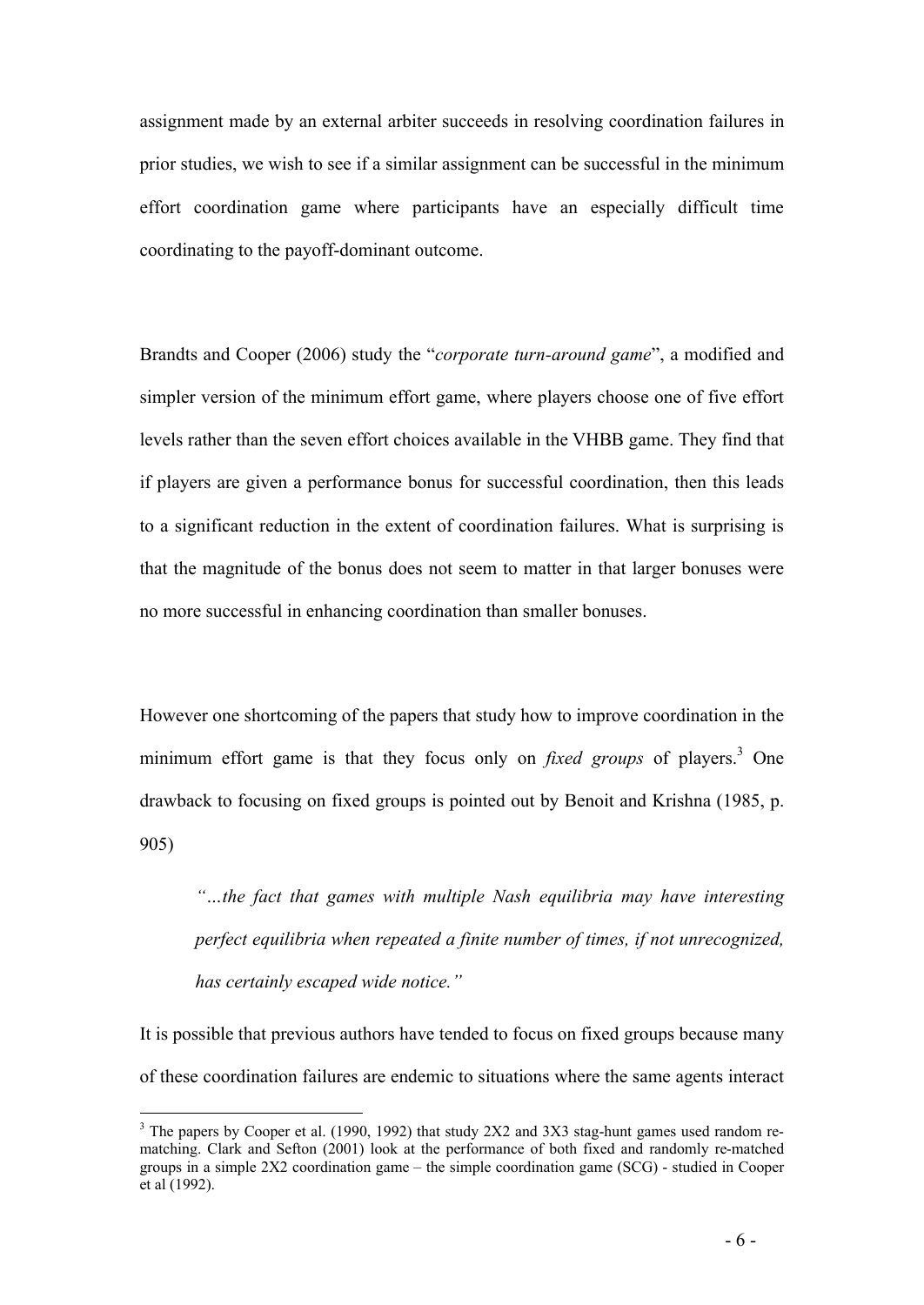assignment made by an external arbiter succeeds in resolving coordination failures in prior studies, we wish to see if a similar assignment can be successful in the minimum effort coordination game where participants have an especially difficult time coordinating to the payoff-dominant outcome.

Brandts and Cooper (2006) study the "*corporate turn-around game*", a modified and simpler version of the minimum effort game, where players choose one of five effort levels rather than the seven effort choices available in the VHBB game. They find that if players are given a performance bonus for successful coordination, then this leads to a significant reduction in the extent of coordination failures. What is surprising is that the magnitude of the bonus does not seem to matter in that larger bonuses were no more successful in enhancing coordination than smaller bonuses.

However one shortcoming of the papers that study how to improve coordination in the minimum effort game is that they focus only on *fixed groups* of players. <sup>3</sup> One drawback to focusing on fixed groups is pointed out by Benoit and Krishna (1985, p. 905)

*"…the fact that games with multiple Nash equilibria may have interesting perfect equilibria when repeated a finite number of times, if not unrecognized, has certainly escaped wide notice."*

It is possible that previous authors have tended to focus on fixed groups because many of these coordination failures are endemic to situations where the same agents interact

 $\overline{a}$ 

 $3$  The papers by Cooper et al. (1990, 1992) that study 2X2 and 3X3 stag-hunt games used random rematching. Clark and Sefton (2001) look at the performance of both fixed and randomly re-matched groups in a simple 2X2 coordination game – the simple coordination game (SCG) - studied in Cooper et al (1992).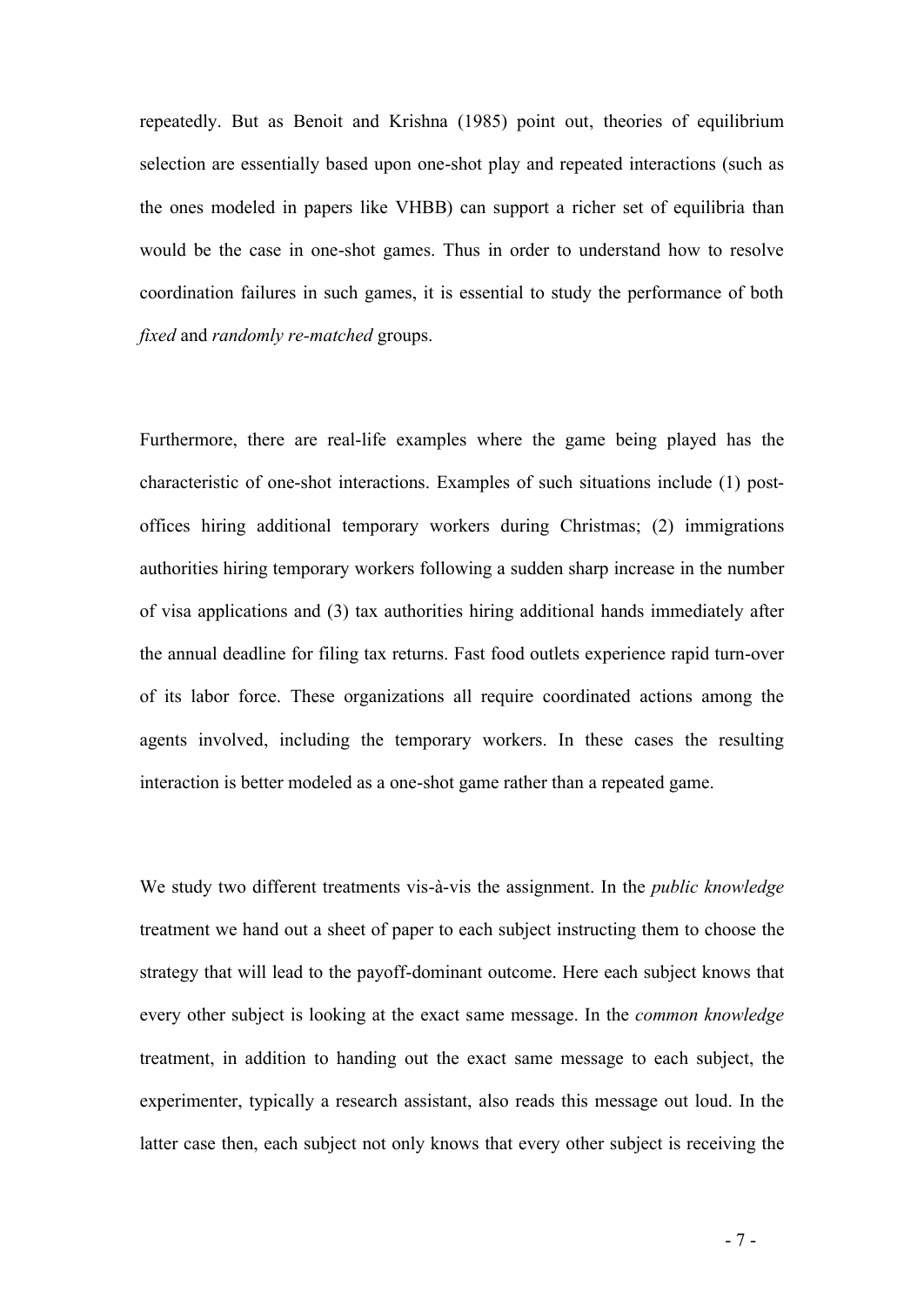repeatedly. But as Benoit and Krishna (1985) point out, theories of equilibrium selection are essentially based upon one-shot play and repeated interactions (such as the ones modeled in papers like VHBB) can support a richer set of equilibria than would be the case in one-shot games. Thus in order to understand how to resolve coordination failures in such games, it is essential to study the performance of both *fixed* and *randomly re-matched* groups.

Furthermore, there are real-life examples where the game being played has the characteristic of one-shot interactions. Examples of such situations include (1) postoffices hiring additional temporary workers during Christmas; (2) immigrations authorities hiring temporary workers following a sudden sharp increase in the number of visa applications and (3) tax authorities hiring additional hands immediately after the annual deadline for filing tax returns. Fast food outlets experience rapid turn-over of its labor force. These organizations all require coordinated actions among the agents involved, including the temporary workers. In these cases the resulting interaction is better modeled as a one-shot game rather than a repeated game.

We study two different treatments vis-à-vis the assignment. In the *public knowledge* treatment we hand out a sheet of paper to each subject instructing them to choose the strategy that will lead to the payoff-dominant outcome. Here each subject knows that every other subject is looking at the exact same message. In the *common knowledge* treatment, in addition to handing out the exact same message to each subject, the experimenter, typically a research assistant, also reads this message out loud. In the latter case then, each subject not only knows that every other subject is receiving the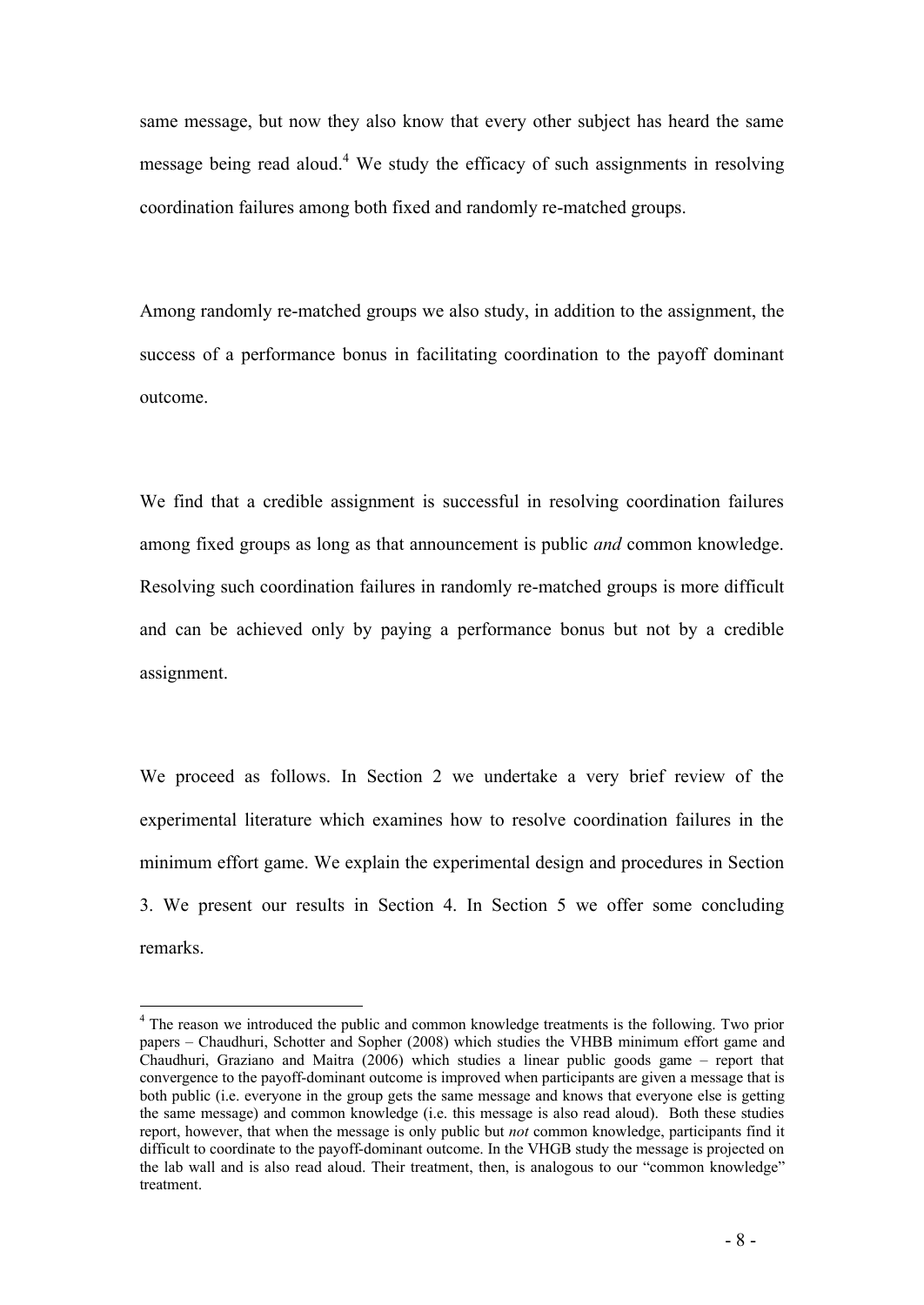same message, but now they also know that every other subject has heard the same message being read aloud.<sup>4</sup> We study the efficacy of such assignments in resolving coordination failures among both fixed and randomly re-matched groups.

Among randomly re-matched groups we also study, in addition to the assignment, the success of a performance bonus in facilitating coordination to the payoff dominant outcome.

We find that a credible assignment is successful in resolving coordination failures among fixed groups as long as that announcement is public *and* common knowledge. Resolving such coordination failures in randomly re-matched groups is more difficult and can be achieved only by paying a performance bonus but not by a credible assignment.

We proceed as follows. In Section 2 we undertake a very brief review of the experimental literature which examines how to resolve coordination failures in the minimum effort game. We explain the experimental design and procedures in Section 3. We present our results in Section 4. In Section 5 we offer some concluding remarks.

 $\overline{a}$ 

<sup>&</sup>lt;sup>4</sup> The reason we introduced the public and common knowledge treatments is the following. Two prior papers – Chaudhuri, Schotter and Sopher (2008) which studies the VHBB minimum effort game and Chaudhuri, Graziano and Maitra (2006) which studies a linear public goods game – report that convergence to the payoff-dominant outcome is improved when participants are given a message that is both public (i.e. everyone in the group gets the same message and knows that everyone else is getting the same message) and common knowledge (i.e. this message is also read aloud). Both these studies report, however, that when the message is only public but *not* common knowledge, participants find it difficult to coordinate to the payoff-dominant outcome. In the VHGB study the message is projected on the lab wall and is also read aloud. Their treatment, then, is analogous to our "common knowledge" treatment.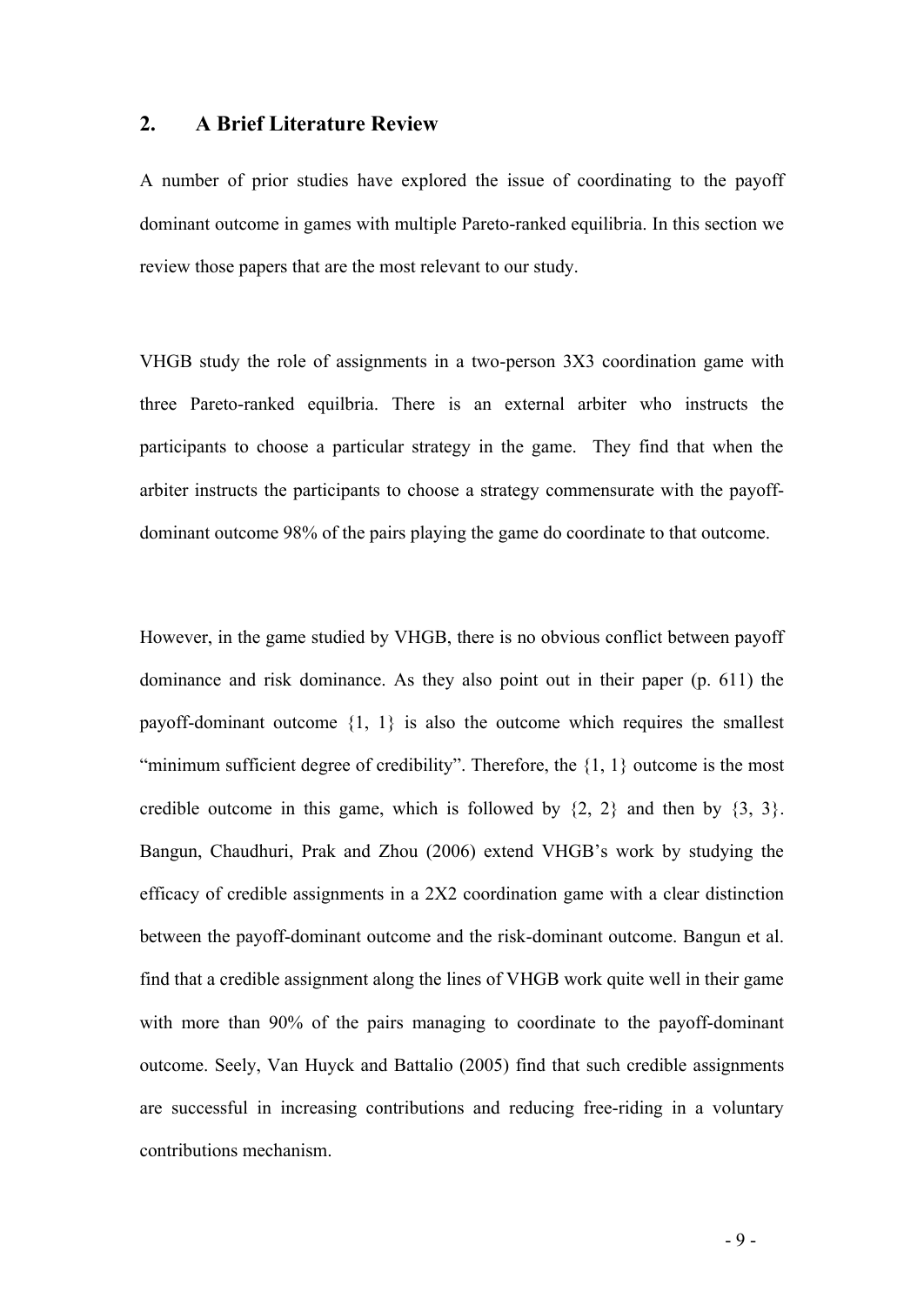#### **2. A Brief Literature Review**

A number of prior studies have explored the issue of coordinating to the payoff dominant outcome in games with multiple Pareto-ranked equilibria. In this section we review those papers that are the most relevant to our study.

VHGB study the role of assignments in a two-person 3X3 coordination game with three Pareto-ranked equilbria. There is an external arbiter who instructs the participants to choose a particular strategy in the game. They find that when the arbiter instructs the participants to choose a strategy commensurate with the payoffdominant outcome 98% of the pairs playing the game do coordinate to that outcome.

However, in the game studied by VHGB, there is no obvious conflict between payoff dominance and risk dominance. As they also point out in their paper (p. 611) the payoff-dominant outcome  $\{1, 1\}$  is also the outcome which requires the smallest "minimum sufficient degree of credibility". Therefore, the  $\{1, 1\}$  outcome is the most credible outcome in this game, which is followed by  $\{2, 2\}$  and then by  $\{3, 3\}$ . Bangun, Chaudhuri, Prak and Zhou (2006) extend VHGB's work by studying the efficacy of credible assignments in a 2X2 coordination game with a clear distinction between the payoff-dominant outcome and the risk-dominant outcome. Bangun et al. find that a credible assignment along the lines of VHGB work quite well in their game with more than 90% of the pairs managing to coordinate to the payoff-dominant outcome. Seely, Van Huyck and Battalio (2005) find that such credible assignments are successful in increasing contributions and reducing free-riding in a voluntary contributions mechanism.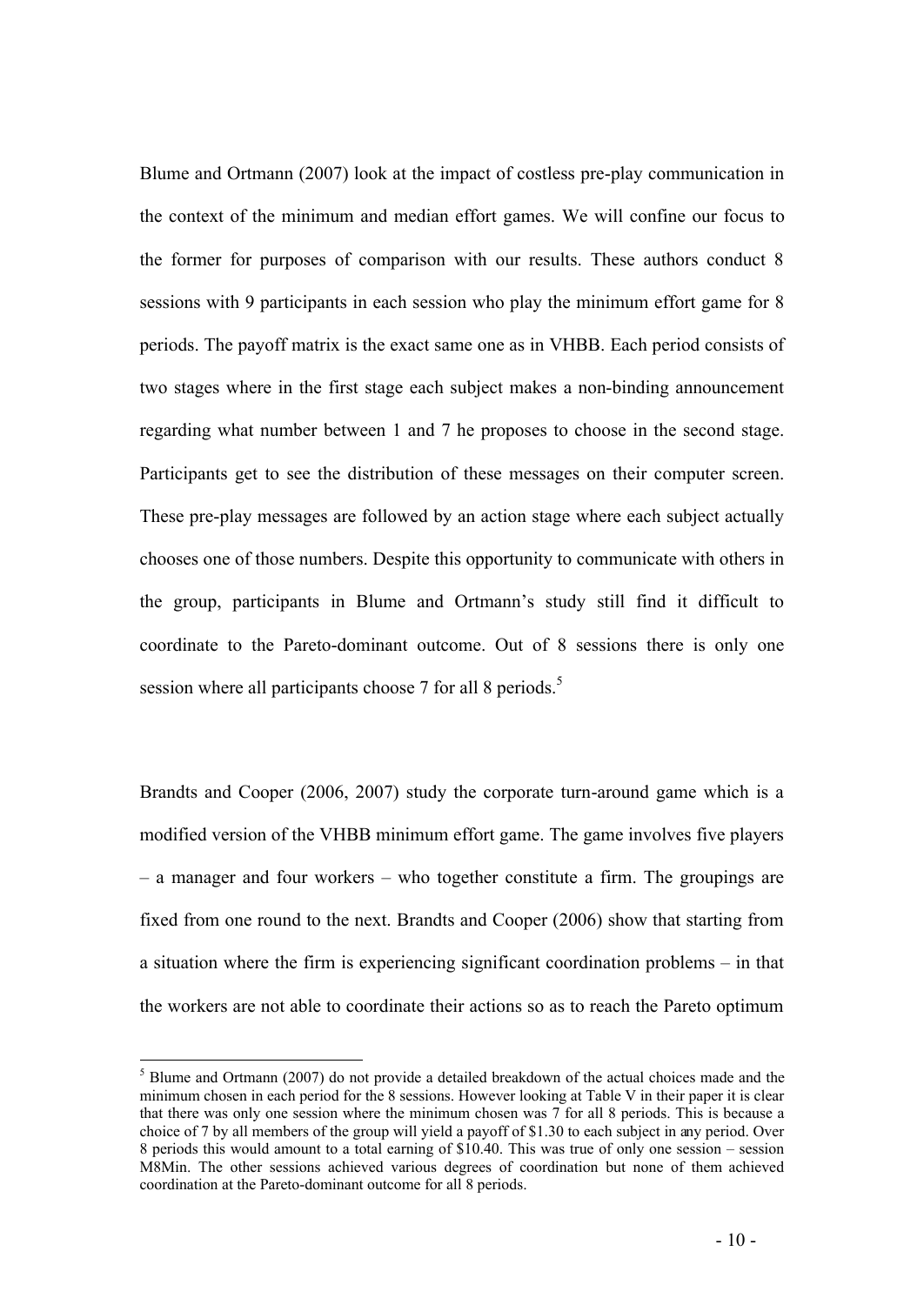Blume and Ortmann (2007) look at the impact of costless pre-play communication in the context of the minimum and median effort games. We will confine our focus to the former for purposes of comparison with our results. These authors conduct 8 sessions with 9 participants in each session who play the minimum effort game for 8 periods. The payoff matrix is the exact same one as in VHBB. Each period consists of two stages where in the first stage each subject makes a non-binding announcement regarding what number between 1 and 7 he proposes to choose in the second stage. Participants get to see the distribution of these messages on their computer screen. These pre-play messages are followed by an action stage where each subject actually chooses one of those numbers. Despite this opportunity to communicate with others in the group, participants in Blume and Ortmann's study still find it difficult to coordinate to the Pareto-dominant outcome. Out of 8 sessions there is only one session where all participants choose 7 for all 8 periods.<sup>5</sup>

Brandts and Cooper (2006, 2007) study the corporate turn-around game which is a modified version of the VHBB minimum effort game. The game involves five players – a manager and four workers – who together constitute a firm. The groupings are fixed from one round to the next. Brandts and Cooper (2006) show that starting from a situation where the firm is experiencing significant coordination problems – in that the workers are not able to coordinate their actions so as to reach the Pareto optimum

 $\overline{a}$ 

 $<sup>5</sup>$  Blume and Ortmann (2007) do not provide a detailed breakdown of the actual choices made and the</sup> minimum chosen in each period for the 8 sessions. However looking at Table V in their paper it is clear that there was only one session where the minimum chosen was 7 for all 8 periods. This is because a choice of 7 by all members of the group will yield a payoff of \$1.30 to each subject in any period. Over 8 periods this would amount to a total earning of \$10.40. This was true of only one session – session M8Min. The other sessions achieved various degrees of coordination but none of them achieved coordination at the Pareto-dominant outcome for all 8 periods.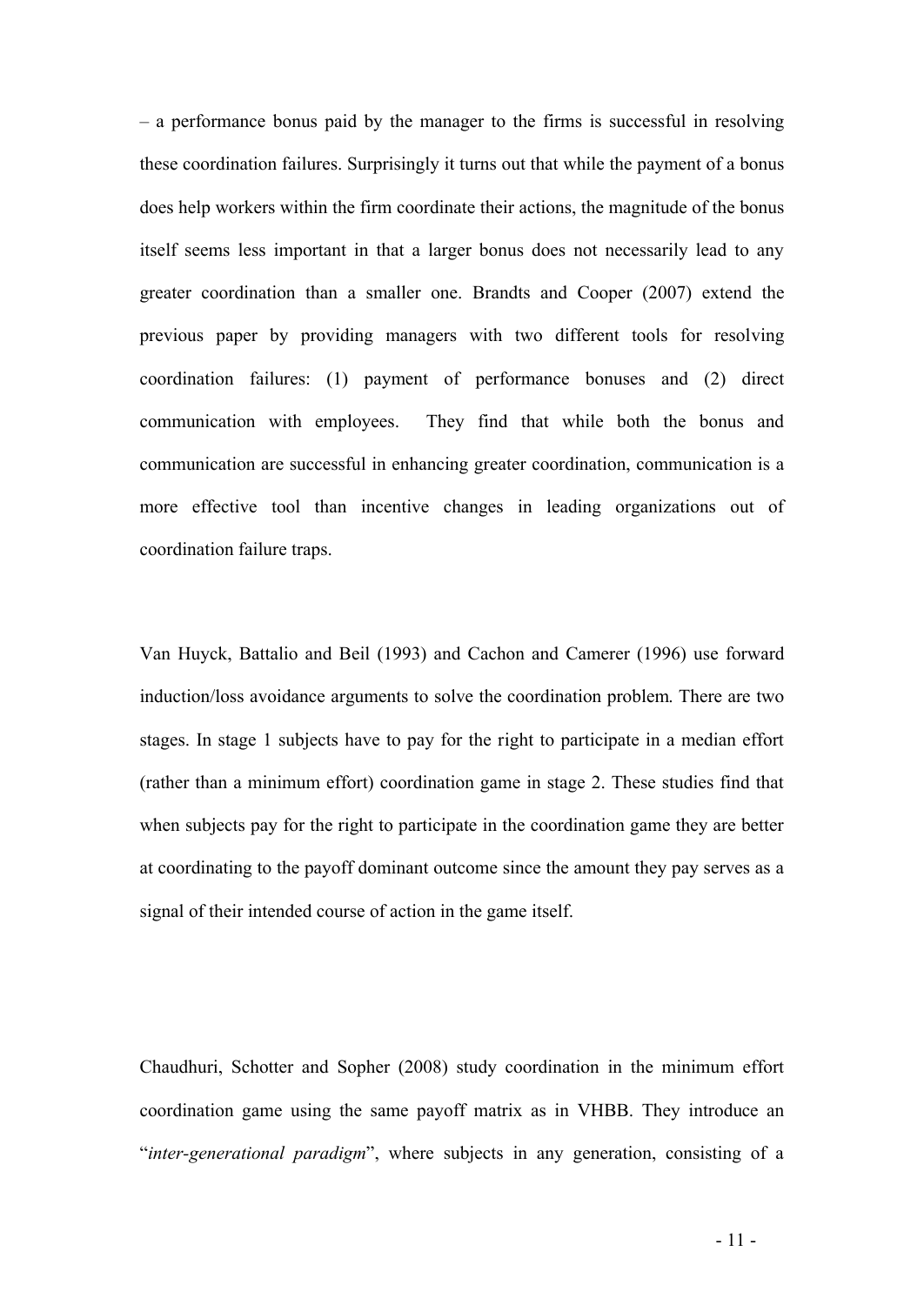– a performance bonus paid by the manager to the firms is successful in resolving these coordination failures. Surprisingly it turns out that while the payment of a bonus does help workers within the firm coordinate their actions, the magnitude of the bonus itself seems less important in that a larger bonus does not necessarily lead to any greater coordination than a smaller one. Brandts and Cooper (2007) extend the previous paper by providing managers with two different tools for resolving coordination failures: (1) payment of performance bonuses and (2) direct communication with employees. They find that while both the bonus and communication are successful in enhancing greater coordination, communication is a more effective tool than incentive changes in leading organizations out of coordination failure traps.

Van Huyck, Battalio and Beil (1993) and Cachon and Camerer (1996) use forward induction/loss avoidance arguments to solve the coordination problem. There are two stages. In stage 1 subjects have to pay for the right to participate in a median effort (rather than a minimum effort) coordination game in stage 2. These studies find that when subjects pay for the right to participate in the coordination game they are better at coordinating to the payoff dominant outcome since the amount they pay serves as a signal of their intended course of action in the game itself.

Chaudhuri, Schotter and Sopher (2008) study coordination in the minimum effort coordination game using the same payoff matrix as in VHBB. They introduce an "*inter-generational paradigm*", where subjects in any generation, consisting of a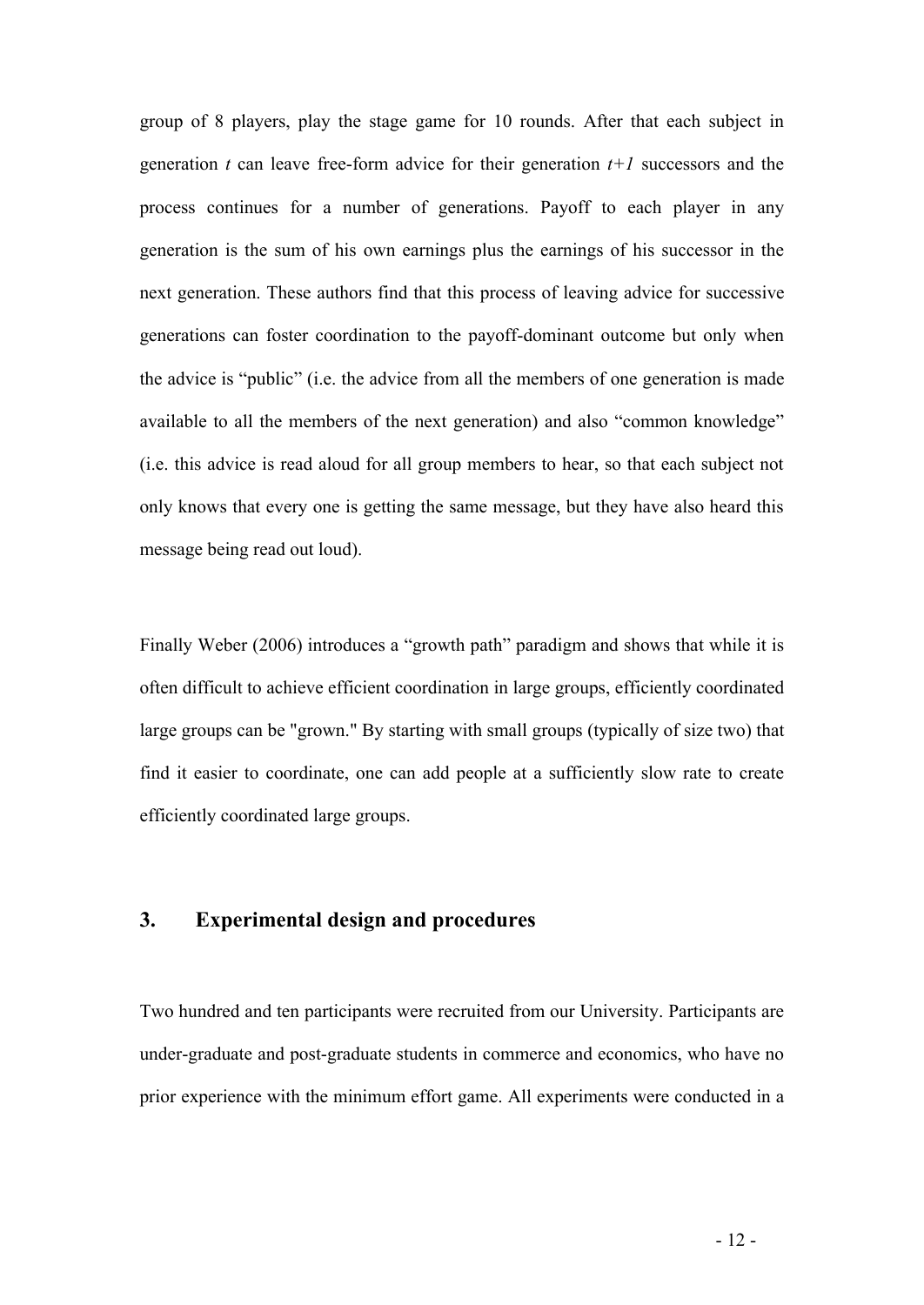group of 8 players, play the stage game for 10 rounds. After that each subject in generation  $t$  can leave free-form advice for their generation  $t+1$  successors and the process continues for a number of generations. Payoff to each player in any generation is the sum of his own earnings plus the earnings of his successor in the next generation. These authors find that this process of leaving advice for successive generations can foster coordination to the payoff-dominant outcome but only when the advice is "public" (i.e. the advice from all the members of one generation is made available to all the members of the next generation) and also "common knowledge" (i.e. this advice is read aloud for all group members to hear, so that each subject not only knows that every one is getting the same message, but they have also heard this message being read out loud).

Finally Weber (2006) introduces a "growth path" paradigm and shows that while it is often difficult to achieve efficient coordination in large groups, efficiently coordinated large groups can be "grown." By starting with small groups (typically of size two) that find it easier to coordinate, one can add people at a sufficiently slow rate to create efficiently coordinated large groups.

## **3. Experimental design and procedures**

Two hundred and ten participants were recruited from our University. Participants are under-graduate and post-graduate students in commerce and economics, who have no prior experience with the minimum effort game. All experiments were conducted in a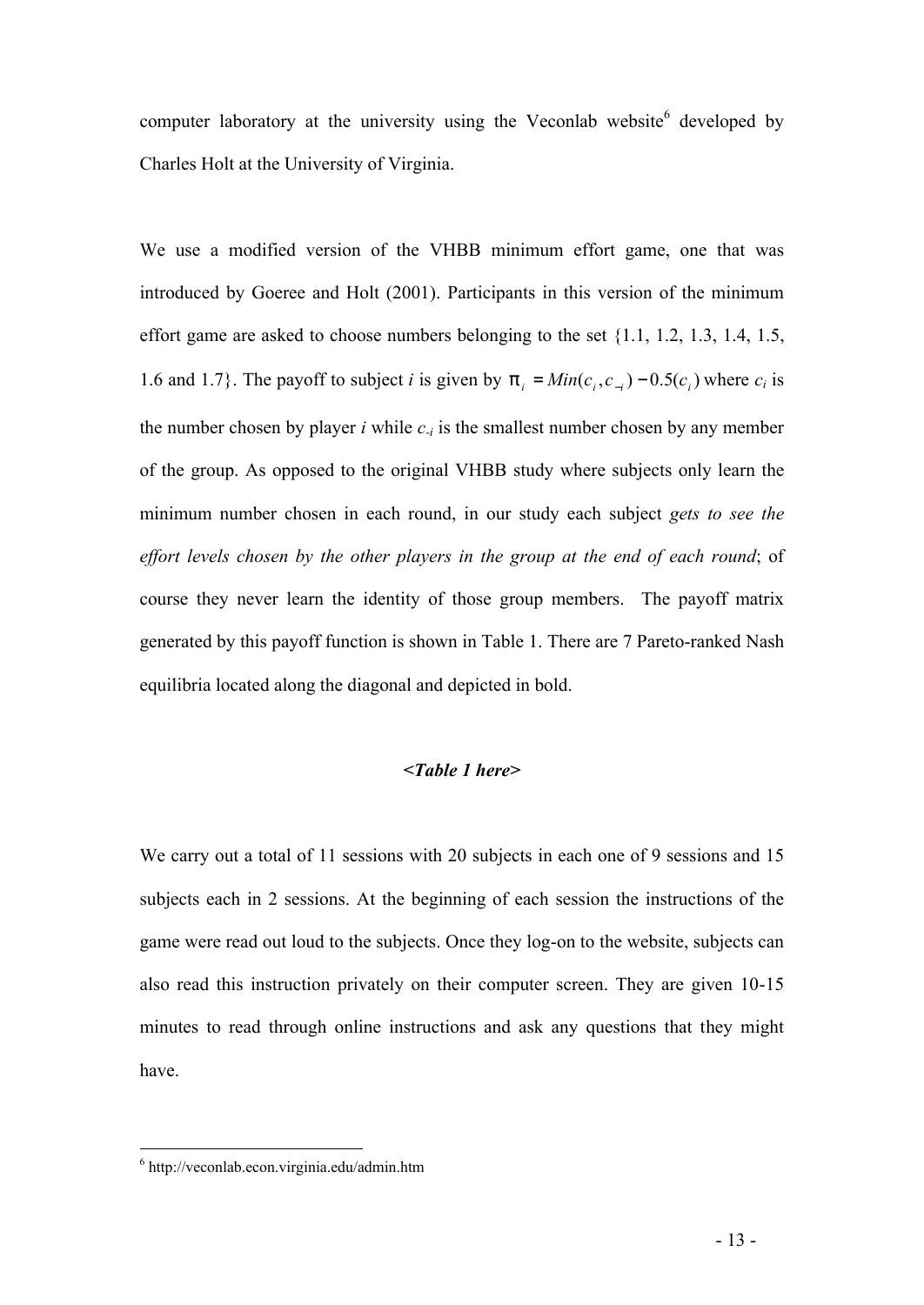computer laboratory at the university using the Veconlab website<sup>6</sup> developed by Charles Holt at the University of Virginia.

We use a modified version of the VHBB minimum effort game, one that was introduced by Goeree and Holt (2001). Participants in this version of the minimum effort game are asked to choose numbers belonging to the set {1.1, 1.2, 1.3, 1.4, 1.5, 1.6 and 1.7}. The payoff to subject *i* is given by  $p_i = Min(c_i, c_{-i}) - 0.5(c_i)$  where  $c_i$  is the number chosen by player *i* while  $c_{-i}$  is the smallest number chosen by any member of the group. As opposed to the original VHBB study where subjects only learn the minimum number chosen in each round, in our study each subject *gets to see the effort levels chosen by the other players in the group at the end of each round*; of course they never learn the identity of those group members. The payoff matrix generated by this payoff function is shown in Table 1. There are 7 Pareto-ranked Nash equilibria located along the diagonal and depicted in bold.

#### *<Table 1 here>*

We carry out a total of 11 sessions with 20 subjects in each one of 9 sessions and 15 subjects each in 2 sessions. At the beginning of each session the instructions of the game were read out loud to the subjects. Once they log-on to the website, subjects can also read this instruction privately on their computer screen. They are given 10-15 minutes to read through online instructions and ask any questions that they might have.

 $\overline{a}$ 

<sup>6</sup> http://veconlab.econ.virginia.edu/admin.htm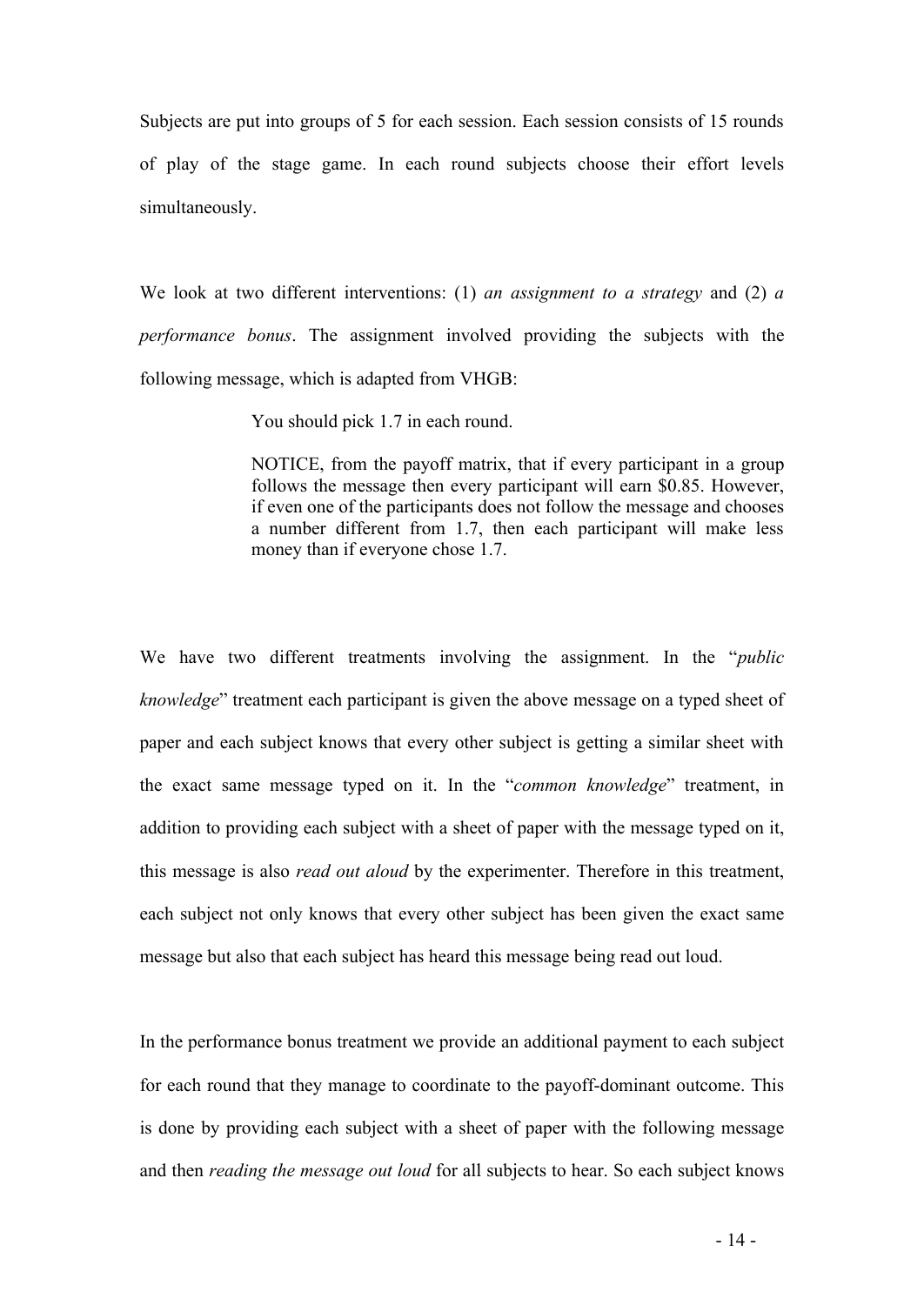Subjects are put into groups of 5 for each session. Each session consists of 15 rounds of play of the stage game. In each round subjects choose their effort levels simultaneously.

We look at two different interventions: (1) *an assignment to a strategy* and (2) *a performance bonus*. The assignment involved providing the subjects with the following message, which is adapted from VHGB:

You should pick 1.7 in each round.

NOTICE, from the payoff matrix, that if every participant in a group follows the message then every participant will earn \$0.85. However, if even one of the participants does not follow the message and chooses a number different from 1.7, then each participant will make less money than if everyone chose 1.7.

We have two different treatments involving the assignment. In the "*public knowledge*" treatment each participant is given the above message on a typed sheet of paper and each subject knows that every other subject is getting a similar sheet with the exact same message typed on it. In the "*common knowledge*" treatment, in addition to providing each subject with a sheet of paper with the message typed on it, this message is also *read out aloud* by the experimenter. Therefore in this treatment, each subject not only knows that every other subject has been given the exact same message but also that each subject has heard this message being read out loud.

In the performance bonus treatment we provide an additional payment to each subject for each round that they manage to coordinate to the payoff-dominant outcome. This is done by providing each subject with a sheet of paper with the following message and then *reading the message out loud* for all subjects to hear. So each subject knows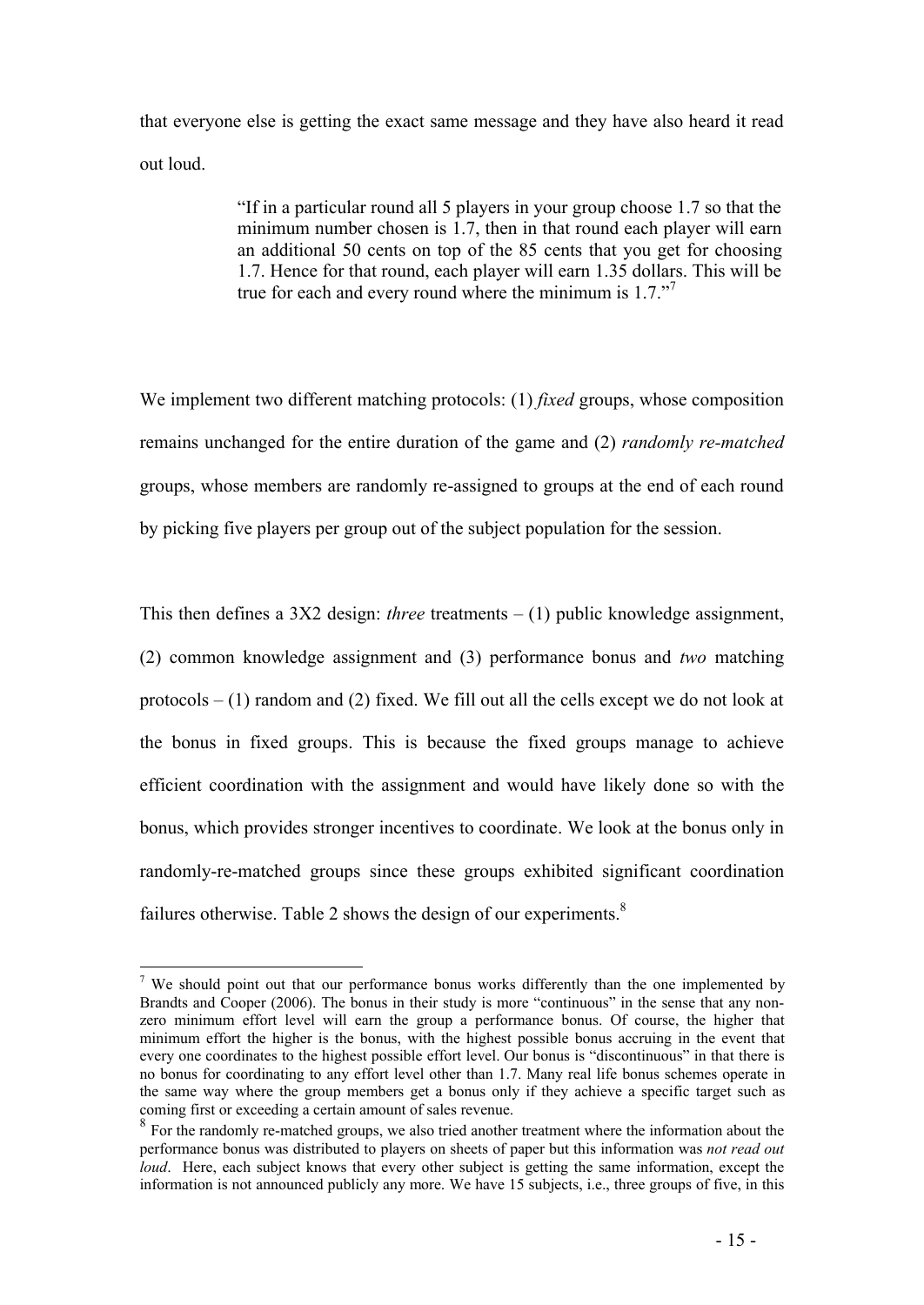that everyone else is getting the exact same message and they have also heard it read out loud.

> "If in a particular round all 5 players in your group choose 1.7 so that the minimum number chosen is 1.7, then in that round each player will earn an additional 50 cents on top of the 85 cents that you get for choosing 1.7. Hence for that round, each player will earn 1.35 dollars. This will be true for each and every round where the minimum is 1.7."

We implement two different matching protocols: (1) *fixed* groups, whose composition remains unchanged for the entire duration of the game and (2) *randomly re-matched*  groups, whose members are randomly re-assigned to groups at the end of each round by picking five players per group out of the subject population for the session.

This then defines a 3X2 design: *three* treatments – (1) public knowledge assignment, (2) common knowledge assignment and (3) performance bonus and *two* matching protocols  $- (1)$  random and (2) fixed. We fill out all the cells except we do not look at the bonus in fixed groups. This is because the fixed groups manage to achieve efficient coordination with the assignment and would have likely done so with the bonus, which provides stronger incentives to coordinate. We look at the bonus only in randomly-re-matched groups since these groups exhibited significant coordination failures otherwise. Table 2 shows the design of our experiments.<sup>8</sup>

 $\overline{a}$ <sup>7</sup> We should point out that our performance bonus works differently than the one implemented by Brandts and Cooper (2006). The bonus in their study is more "continuous" in the sense that any nonzero minimum effort level will earn the group a performance bonus. Of course, the higher that minimum effort the higher is the bonus, with the highest possible bonus accruing in the event that every one coordinates to the highest possible effort level. Our bonus is "discontinuous" in that there is no bonus for coordinating to any effort level other than 1.7. Many real life bonus schemes operate in the same way where the group members get a bonus only if they achieve a specific target such as coming first or exceeding a certain amount of sales revenue.

<sup>&</sup>lt;sup>8</sup> For the randomly re-matched groups, we also tried another treatment where the information about the performance bonus was distributed to players on sheets of paper but this information was *not read out loud.* Here, each subject knows that every other subject is getting the same information, except the information is not announced publicly any more. We have 15 subjects, i.e., three groups of five, in this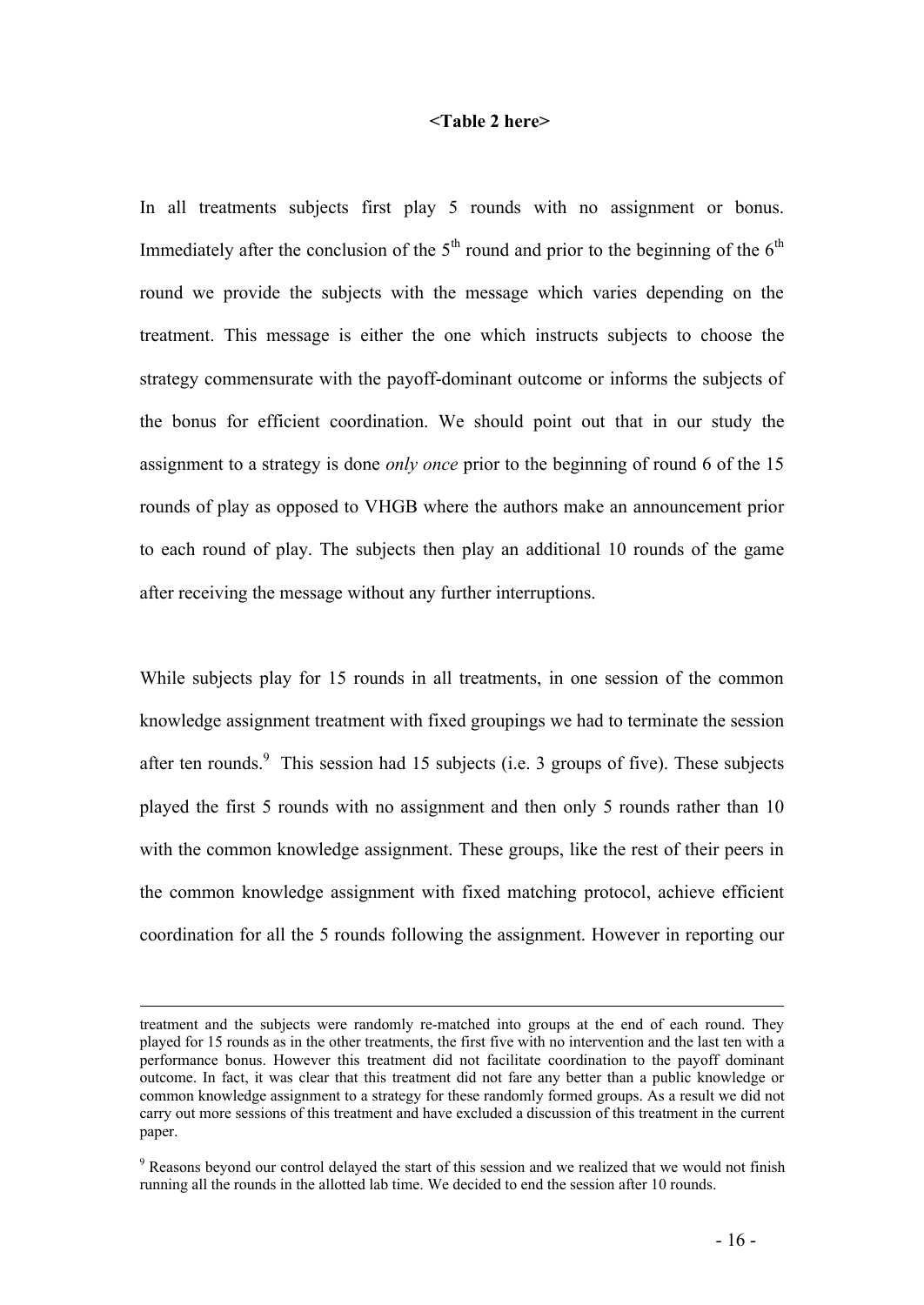#### **<Table 2 here>**

In all treatments subjects first play 5 rounds with no assignment or bonus. Immediately after the conclusion of the  $5<sup>th</sup>$  round and prior to the beginning of the  $6<sup>th</sup>$ round we provide the subjects with the message which varies depending on the treatment. This message is either the one which instructs subjects to choose the strategy commensurate with the payoff-dominant outcome or informs the subjects of the bonus for efficient coordination. We should point out that in our study the assignment to a strategy is done *only once* prior to the beginning of round 6 of the 15 rounds of play as opposed to VHGB where the authors make an announcement prior to each round of play. The subjects then play an additional 10 rounds of the game after receiving the message without any further interruptions.

While subjects play for 15 rounds in all treatments, in one session of the common knowledge assignment treatment with fixed groupings we had to terminate the session after ten rounds. This session had 15 subjects (i.e. 3 groups of five). These subjects played the first 5 rounds with no assignment and then only 5 rounds rather than 10 with the common knowledge assignment. These groups, like the rest of their peers in the common knowledge assignment with fixed matching protocol, achieve efficient coordination for all the 5 rounds following the assignment. However in reporting our

 $\overline{a}$ 

treatment and the subjects were randomly re-matched into groups at the end of each round. They played for 15 rounds as in the other treatments, the first five with no intervention and the last ten with a performance bonus. However this treatment did not facilitate coordination to the payoff dominant outcome. In fact, it was clear that this treatment did not fare any better than a public knowledge or common knowledge assignment to a strategy for these randomly formed groups. As a result we did not carry out more sessions of this treatment and have excluded a discussion of this treatment in the current paper.

<sup>&</sup>lt;sup>9</sup> Reasons beyond our control delayed the start of this session and we realized that we would not finish running all the rounds in the allotted lab time. We decided to end the session after 10 rounds.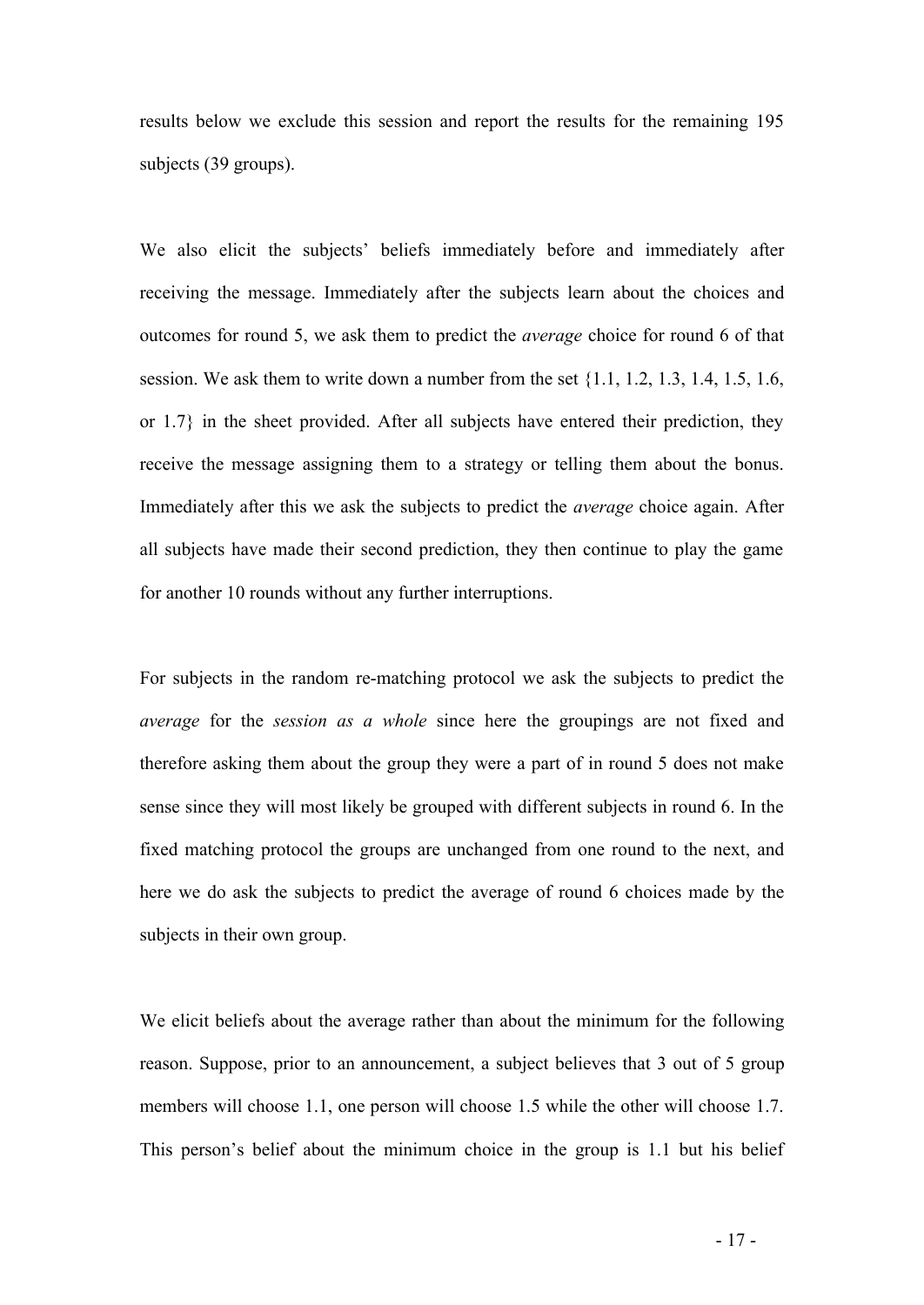results below we exclude this session and report the results for the remaining 195 subjects (39 groups).

We also elicit the subjects' beliefs immediately before and immediately after receiving the message. Immediately after the subjects learn about the choices and outcomes for round 5, we ask them to predict the *average* choice for round 6 of that session. We ask them to write down a number from the set  $\{1.1, 1.2, 1.3, 1.4, 1.5, 1.6,$ or 1.7} in the sheet provided. After all subjects have entered their prediction, they receive the message assigning them to a strategy or telling them about the bonus. Immediately after this we ask the subjects to predict the *average* choice again. After all subjects have made their second prediction, they then continue to play the game for another 10 rounds without any further interruptions.

For subjects in the random re-matching protocol we ask the subjects to predict the *average* for the *session as a whole* since here the groupings are not fixed and therefore asking them about the group they were a part of in round 5 does not make sense since they will most likely be grouped with different subjects in round 6. In the fixed matching protocol the groups are unchanged from one round to the next, and here we do ask the subjects to predict the average of round 6 choices made by the subjects in their own group.

We elicit beliefs about the average rather than about the minimum for the following reason. Suppose, prior to an announcement, a subject believes that 3 out of 5 group members will choose 1.1, one person will choose 1.5 while the other will choose 1.7. This person's belief about the minimum choice in the group is 1.1 but his belief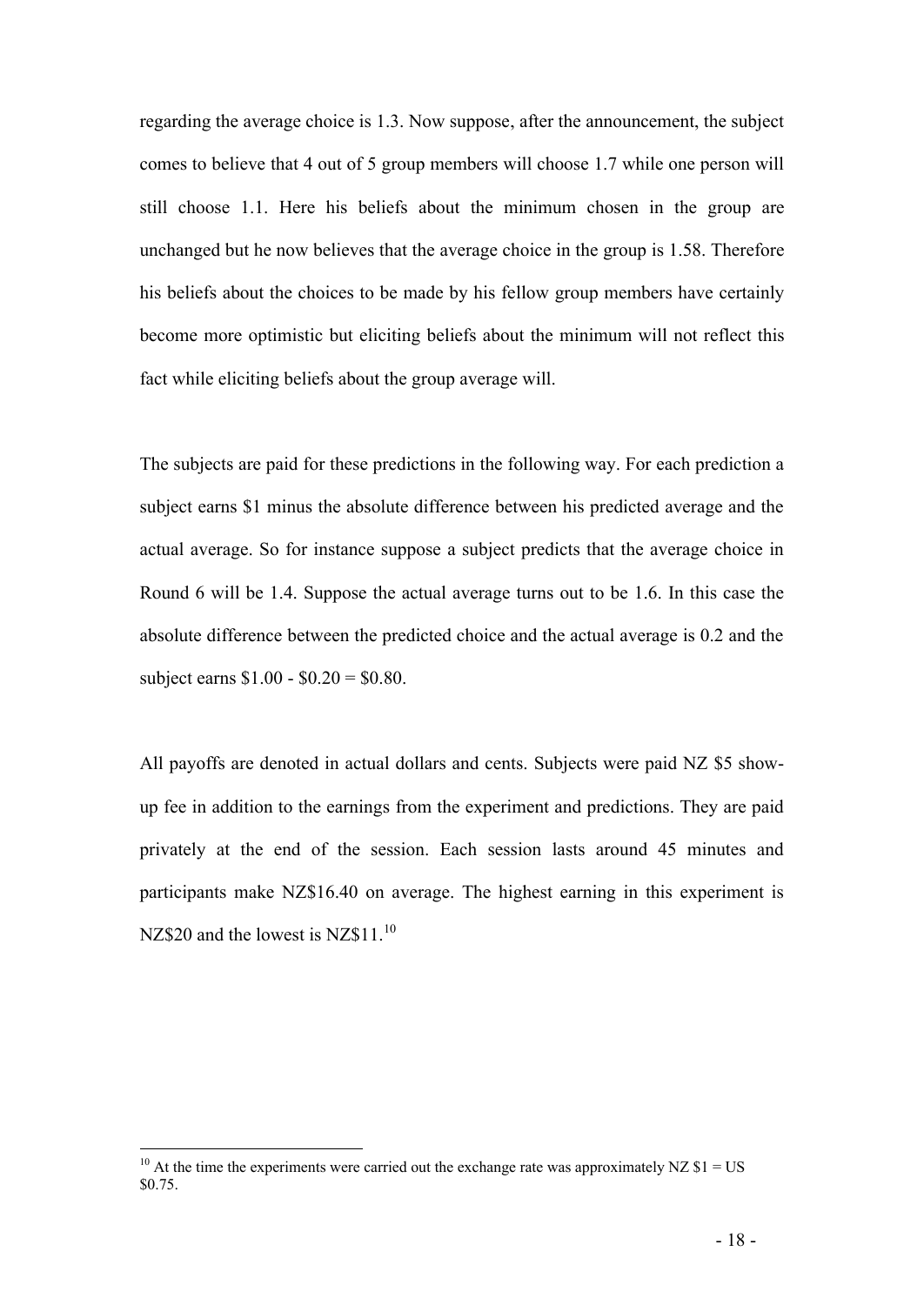regarding the average choice is 1.3. Now suppose, after the announcement, the subject comes to believe that 4 out of 5 group members will choose 1.7 while one person will still choose 1.1. Here his beliefs about the minimum chosen in the group are unchanged but he now believes that the average choice in the group is 1.58. Therefore his beliefs about the choices to be made by his fellow group members have certainly become more optimistic but eliciting beliefs about the minimum will not reflect this fact while eliciting beliefs about the group average will.

The subjects are paid for these predictions in the following way. For each prediction a subject earns \$1 minus the absolute difference between his predicted average and the actual average. So for instance suppose a subject predicts that the average choice in Round 6 will be 1.4. Suppose the actual average turns out to be 1.6. In this case the absolute difference between the predicted choice and the actual average is 0.2 and the subject earns \$1.00 - \$0.20 = \$0.80.

All payoffs are denoted in actual dollars and cents. Subjects were paid NZ \$5 showup fee in addition to the earnings from the experiment and predictions. They are paid privately at the end of the session. Each session lasts around 45 minutes and participants make NZ\$16.40 on average. The highest earning in this experiment is NZ\$20 and the lowest is NZ\$11 $^{10}$ 

 $\overline{a}$ 

<sup>&</sup>lt;sup>10</sup> At the time the experiments were carried out the exchange rate was approximately NZ  $$1 = US$ \$0.75.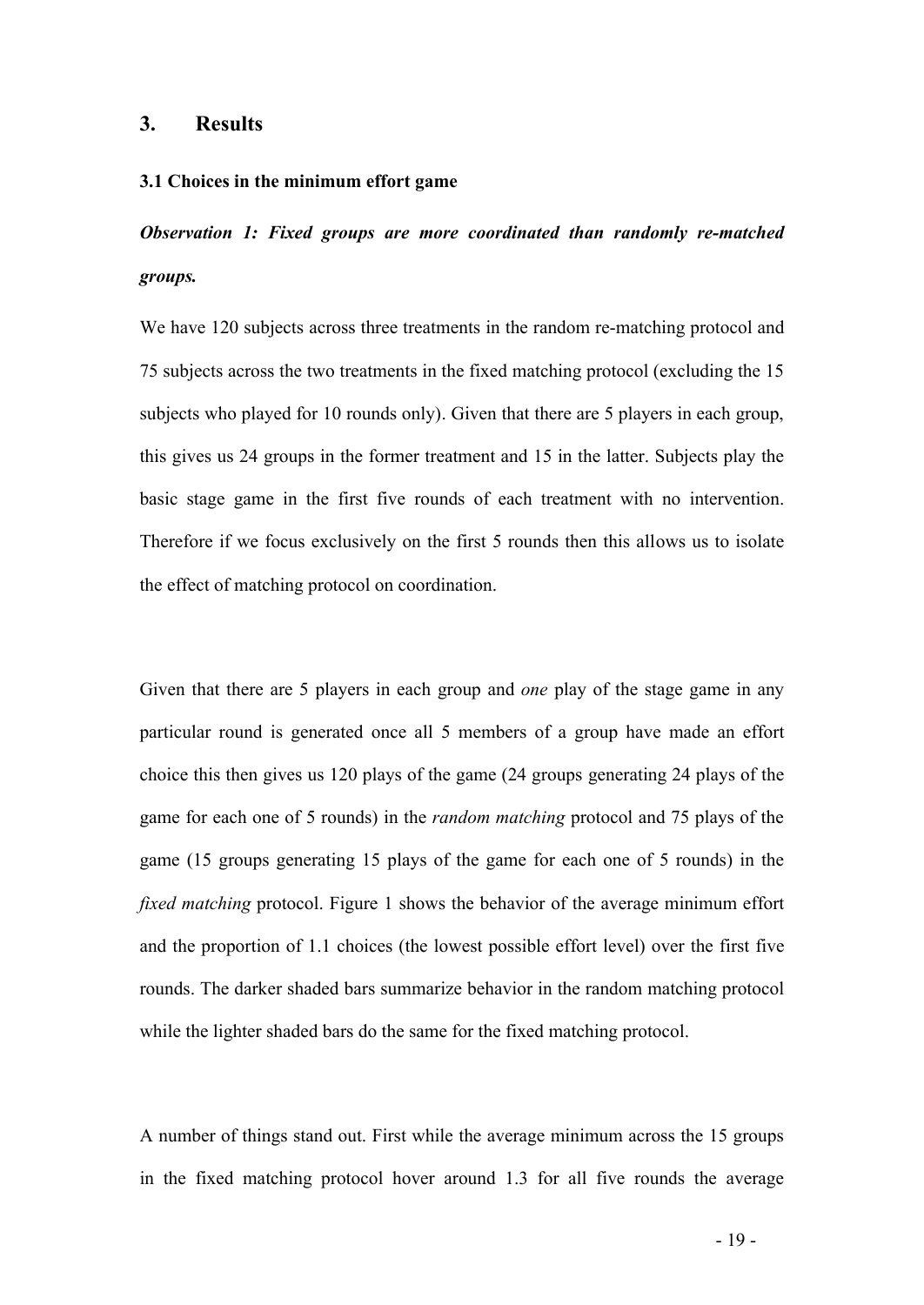#### **3. Results**

#### **3.1 Choices in the minimum effort game**

*Observation 1: Fixed groups are more coordinated than randomly re-matched groups.*

We have 120 subjects across three treatments in the random re-matching protocol and 75 subjects across the two treatments in the fixed matching protocol (excluding the 15 subjects who played for 10 rounds only). Given that there are 5 players in each group, this gives us 24 groups in the former treatment and 15 in the latter. Subjects play the basic stage game in the first five rounds of each treatment with no intervention. Therefore if we focus exclusively on the first 5 rounds then this allows us to isolate the effect of matching protocol on coordination.

Given that there are 5 players in each group and *one* play of the stage game in any particular round is generated once all 5 members of a group have made an effort choice this then gives us 120 plays of the game (24 groups generating 24 plays of the game for each one of 5 rounds) in the *random matching* protocol and 75 plays of the game (15 groups generating 15 plays of the game for each one of 5 rounds) in the *fixed matching* protocol. Figure 1 shows the behavior of the average minimum effort and the proportion of 1.1 choices (the lowest possible effort level) over the first five rounds. The darker shaded bars summarize behavior in the random matching protocol while the lighter shaded bars do the same for the fixed matching protocol.

A number of things stand out. First while the average minimum across the 15 groups in the fixed matching protocol hover around 1.3 for all five rounds the average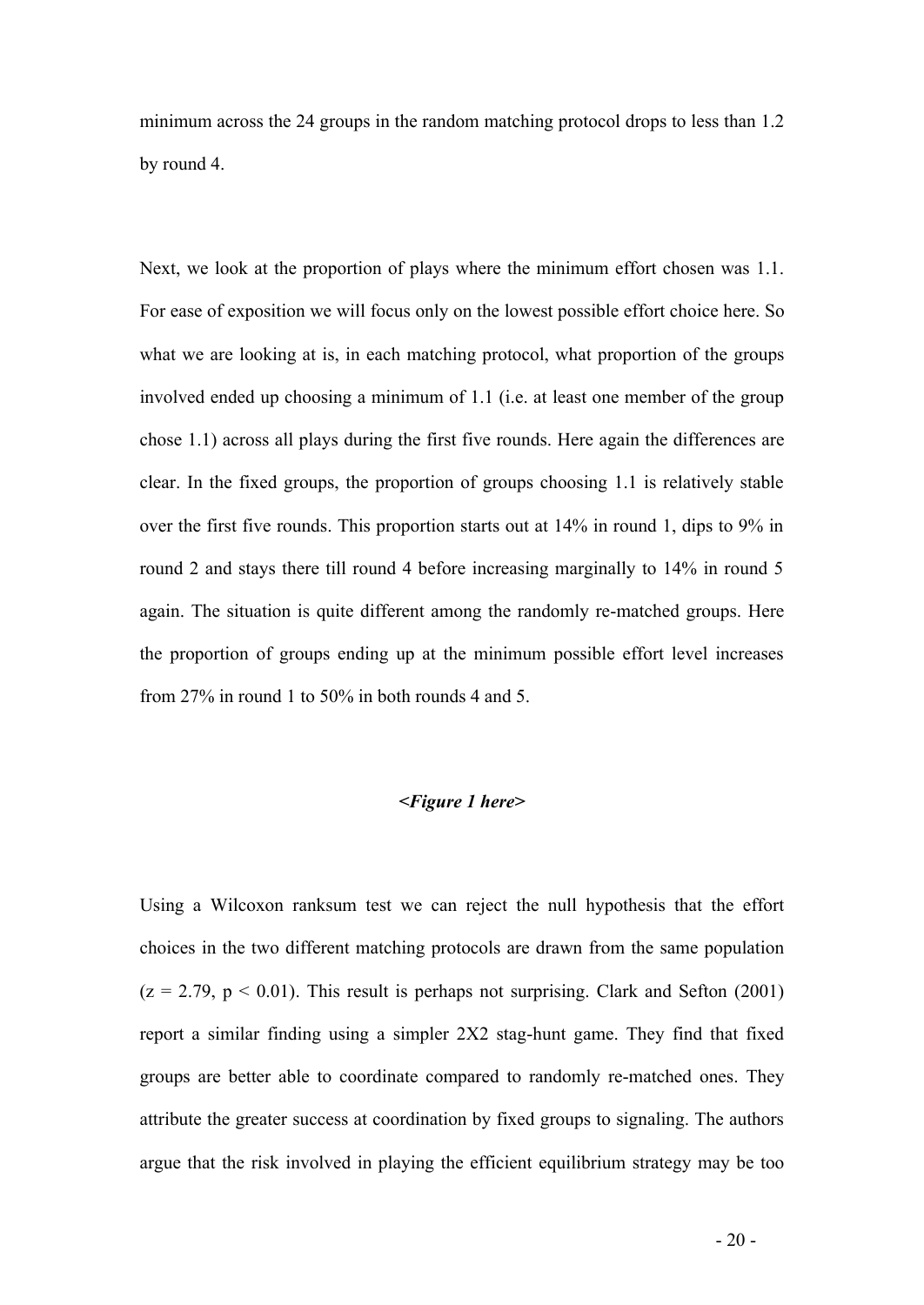minimum across the 24 groups in the random matching protocol drops to less than 1.2 by round 4.

Next, we look at the proportion of plays where the minimum effort chosen was 1.1. For ease of exposition we will focus only on the lowest possible effort choice here. So what we are looking at is, in each matching protocol, what proportion of the groups involved ended up choosing a minimum of 1.1 (i.e. at least one member of the group chose 1.1) across all plays during the first five rounds. Here again the differences are clear. In the fixed groups, the proportion of groups choosing 1.1 is relatively stable over the first five rounds. This proportion starts out at 14% in round 1, dips to 9% in round 2 and stays there till round 4 before increasing marginally to 14% in round 5 again. The situation is quite different among the randomly re-matched groups. Here the proportion of groups ending up at the minimum possible effort level increases from 27% in round 1 to 50% in both rounds 4 and 5.

#### *<Figure 1 here>*

Using a Wilcoxon ranksum test we can reject the null hypothesis that the effort choices in the two different matching protocols are drawn from the same population  $(z = 2.79, p < 0.01)$ . This result is perhaps not surprising. Clark and Sefton (2001) report a similar finding using a simpler 2X2 stag-hunt game. They find that fixed groups are better able to coordinate compared to randomly re-matched ones. They attribute the greater success at coordination by fixed groups to signaling. The authors argue that the risk involved in playing the efficient equilibrium strategy may be too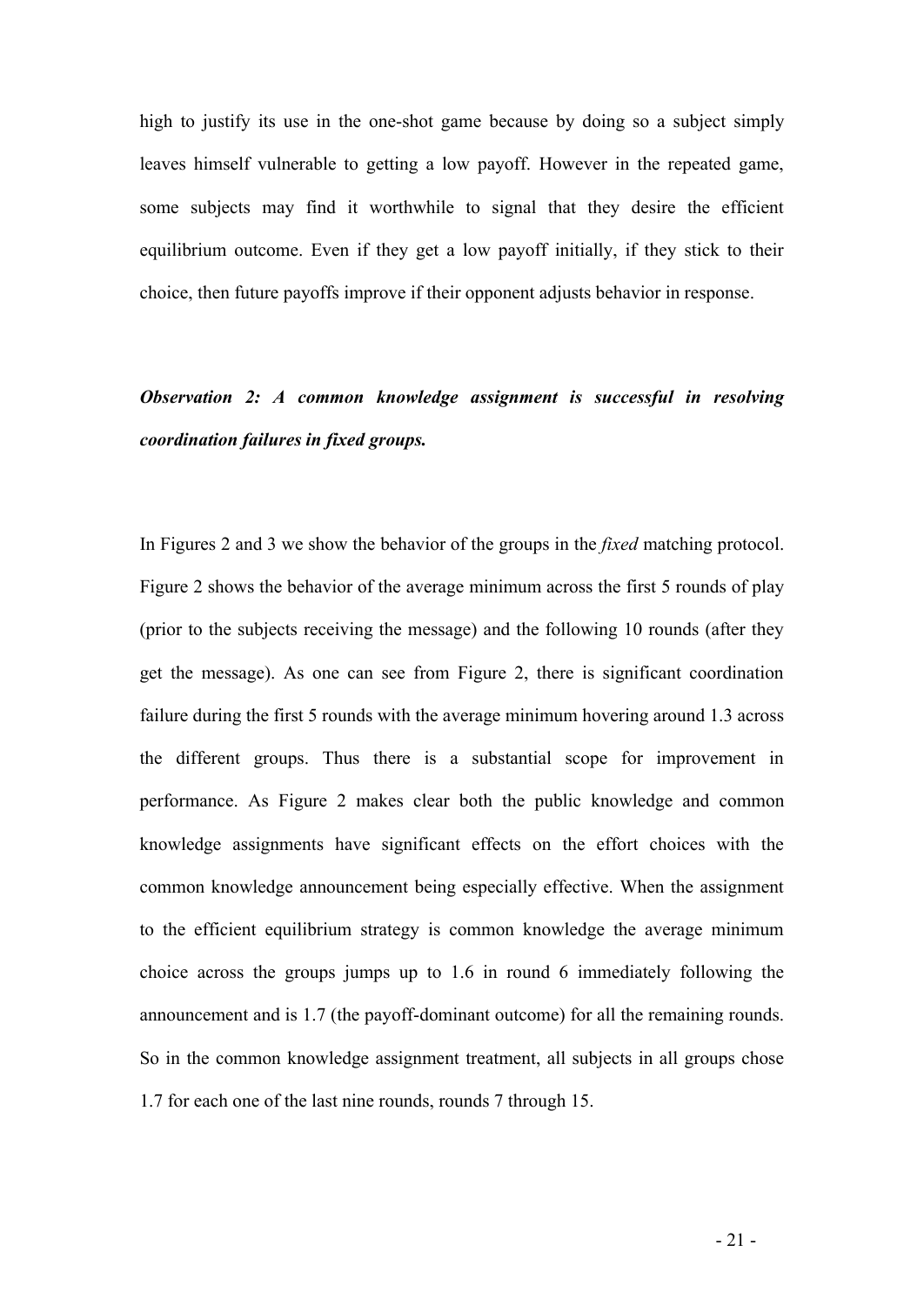high to justify its use in the one-shot game because by doing so a subject simply leaves himself vulnerable to getting a low payoff. However in the repeated game, some subjects may find it worthwhile to signal that they desire the efficient equilibrium outcome. Even if they get a low payoff initially, if they stick to their choice, then future payoffs improve if their opponent adjusts behavior in response.

## *Observation 2: A common knowledge assignment is successful in resolving coordination failures in fixed groups.*

In Figures 2 and 3 we show the behavior of the groups in the *fixed* matching protocol. Figure 2 shows the behavior of the average minimum across the first 5 rounds of play (prior to the subjects receiving the message) and the following 10 rounds (after they get the message). As one can see from Figure 2, there is significant coordination failure during the first 5 rounds with the average minimum hovering around 1.3 across the different groups. Thus there is a substantial scope for improvement in performance. As Figure 2 makes clear both the public knowledge and common knowledge assignments have significant effects on the effort choices with the common knowledge announcement being especially effective. When the assignment to the efficient equilibrium strategy is common knowledge the average minimum choice across the groups jumps up to 1.6 in round 6 immediately following the announcement and is 1.7 (the payoff-dominant outcome) for all the remaining rounds. So in the common knowledge assignment treatment, all subjects in all groups chose 1.7 for each one of the last nine rounds, rounds 7 through 15.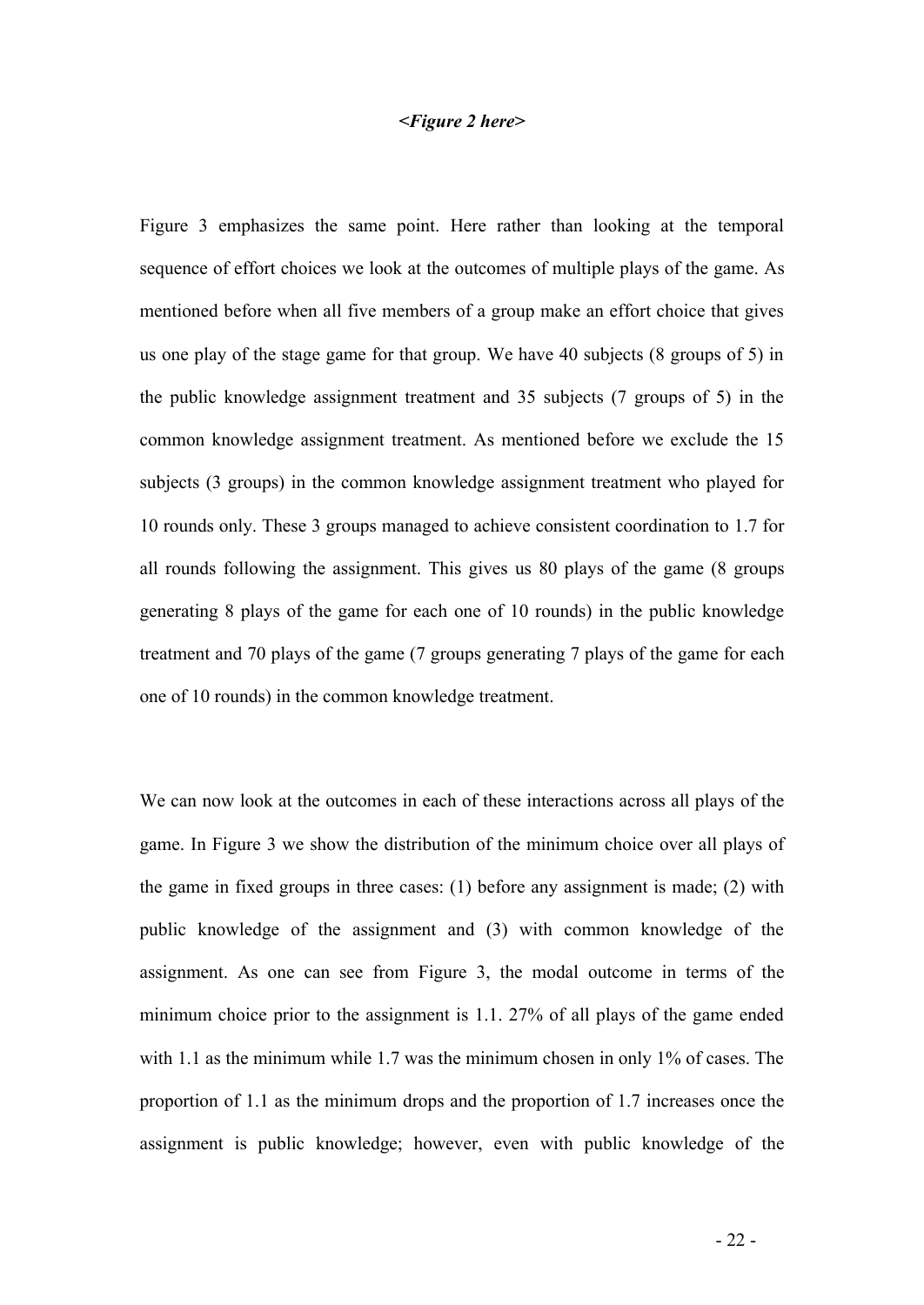#### *<Figure 2 here>*

Figure 3 emphasizes the same point. Here rather than looking at the temporal sequence of effort choices we look at the outcomes of multiple plays of the game. As mentioned before when all five members of a group make an effort choice that gives us one play of the stage game for that group. We have 40 subjects (8 groups of 5) in the public knowledge assignment treatment and 35 subjects (7 groups of 5) in the common knowledge assignment treatment. As mentioned before we exclude the 15 subjects (3 groups) in the common knowledge assignment treatment who played for 10 rounds only. These 3 groups managed to achieve consistent coordination to 1.7 for all rounds following the assignment. This gives us 80 plays of the game (8 groups generating 8 plays of the game for each one of 10 rounds) in the public knowledge treatment and 70 plays of the game (7 groups generating 7 plays of the game for each one of 10 rounds) in the common knowledge treatment.

We can now look at the outcomes in each of these interactions across all plays of the game. In Figure 3 we show the distribution of the minimum choice over all plays of the game in fixed groups in three cases: (1) before any assignment is made; (2) with public knowledge of the assignment and (3) with common knowledge of the assignment. As one can see from Figure 3, the modal outcome in terms of the minimum choice prior to the assignment is 1.1. 27% of all plays of the game ended with 1.1 as the minimum while 1.7 was the minimum chosen in only 1% of cases. The proportion of 1.1 as the minimum drops and the proportion of 1.7 increases once the assignment is public knowledge; however, even with public knowledge of the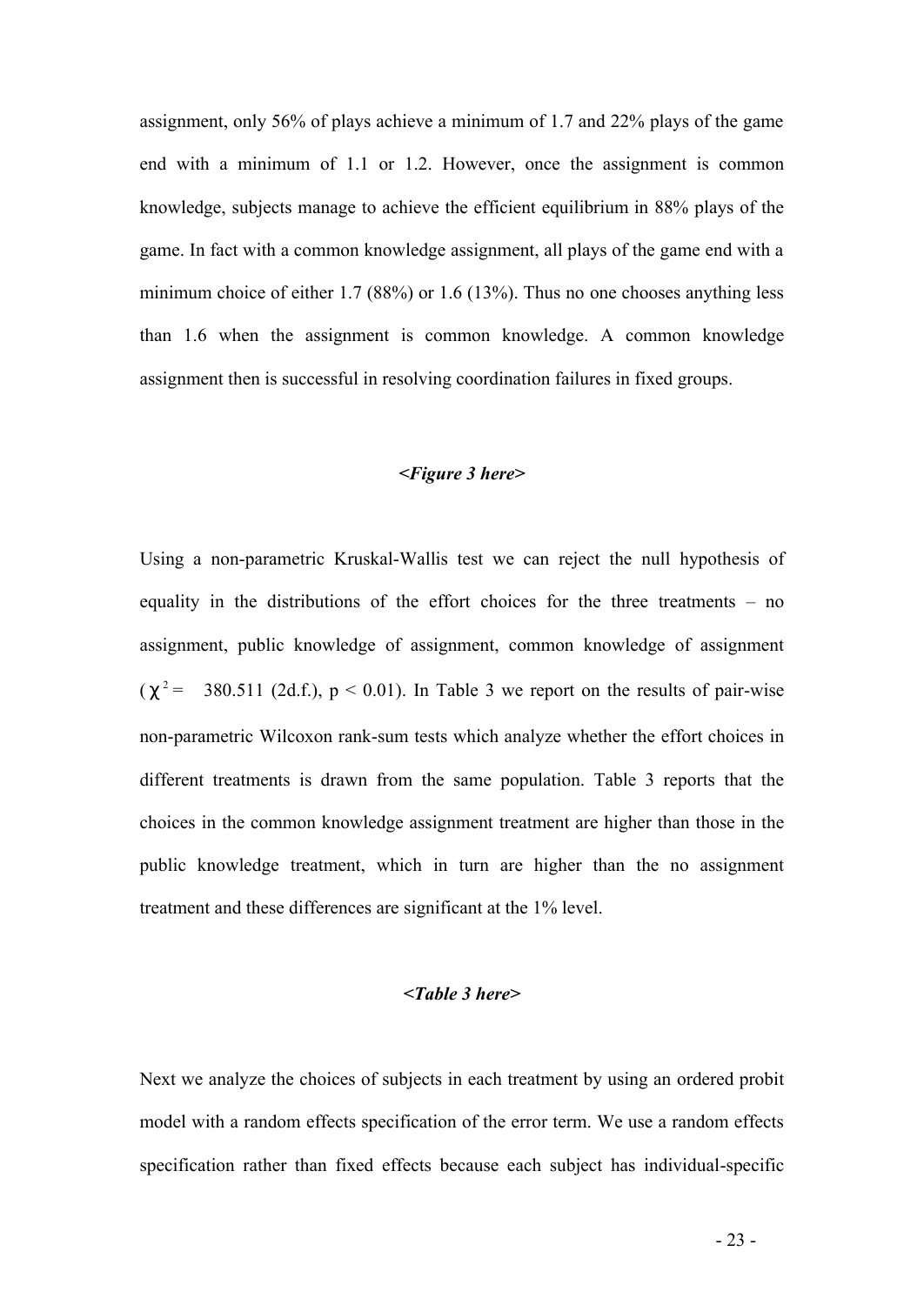assignment, only 56% of plays achieve a minimum of 1.7 and 22% plays of the game end with a minimum of 1.1 or 1.2. However, once the assignment is common knowledge, subjects manage to achieve the efficient equilibrium in 88% plays of the game. In fact with a common knowledge assignment, all plays of the game end with a minimum choice of either 1.7 (88%) or 1.6 (13%). Thus no one chooses anything less than 1.6 when the assignment is common knowledge. A common knowledge assignment then is successful in resolving coordination failures in fixed groups.

#### *<Figure 3 here>*

Using a non-parametric Kruskal-Wallis test we can reject the null hypothesis of equality in the distributions of the effort choices for the three treatments – no assignment, public knowledge of assignment, common knowledge of assignment  $(c^2$  = 380.511 (2d.f.),  $p < 0.01$ ). In Table 3 we report on the results of pair-wise non-parametric Wilcoxon rank-sum tests which analyze whether the effort choices in different treatments is drawn from the same population. Table 3 reports that the choices in the common knowledge assignment treatment are higher than those in the public knowledge treatment, which in turn are higher than the no assignment treatment and these differences are significant at the 1% level.

#### *<Table 3 here>*

Next we analyze the choices of subjects in each treatment by using an ordered probit model with a random effects specification of the error term. We use a random effects specification rather than fixed effects because each subject has individual-specific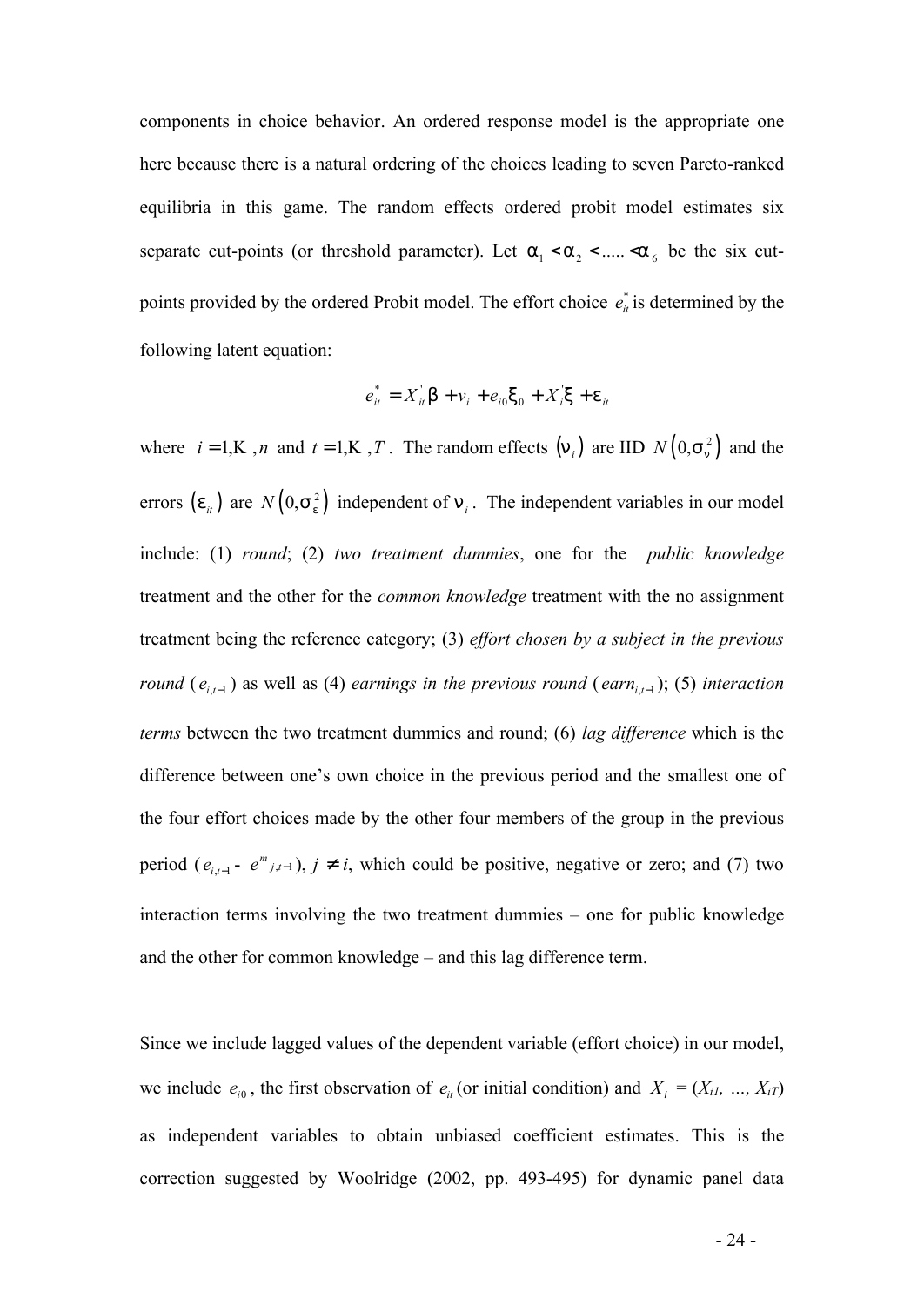components in choice behavior. An ordered response model is the appropriate one here because there is a natural ordering of the choices leading to seven Pareto-ranked equilibria in this game. The random effects ordered probit model estimates six separate cut-points (or threshold parameter). Let  $a_1 < a_2 < \dots < a_6$  be the six cutpoints provided by the ordered Probit model. The effort choice  $e^*_{ii}$  is determined by the following latent equation:

$$
e_{it}^* = X_{it}^{\dagger} \mathsf{b} + v_i + e_{i0} x_0 + X_i^{\dagger} \mathsf{x} + e_{it}
$$

where  $i = 1, K, n$  and  $t = 1, K, T$ . The random effects  $(n_i)$  are IID  $N(0, s_n^2)$  and the errors  $(e_{it})$  are  $N(0, s_e^2)$  independent of  $n_i$ . The independent variables in our model include: (1) *round*; (2) *two treatment dummies*, one for the *public knowledge* treatment and the other for the *common knowledge* treatment with the no assignment treatment being the reference category; (3) *effort chosen by a subject in the previous round* ( $e_{i,t-1}$ ) as well as (4) *earnings in the previous round* ( $earn_{i,t-1}$ ); (5) *interaction terms* between the two treatment dummies and round; (6) *lag difference* which is the difference between one's own choice in the previous period and the smallest one of the four effort choices made by the other four members of the group in the previous period  $(e_{i,t-1} - e^{m}{}_{j,t-1})$ ,  $j^{-1}$  *i*, which could be positive, negative or zero; and (7) two interaction terms involving the two treatment dummies – one for public knowledge and the other for common knowledge – and this lag difference term.

Since we include lagged values of the dependent variable (effort choice) in our model, we include  $e_{i0}$ , the first observation of  $e_{i}$  (or initial condition) and  $X_i = (X_{i1}, \ldots, X_{iT})$ as independent variables to obtain unbiased coefficient estimates. This is the correction suggested by Woolridge (2002, pp. 493-495) for dynamic panel data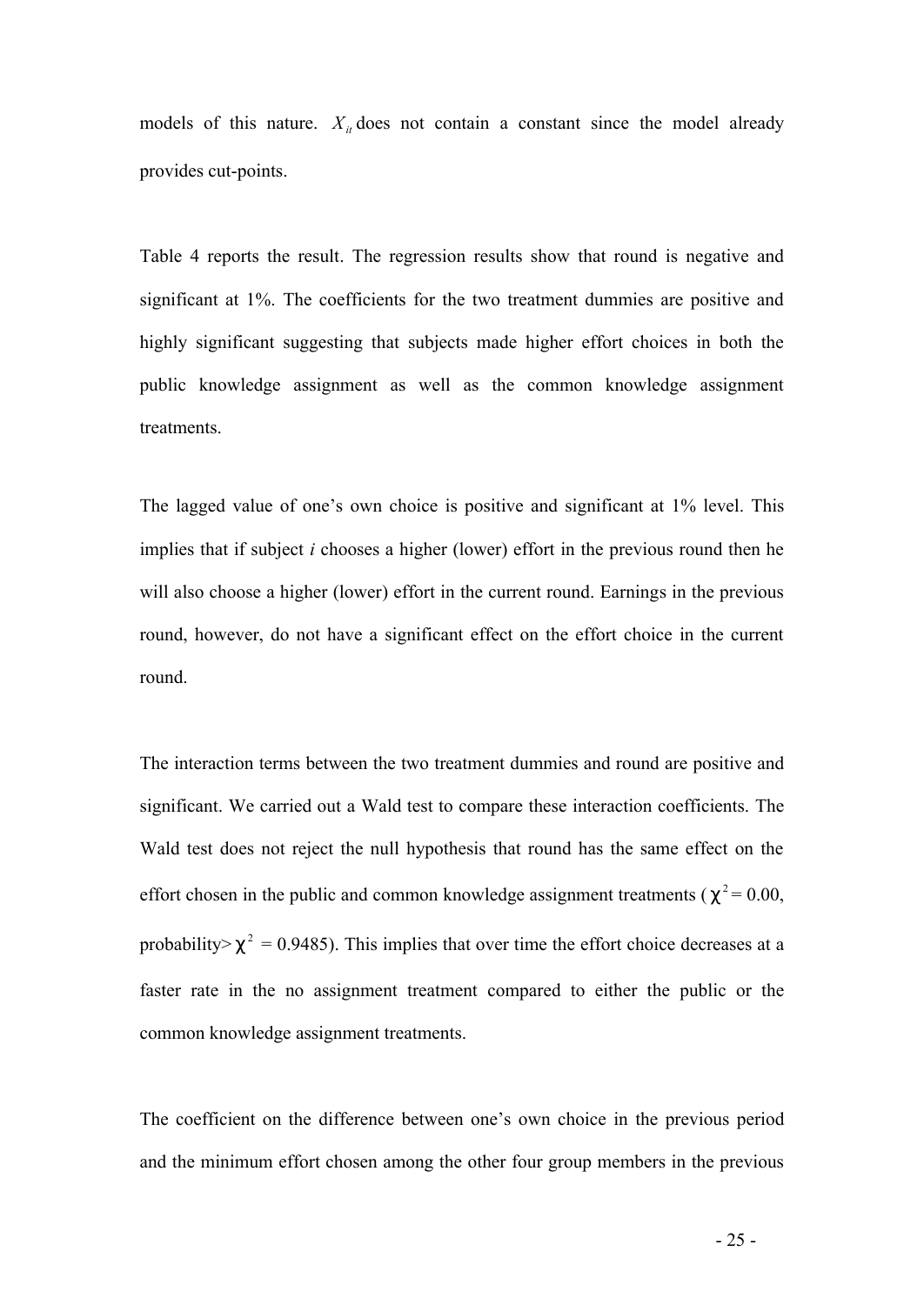models of this nature.  $X_i$  does not contain a constant since the model already provides cut-points.

Table 4 reports the result. The regression results show that round is negative and significant at 1%. The coefficients for the two treatment dummies are positive and highly significant suggesting that subjects made higher effort choices in both the public knowledge assignment as well as the common knowledge assignment treatments.

The lagged value of one's own choice is positive and significant at 1% level. This implies that if subject *i* chooses a higher (lower) effort in the previous round then he will also choose a higher (lower) effort in the current round. Earnings in the previous round, however, do not have a significant effect on the effort choice in the current round.

The interaction terms between the two treatment dummies and round are positive and significant. We carried out a Wald test to compare these interaction coefficients. The Wald test does not reject the null hypothesis that round has the same effect on the effort chosen in the public and common knowledge assignment treatments ( $c^2$  = 0.00, probability> $c^2$  = 0.9485). This implies that over time the effort choice decreases at a faster rate in the no assignment treatment compared to either the public or the common knowledge assignment treatments.

The coefficient on the difference between one's own choice in the previous period and the minimum effort chosen among the other four group members in the previous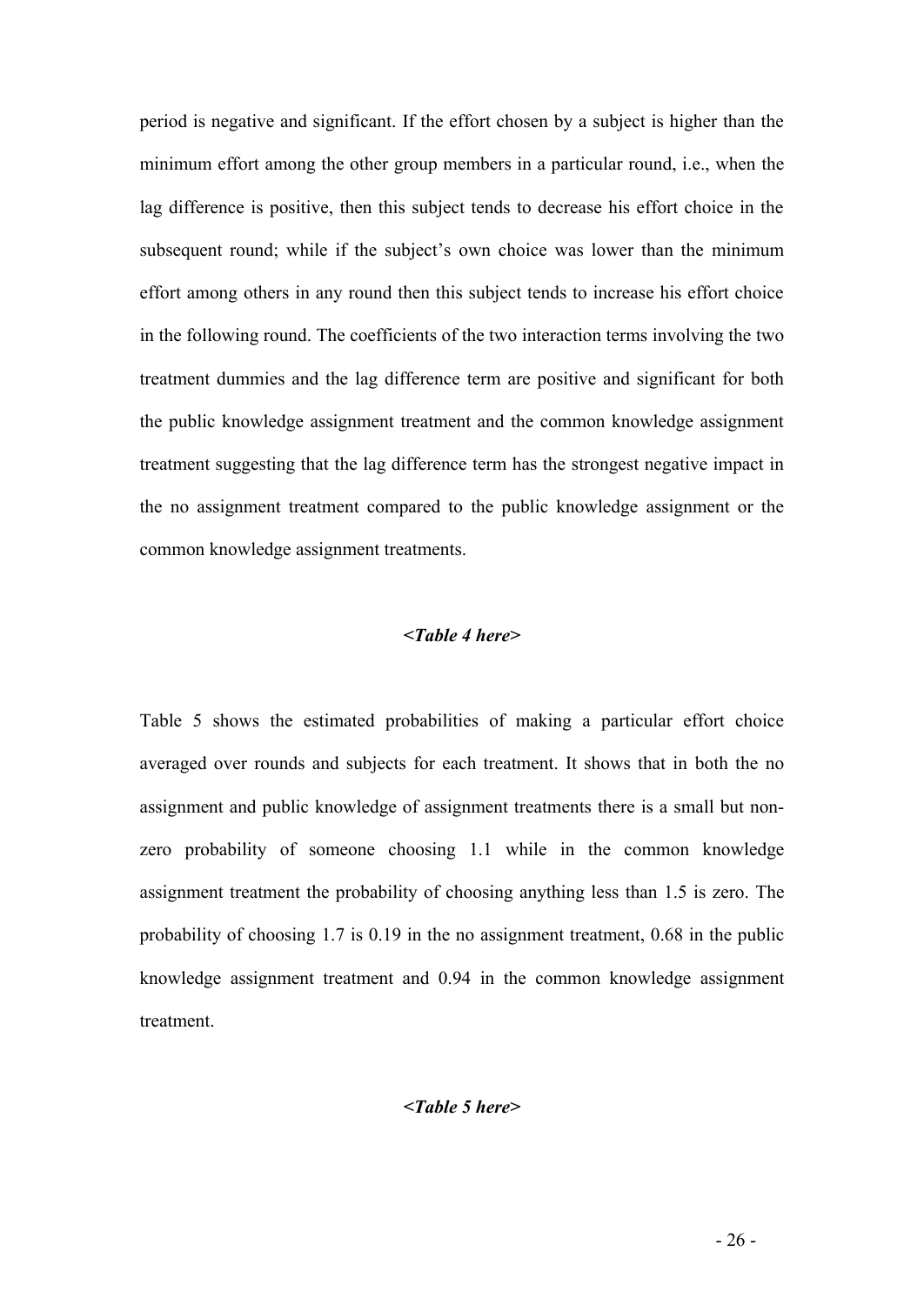period is negative and significant. If the effort chosen by a subject is higher than the minimum effort among the other group members in a particular round, i.e., when the lag difference is positive, then this subject tends to decrease his effort choice in the subsequent round; while if the subject's own choice was lower than the minimum effort among others in any round then this subject tends to increase his effort choice in the following round. The coefficients of the two interaction terms involving the two treatment dummies and the lag difference term are positive and significant for both the public knowledge assignment treatment and the common knowledge assignment treatment suggesting that the lag difference term has the strongest negative impact in the no assignment treatment compared to the public knowledge assignment or the common knowledge assignment treatments.

## *<Table 4 here>*

Table 5 shows the estimated probabilities of making a particular effort choice averaged over rounds and subjects for each treatment. It shows that in both the no assignment and public knowledge of assignment treatments there is a small but nonzero probability of someone choosing 1.1 while in the common knowledge assignment treatment the probability of choosing anything less than 1.5 is zero. The probability of choosing 1.7 is 0.19 in the no assignment treatment, 0.68 in the public knowledge assignment treatment and 0.94 in the common knowledge assignment treatment.

#### *<Table 5 here>*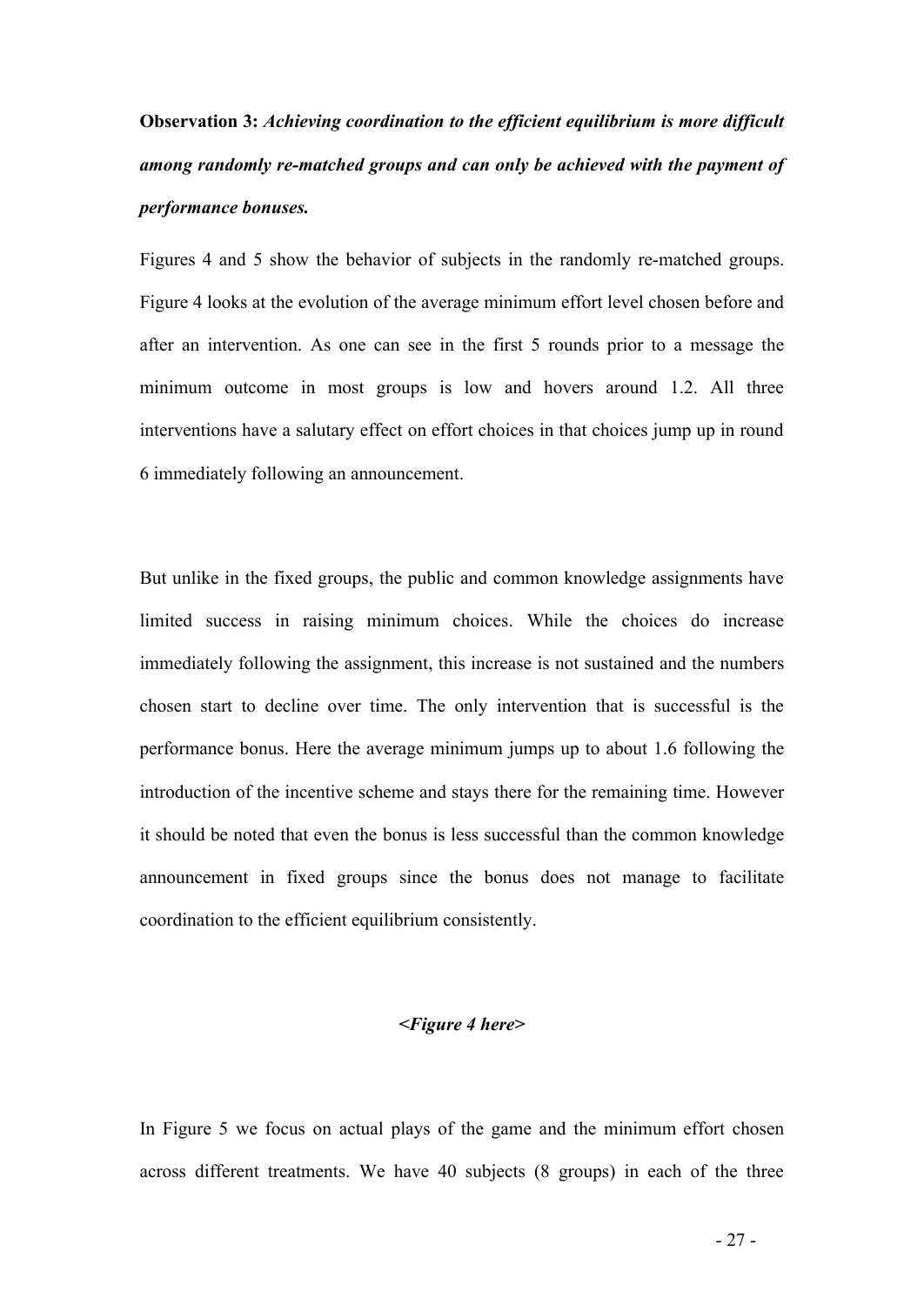# **Observation 3:** *Achieving coordination to the efficient equilibrium is more difficult among randomly re-matched groups and can only be achieved with the payment of performance bonuses.*

Figures 4 and 5 show the behavior of subjects in the randomly re-matched groups. Figure 4 looks at the evolution of the average minimum effort level chosen before and after an intervention. As one can see in the first 5 rounds prior to a message the minimum outcome in most groups is low and hovers around 1.2. All three interventions have a salutary effect on effort choices in that choices jump up in round 6 immediately following an announcement.

But unlike in the fixed groups, the public and common knowledge assignments have limited success in raising minimum choices. While the choices do increase immediately following the assignment, this increase is not sustained and the numbers chosen start to decline over time. The only intervention that is successful is the performance bonus. Here the average minimum jumps up to about 1.6 following the introduction of the incentive scheme and stays there for the remaining time. However it should be noted that even the bonus is less successful than the common knowledge announcement in fixed groups since the bonus does not manage to facilitate coordination to the efficient equilibrium consistently.

#### *<Figure 4 here>*

In Figure 5 we focus on actual plays of the game and the minimum effort chosen across different treatments. We have 40 subjects (8 groups) in each of the three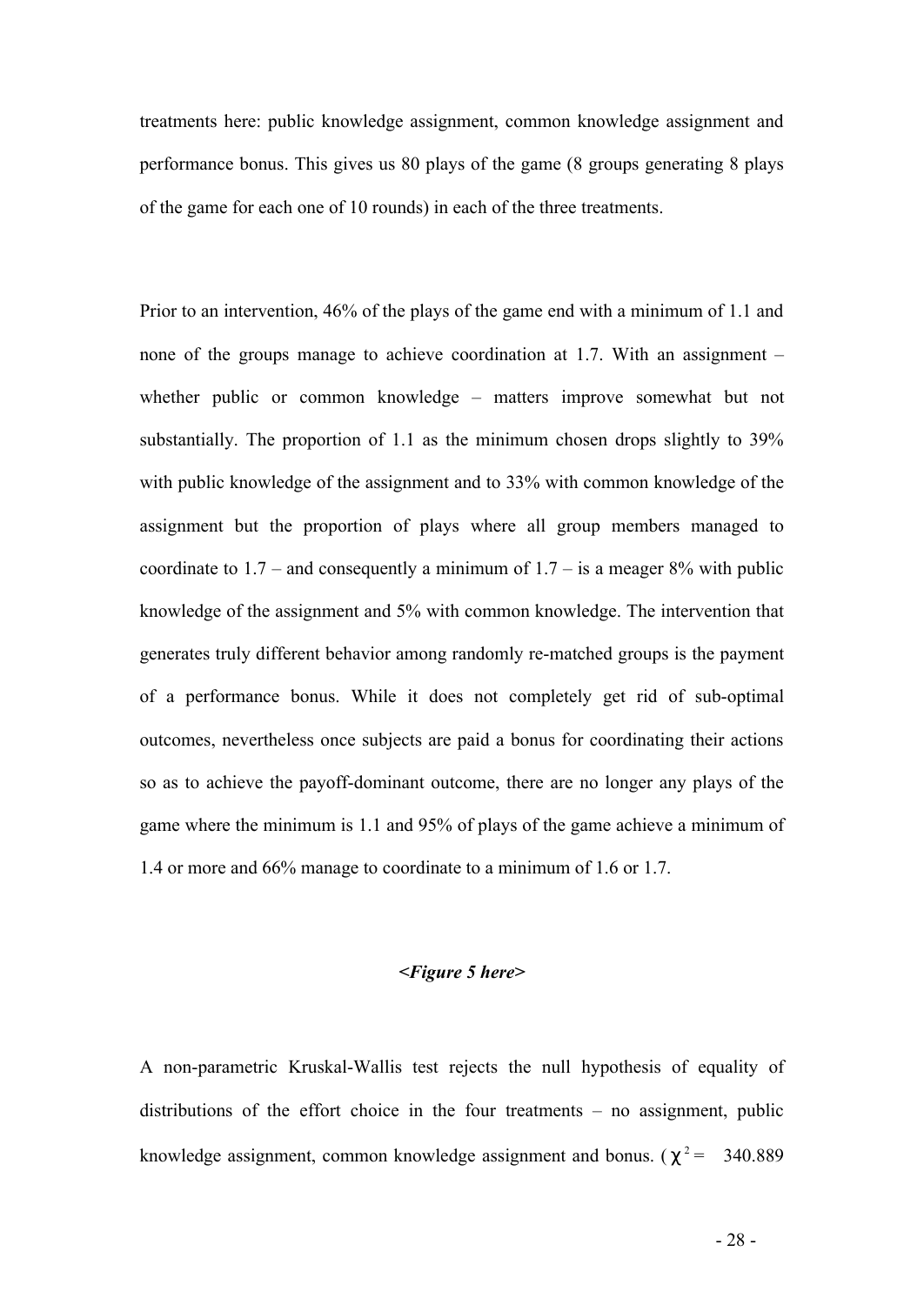treatments here: public knowledge assignment, common knowledge assignment and performance bonus. This gives us 80 plays of the game (8 groups generating 8 plays of the game for each one of 10 rounds) in each of the three treatments.

Prior to an intervention, 46% of the plays of the game end with a minimum of 1.1 and none of the groups manage to achieve coordination at 1.7. With an assignment – whether public or common knowledge – matters improve somewhat but not substantially. The proportion of 1.1 as the minimum chosen drops slightly to 39% with public knowledge of the assignment and to 33% with common knowledge of the assignment but the proportion of plays where all group members managed to coordinate to  $1.7$  – and consequently a minimum of  $1.7$  – is a meager 8% with public knowledge of the assignment and 5% with common knowledge. The intervention that generates truly different behavior among randomly re-matched groups is the payment of a performance bonus. While it does not completely get rid of sub-optimal outcomes, nevertheless once subjects are paid a bonus for coordinating their actions so as to achieve the payoff-dominant outcome, there are no longer any plays of the game where the minimum is 1.1 and 95% of plays of the game achieve a minimum of 1.4 or more and 66% manage to coordinate to a minimum of 1.6 or 1.7.

#### *<Figure 5 here>*

A non-parametric Kruskal-Wallis test rejects the null hypothesis of equality of distributions of the effort choice in the four treatments – no assignment, public knowledge assignment, common knowledge assignment and bonus.  $(c^2 = 340.889)$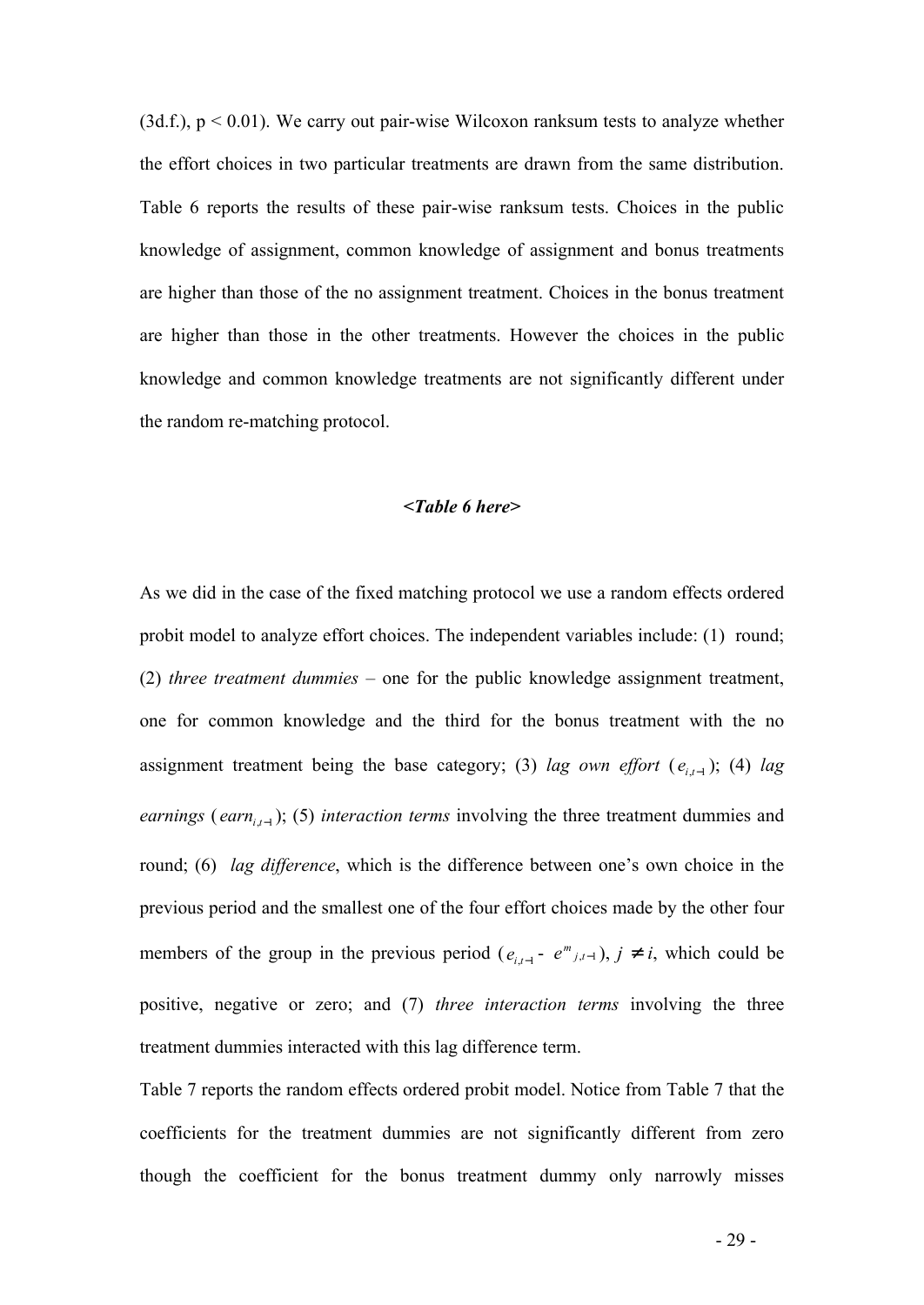$(3d.f.)$ ,  $p < 0.01$ ). We carry out pair-wise Wilcoxon ranksum tests to analyze whether the effort choices in two particular treatments are drawn from the same distribution. Table 6 reports the results of these pair-wise ranksum tests. Choices in the public knowledge of assignment, common knowledge of assignment and bonus treatments are higher than those of the no assignment treatment. Choices in the bonus treatment are higher than those in the other treatments. However the choices in the public knowledge and common knowledge treatments are not significantly different under the random re-matching protocol.

#### *<Table 6 here>*

As we did in the case of the fixed matching protocol we use a random effects ordered probit model to analyze effort choices. The independent variables include: (1) round; (2) *three treatment dummies* – one for the public knowledge assignment treatment, one for common knowledge and the third for the bonus treatment with the no assignment treatment being the base category; (3) *lag own effort*  $(e_{i,t-1})$ ; (4) *lag earnings* (*earn<sub>i,t-1</sub>*); (5) *interaction terms* involving the three treatment dummies and round; (6) *lag difference*, which is the difference between one's own choice in the previous period and the smallest one of the four effort choices made by the other four members of the group in the previous period ( $e_{i,t-1}$  -  $e^{m}$ <sub>*j*,*t*-1</sub>), *j*<sup>1</sup> *i*, which could be positive, negative or zero; and (7) *three interaction terms* involving the three treatment dummies interacted with this lag difference term.

Table 7 reports the random effects ordered probit model. Notice from Table 7 that the coefficients for the treatment dummies are not significantly different from zero though the coefficient for the bonus treatment dummy only narrowly misses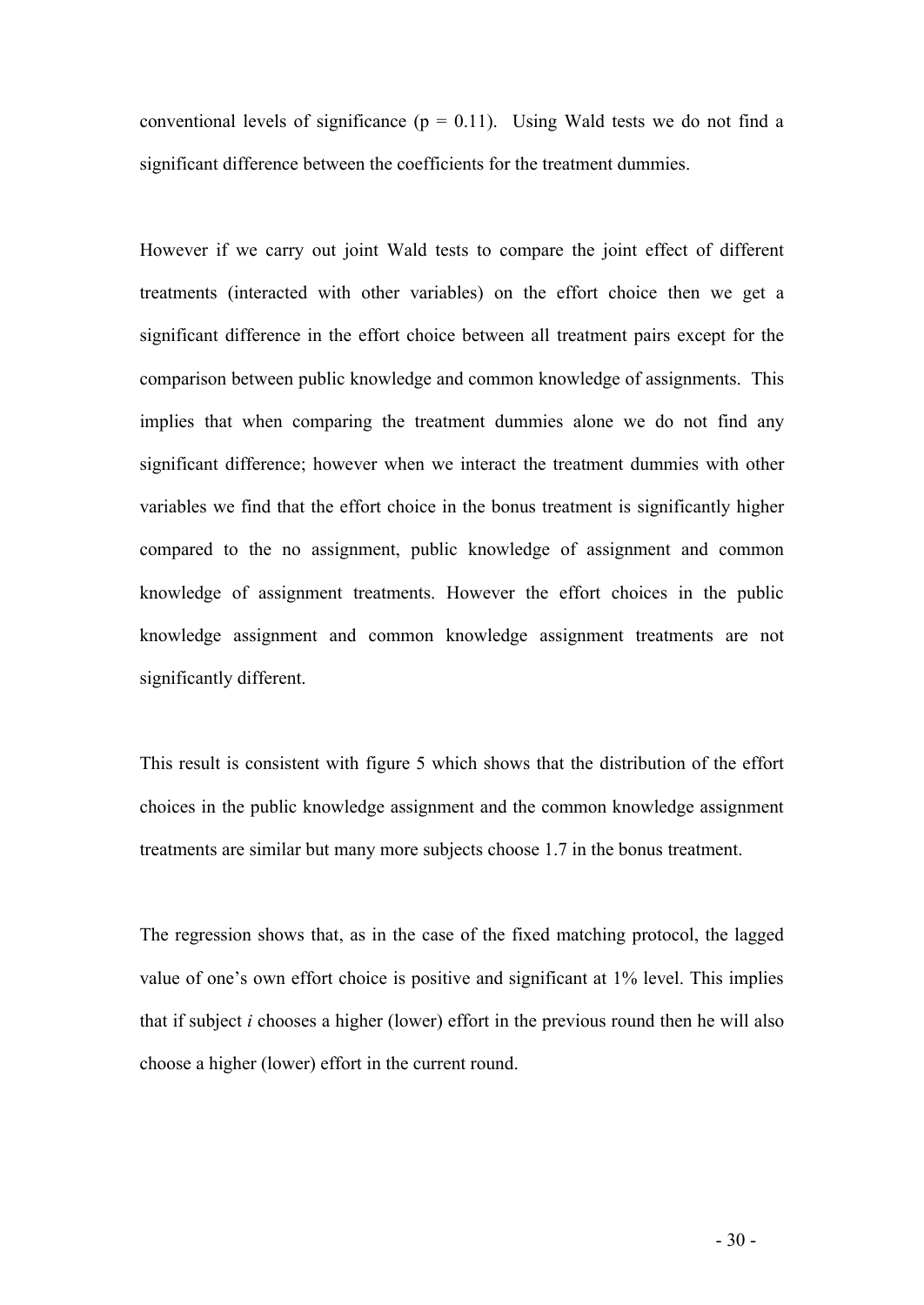conventional levels of significance ( $p = 0.11$ ). Using Wald tests we do not find a significant difference between the coefficients for the treatment dummies.

However if we carry out joint Wald tests to compare the joint effect of different treatments (interacted with other variables) on the effort choice then we get a significant difference in the effort choice between all treatment pairs except for the comparison between public knowledge and common knowledge of assignments. This implies that when comparing the treatment dummies alone we do not find any significant difference; however when we interact the treatment dummies with other variables we find that the effort choice in the bonus treatment is significantly higher compared to the no assignment, public knowledge of assignment and common knowledge of assignment treatments. However the effort choices in the public knowledge assignment and common knowledge assignment treatments are not significantly different.

This result is consistent with figure 5 which shows that the distribution of the effort choices in the public knowledge assignment and the common knowledge assignment treatments are similar but many more subjects choose 1.7 in the bonus treatment.

The regression shows that, as in the case of the fixed matching protocol, the lagged value of one's own effort choice is positive and significant at 1% level. This implies that if subject *i* chooses a higher (lower) effort in the previous round then he will also choose a higher (lower) effort in the current round.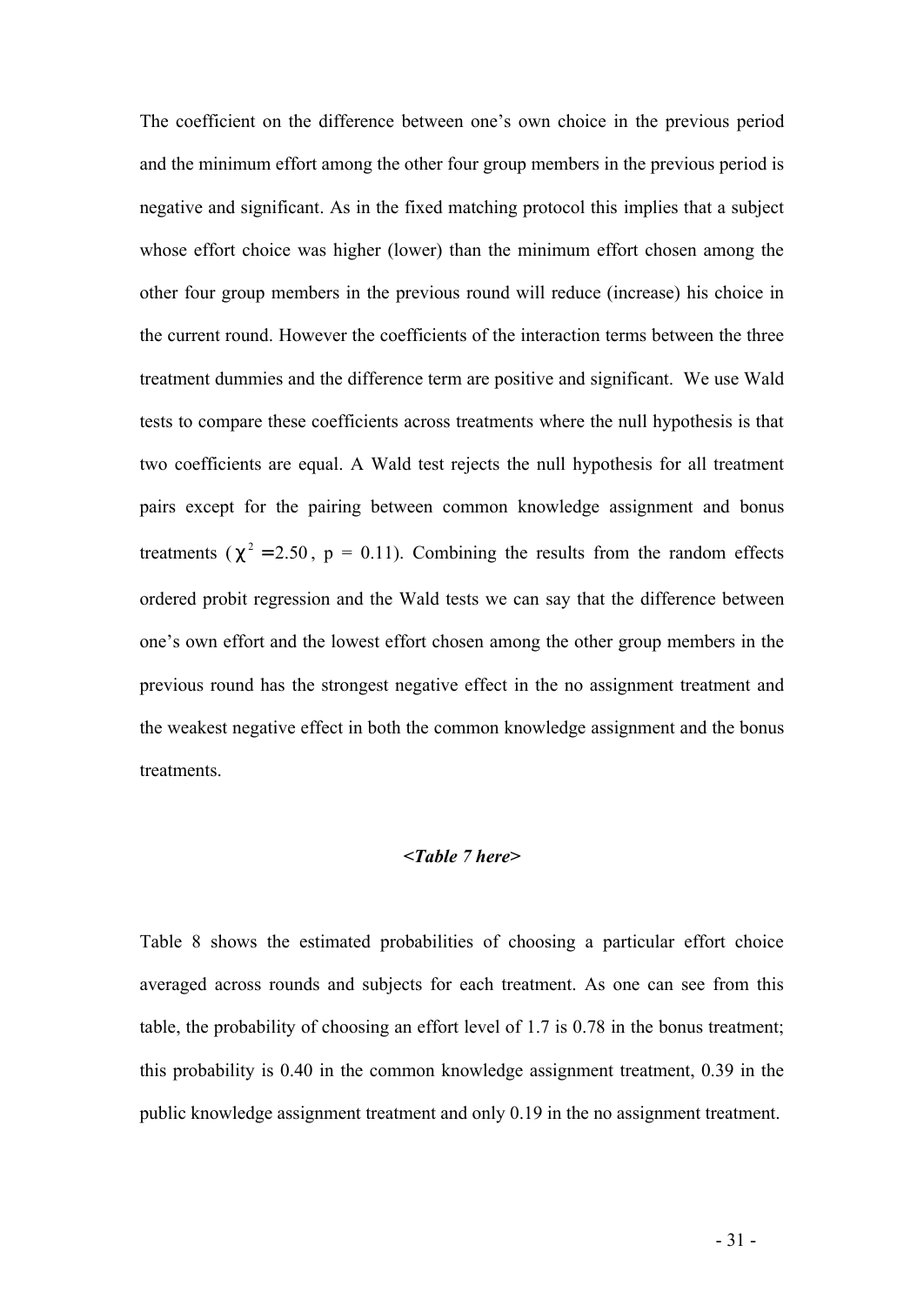The coefficient on the difference between one's own choice in the previous period and the minimum effort among the other four group members in the previous period is negative and significant. As in the fixed matching protocol this implies that a subject whose effort choice was higher (lower) than the minimum effort chosen among the other four group members in the previous round will reduce (increase) his choice in the current round. However the coefficients of the interaction terms between the three treatment dummies and the difference term are positive and significant. We use Wald tests to compare these coefficients across treatments where the null hypothesis is that two coefficients are equal. A Wald test rejects the null hypothesis for all treatment pairs except for the pairing between common knowledge assignment and bonus treatments ( $c^2 = 2.50$ ,  $p = 0.11$ ). Combining the results from the random effects ordered probit regression and the Wald tests we can say that the difference between one's own effort and the lowest effort chosen among the other group members in the previous round has the strongest negative effect in the no assignment treatment and the weakest negative effect in both the common knowledge assignment and the bonus **treatments** 

#### *<Table 7 here>*

Table 8 shows the estimated probabilities of choosing a particular effort choice averaged across rounds and subjects for each treatment. As one can see from this table, the probability of choosing an effort level of 1.7 is 0.78 in the bonus treatment; this probability is 0.40 in the common knowledge assignment treatment, 0.39 in the public knowledge assignment treatment and only 0.19 in the no assignment treatment.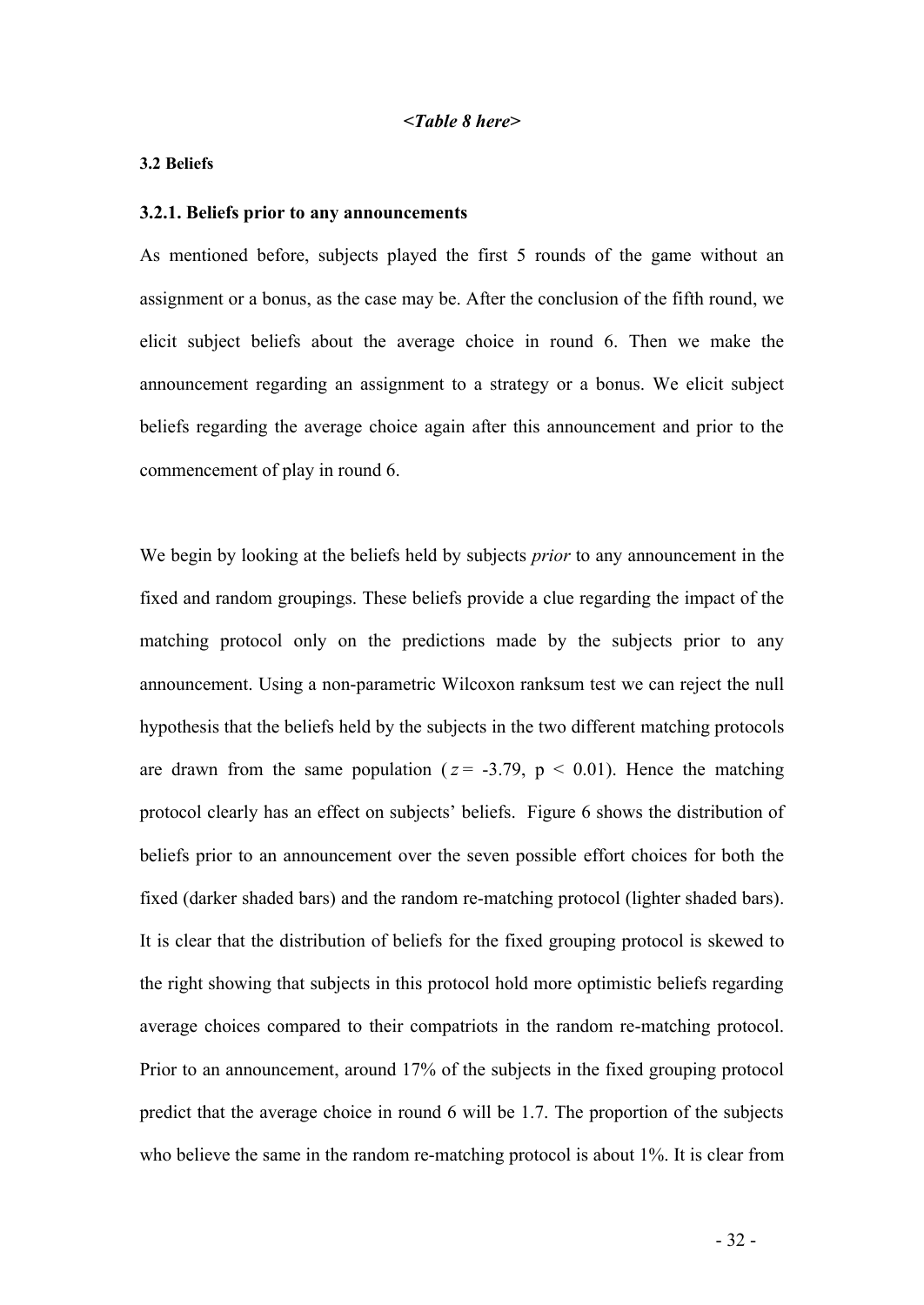#### **3.2 Beliefs**

#### **3.2.1. Beliefs prior to any announcements**

As mentioned before, subjects played the first 5 rounds of the game without an assignment or a bonus, as the case may be. After the conclusion of the fifth round, we elicit subject beliefs about the average choice in round 6. Then we make the announcement regarding an assignment to a strategy or a bonus. We elicit subject beliefs regarding the average choice again after this announcement and prior to the commencement of play in round 6.

We begin by looking at the beliefs held by subjects *prior* to any announcement in the fixed and random groupings. These beliefs provide a clue regarding the impact of the matching protocol only on the predictions made by the subjects prior to any announcement. Using a non-parametric Wilcoxon ranksum test we can reject the null hypothesis that the beliefs held by the subjects in the two different matching protocols are drawn from the same population ( $z = -3.79$ ,  $p < 0.01$ ). Hence the matching protocol clearly has an effect on subjects' beliefs. Figure 6 shows the distribution of beliefs prior to an announcement over the seven possible effort choices for both the fixed (darker shaded bars) and the random re-matching protocol (lighter shaded bars). It is clear that the distribution of beliefs for the fixed grouping protocol is skewed to the right showing that subjects in this protocol hold more optimistic beliefs regarding average choices compared to their compatriots in the random re-matching protocol. Prior to an announcement, around 17% of the subjects in the fixed grouping protocol predict that the average choice in round 6 will be 1.7. The proportion of the subjects who believe the same in the random re-matching protocol is about 1%. It is clear from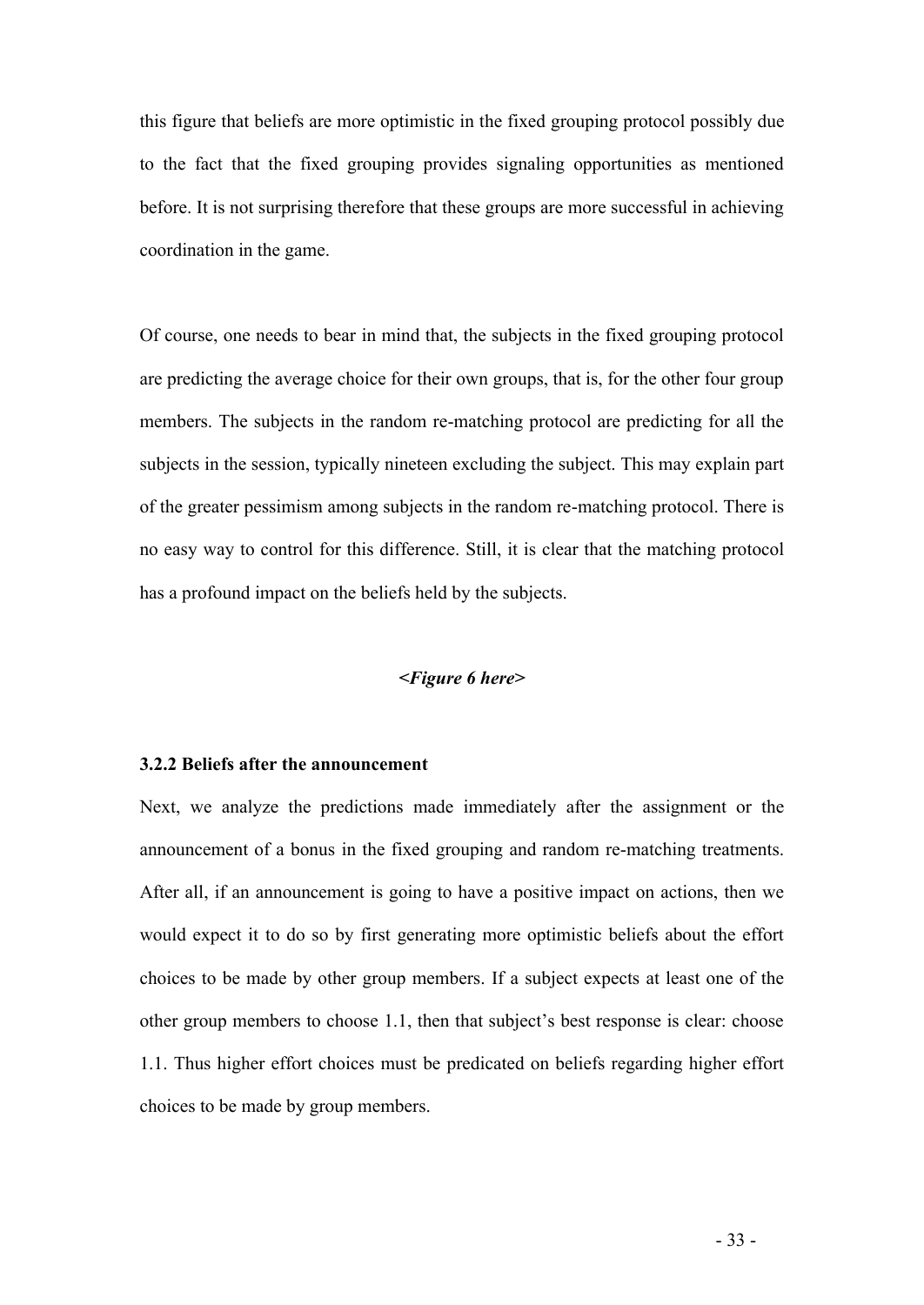this figure that beliefs are more optimistic in the fixed grouping protocol possibly due to the fact that the fixed grouping provides signaling opportunities as mentioned before. It is not surprising therefore that these groups are more successful in achieving coordination in the game.

Of course, one needs to bear in mind that, the subjects in the fixed grouping protocol are predicting the average choice for their own groups, that is, for the other four group members. The subjects in the random re-matching protocol are predicting for all the subjects in the session, typically nineteen excluding the subject. This may explain part of the greater pessimism among subjects in the random re-matching protocol. There is no easy way to control for this difference. Still, it is clear that the matching protocol has a profound impact on the beliefs held by the subjects.

#### *<Figure 6 here>*

#### **3.2.2 Beliefs after the announcement**

Next, we analyze the predictions made immediately after the assignment or the announcement of a bonus in the fixed grouping and random re-matching treatments. After all, if an announcement is going to have a positive impact on actions, then we would expect it to do so by first generating more optimistic beliefs about the effort choices to be made by other group members. If a subject expects at least one of the other group members to choose 1.1, then that subject's best response is clear: choose 1.1. Thus higher effort choices must be predicated on beliefs regarding higher effort choices to be made by group members.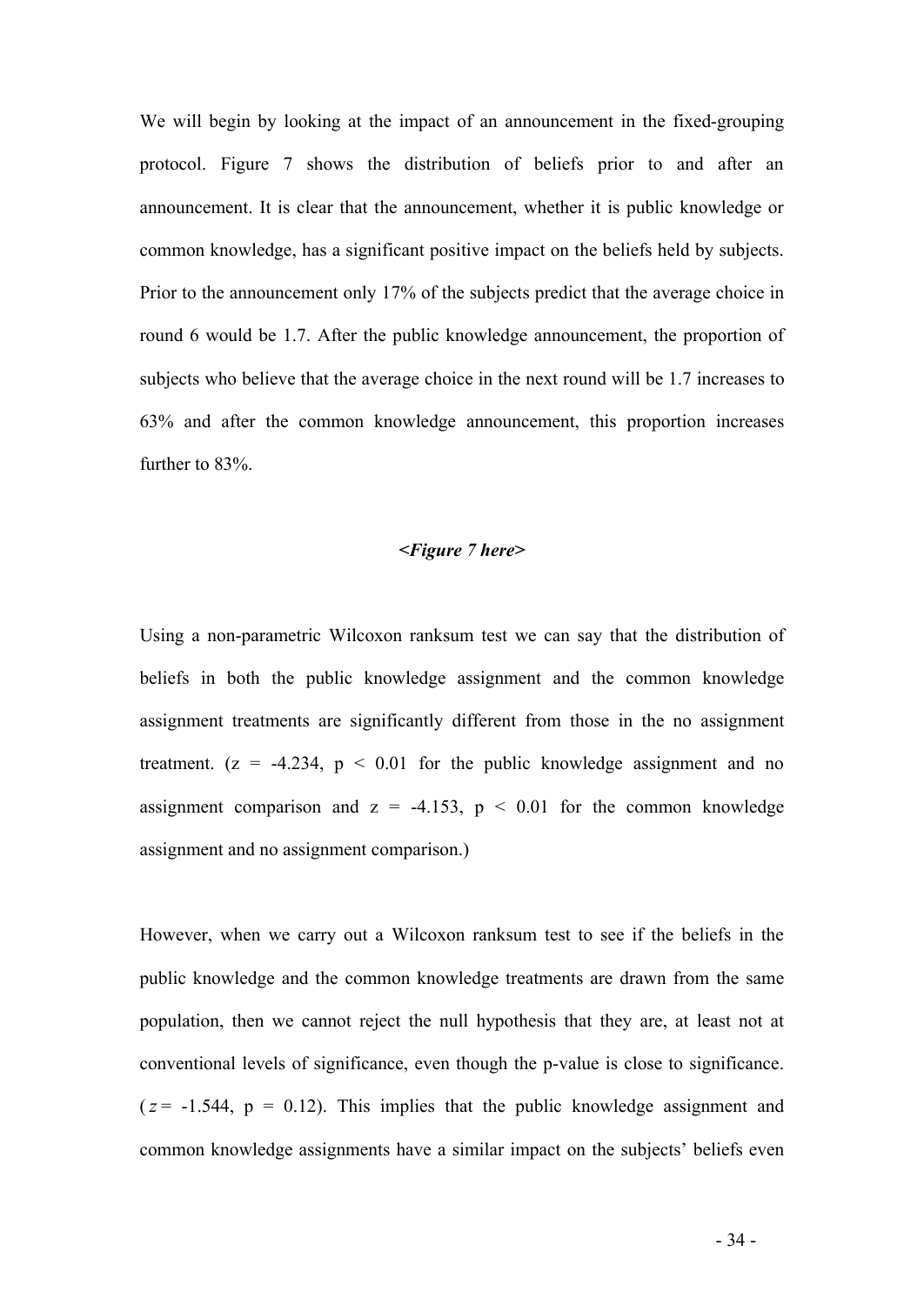We will begin by looking at the impact of an announcement in the fixed-grouping protocol. Figure 7 shows the distribution of beliefs prior to and after an announcement. It is clear that the announcement, whether it is public knowledge or common knowledge, has a significant positive impact on the beliefs held by subjects. Prior to the announcement only 17% of the subjects predict that the average choice in round 6 would be 1.7. After the public knowledge announcement, the proportion of subjects who believe that the average choice in the next round will be 1.7 increases to 63% and after the common knowledge announcement, this proportion increases further to 83%.

#### *<Figure 7 here>*

Using a non-parametric Wilcoxon ranksum test we can say that the distribution of beliefs in both the public knowledge assignment and the common knowledge assignment treatments are significantly different from those in the no assignment treatment.  $(z = -4.234, p < 0.01$  for the public knowledge assignment and no assignment comparison and  $z = -4.153$ ,  $p < 0.01$  for the common knowledge assignment and no assignment comparison.)

However, when we carry out a Wilcoxon ranksum test to see if the beliefs in the public knowledge and the common knowledge treatments are drawn from the same population, then we cannot reject the null hypothesis that they are, at least not at conventional levels of significance, even though the p-value is close to significance.  $(z = -1.544, p = 0.12)$ . This implies that the public knowledge assignment and common knowledge assignments have a similar impact on the subjects' beliefs even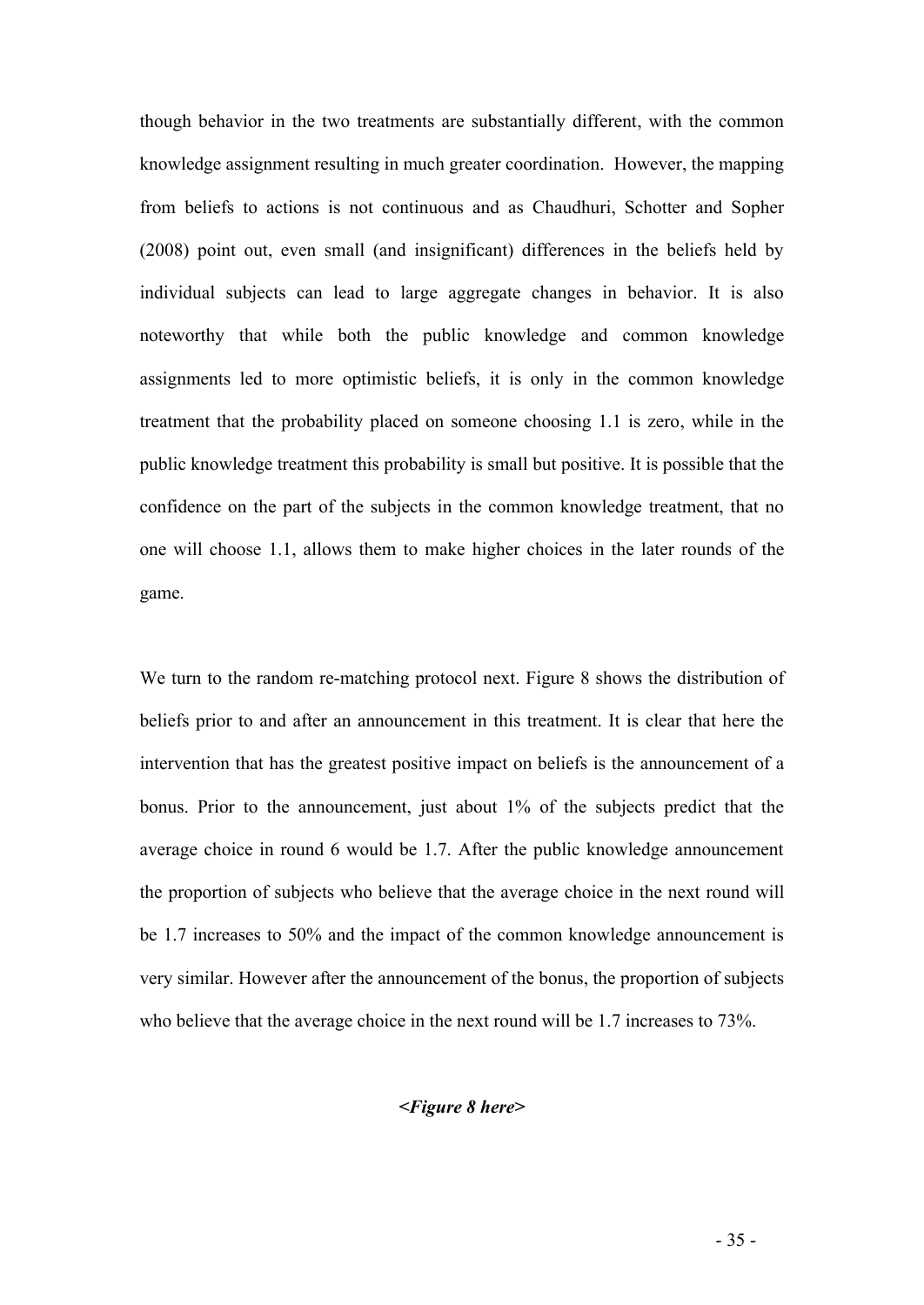though behavior in the two treatments are substantially different, with the common knowledge assignment resulting in much greater coordination. However, the mapping from beliefs to actions is not continuous and as Chaudhuri, Schotter and Sopher (2008) point out, even small (and insignificant) differences in the beliefs held by individual subjects can lead to large aggregate changes in behavior. It is also noteworthy that while both the public knowledge and common knowledge assignments led to more optimistic beliefs, it is only in the common knowledge treatment that the probability placed on someone choosing 1.1 is zero, while in the public knowledge treatment this probability is small but positive. It is possible that the confidence on the part of the subjects in the common knowledge treatment, that no one will choose 1.1, allows them to make higher choices in the later rounds of the game.

We turn to the random re-matching protocol next. Figure 8 shows the distribution of beliefs prior to and after an announcement in this treatment. It is clear that here the intervention that has the greatest positive impact on beliefs is the announcement of a bonus. Prior to the announcement, just about 1% of the subjects predict that the average choice in round 6 would be 1.7. After the public knowledge announcement the proportion of subjects who believe that the average choice in the next round will be 1.7 increases to 50% and the impact of the common knowledge announcement is very similar. However after the announcement of the bonus, the proportion of subjects who believe that the average choice in the next round will be 1.7 increases to 73%.

#### *<Figure 8 here>*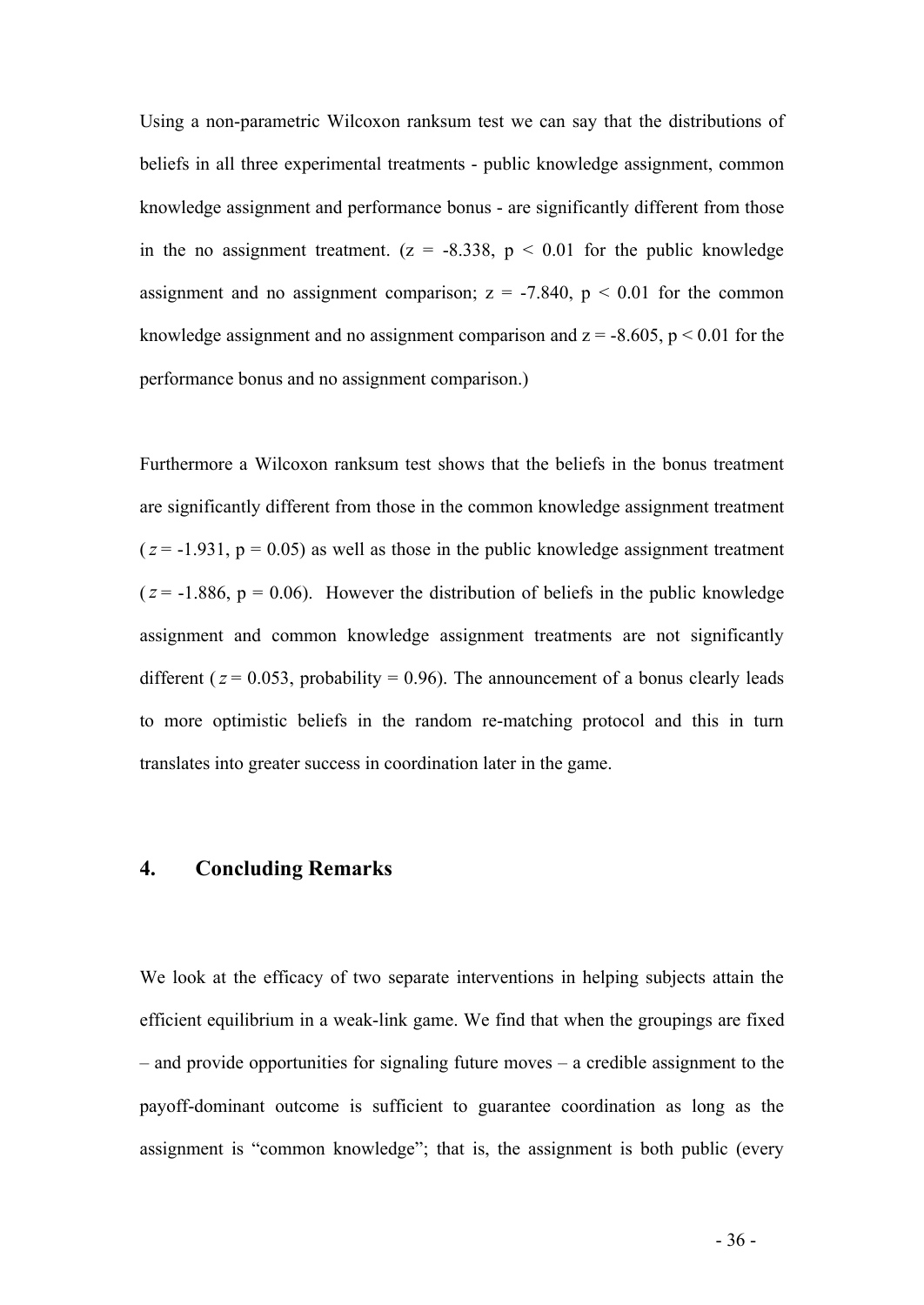Using a non-parametric Wilcoxon ranksum test we can say that the distributions of beliefs in all three experimental treatments - public knowledge assignment, common knowledge assignment and performance bonus - are significantly different from those in the no assignment treatment.  $(z = -8.338, p < 0.01$  for the public knowledge assignment and no assignment comparison;  $z = -7.840$ ,  $p < 0.01$  for the common knowledge assignment and no assignment comparison and  $z = -8.605$ ,  $p < 0.01$  for the performance bonus and no assignment comparison.)

Furthermore a Wilcoxon ranksum test shows that the beliefs in the bonus treatment are significantly different from those in the common knowledge assignment treatment  $(z = -1.931, p = 0.05)$  as well as those in the public knowledge assignment treatment  $(z = -1.886, p = 0.06)$ . However the distribution of beliefs in the public knowledge assignment and common knowledge assignment treatments are not significantly different ( $z = 0.053$ , probability = 0.96). The announcement of a bonus clearly leads to more optimistic beliefs in the random re-matching protocol and this in turn translates into greater success in coordination later in the game.

#### **4. Concluding Remarks**

We look at the efficacy of two separate interventions in helping subjects attain the efficient equilibrium in a weak-link game. We find that when the groupings are fixed – and provide opportunities for signaling future moves – a credible assignment to the payoff-dominant outcome is sufficient to guarantee coordination as long as the assignment is "common knowledge"; that is, the assignment is both public (every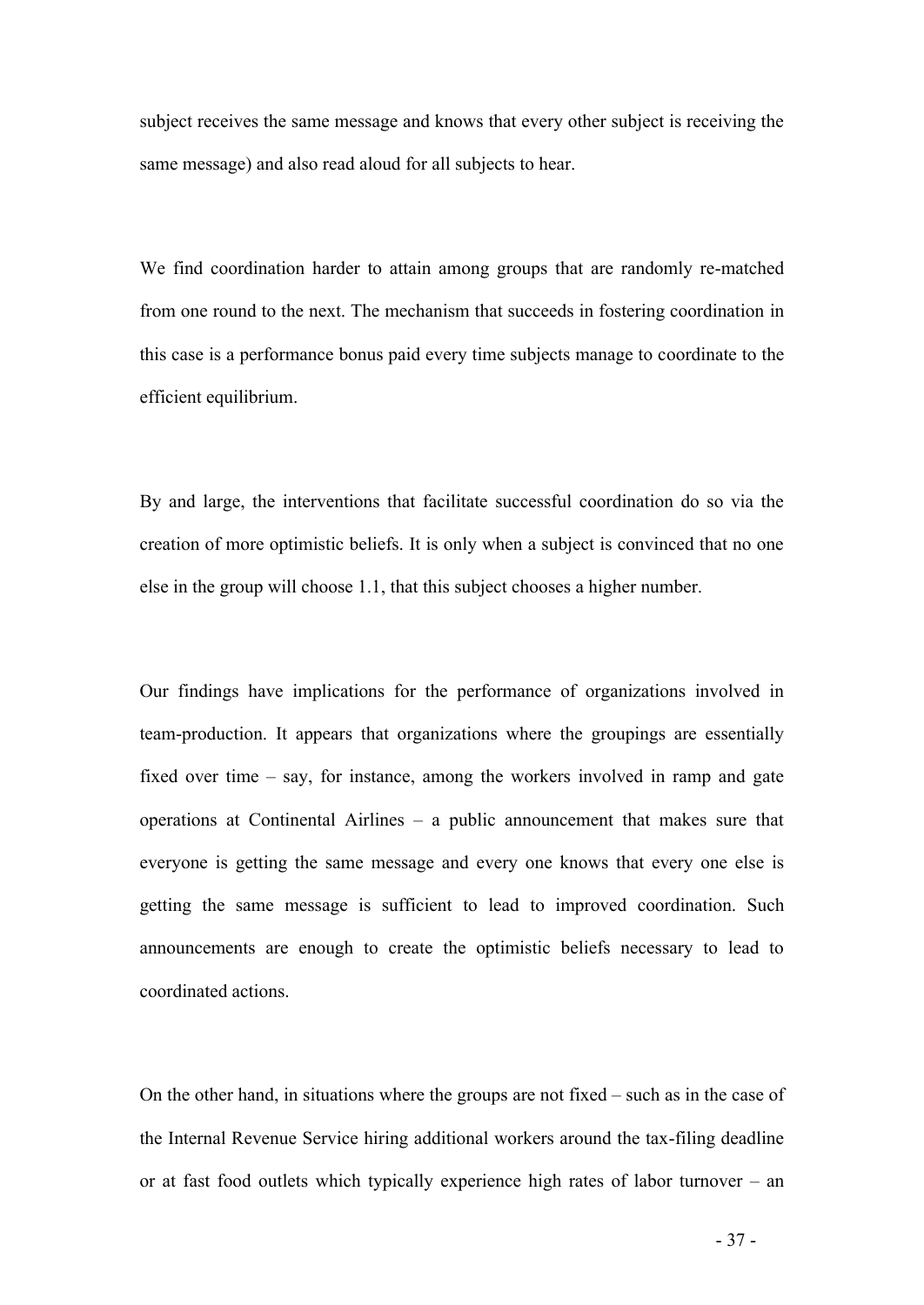subject receives the same message and knows that every other subject is receiving the same message) and also read aloud for all subjects to hear.

We find coordination harder to attain among groups that are randomly re-matched from one round to the next. The mechanism that succeeds in fostering coordination in this case is a performance bonus paid every time subjects manage to coordinate to the efficient equilibrium.

By and large, the interventions that facilitate successful coordination do so via the creation of more optimistic beliefs. It is only when a subject is convinced that no one else in the group will choose 1.1, that this subject chooses a higher number.

Our findings have implications for the performance of organizations involved in team-production. It appears that organizations where the groupings are essentially fixed over time – say, for instance, among the workers involved in ramp and gate operations at Continental Airlines – a public announcement that makes sure that everyone is getting the same message and every one knows that every one else is getting the same message is sufficient to lead to improved coordination. Such announcements are enough to create the optimistic beliefs necessary to lead to coordinated actions.

On the other hand, in situations where the groups are not fixed – such as in the case of the Internal Revenue Service hiring additional workers around the tax-filing deadline or at fast food outlets which typically experience high rates of labor turnover – an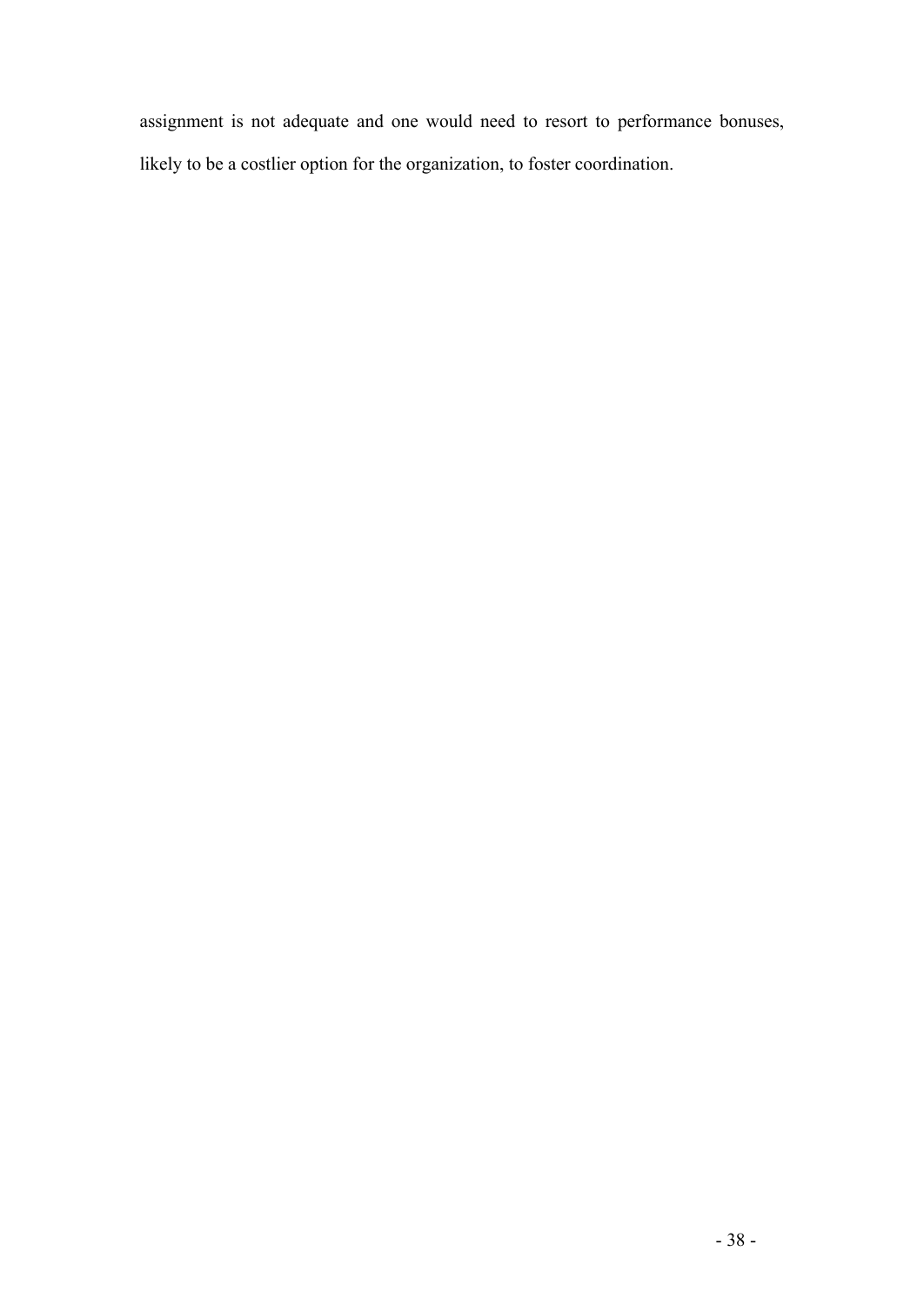assignment is not adequate and one would need to resort to performance bonuses, likely to be a costlier option for the organization, to foster coordination.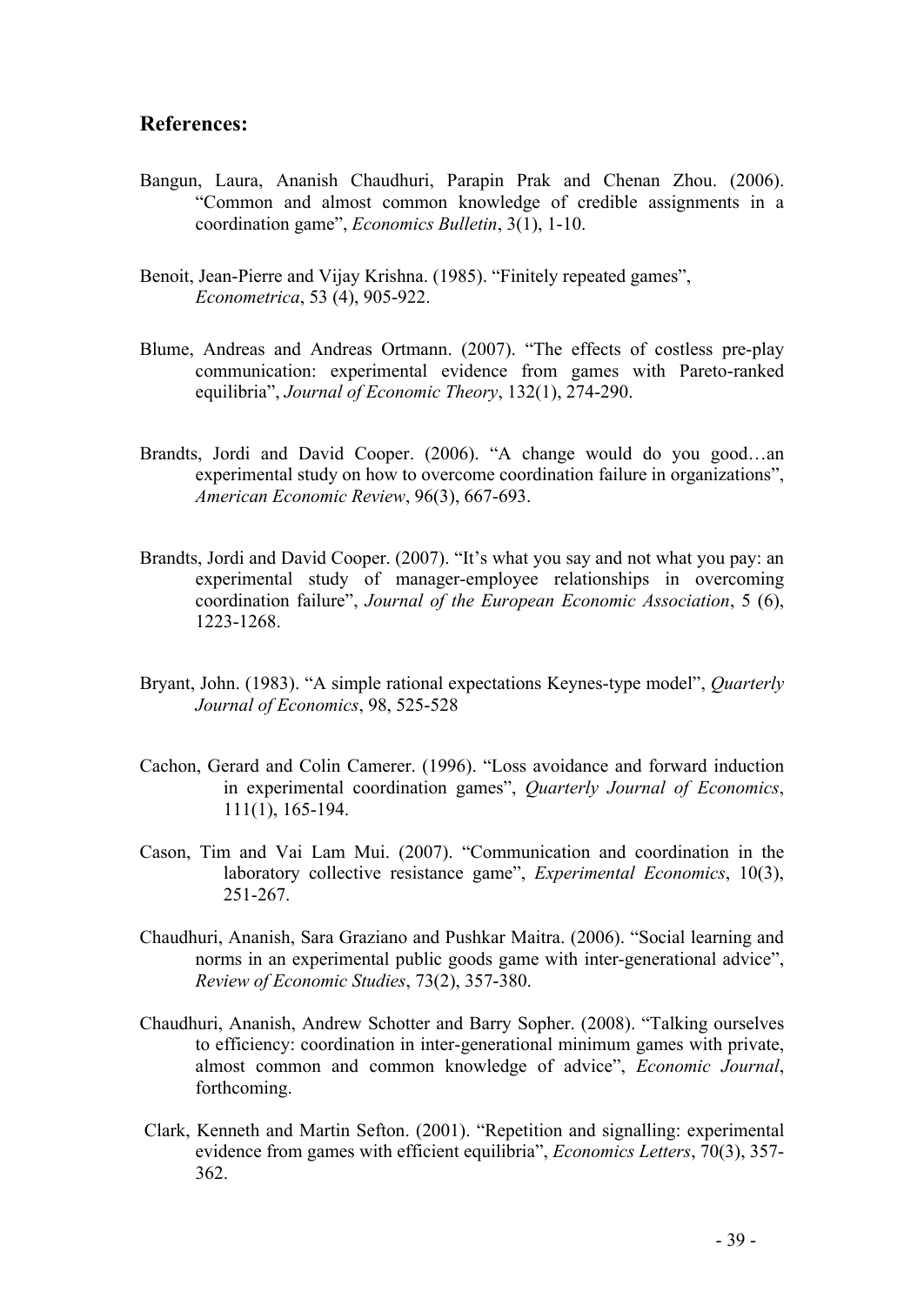#### **References:**

- Bangun, Laura, Ananish Chaudhuri, Parapin Prak and Chenan Zhou. (2006). "Common and almost common knowledge of credible assignments in a coordination game", *Economics Bulletin*, 3(1), 1-10.
- Benoit, Jean-Pierre and Vijay Krishna. (1985). "Finitely repeated games", *Econometrica*, 53 (4), 905-922.
- Blume, Andreas and Andreas Ortmann. (2007). "The effects of costless pre-play communication: experimental evidence from games with Pareto-ranked equilibria", *Journal of Economic Theory*, 132(1), 274-290.
- Brandts, Jordi and David Cooper. (2006). "A change would do you good…an experimental study on how to overcome coordination failure in organizations", *American Economic Review*, 96(3), 667-693.
- Brandts, Jordi and David Cooper. (2007). "It's what you say and not what you pay: an experimental study of manager-employee relationships in overcoming coordination failure", *Journal of the European Economic Association*, 5 (6), 1223-1268.
- Bryant, John. (1983). "A simple rational expectations Keynes-type model", *Quarterly Journal of Economics*, 98, 525-528
- Cachon, Gerard and Colin Camerer. (1996). "Loss avoidance and forward induction in experimental coordination games", *Quarterly Journal of Economics*, 111(1), 165-194.
- Cason, Tim and Vai Lam Mui. (2007). "Communication and coordination in the laboratory collective resistance game", *Experimental Economics*, 10(3), 251-267.
- Chaudhuri, Ananish, Sara Graziano and Pushkar Maitra. (2006). "Social learning and norms in an experimental public goods game with inter-generational advice", *Review of Economic Studies*, 73(2), 357-380.
- Chaudhuri, Ananish, Andrew Schotter and Barry Sopher. (2008). "Talking ourselves to efficiency: coordination in inter-generational minimum games with private, almost common and common knowledge of advice", *Economic Journal*, forthcoming.
- Clark, Kenneth and Martin Sefton. (2001). "Repetition and signalling: experimental evidence from games with efficient equilibria", *Economics Letters*, 70(3), 357- 362.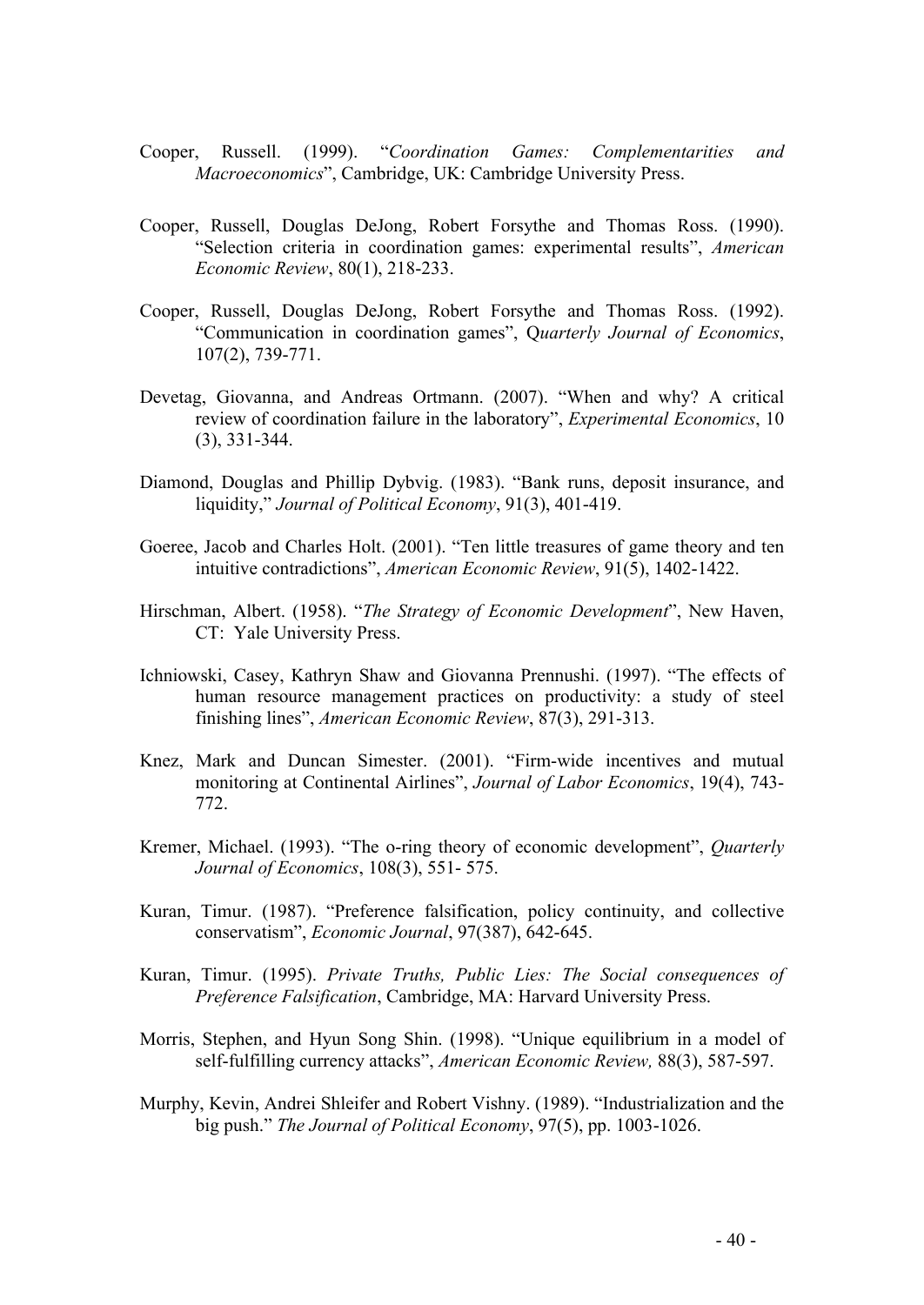- Cooper, Russell. (1999). "*Coordination Games: Complementarities and Macroeconomics*", Cambridge, UK: Cambridge University Press.
- Cooper, Russell, Douglas DeJong, Robert Forsythe and Thomas Ross. (1990). "Selection criteria in coordination games: experimental results", *American Economic Review*, 80(1), 218-233.
- Cooper, Russell, Douglas DeJong, Robert Forsythe and Thomas Ross. (1992). "Communication in coordination games", Q*uarterly Journal of Economics*, 107(2), 739-771.
- Devetag, Giovanna, and Andreas Ortmann. (2007). "When and why? A critical review of coordination failure in the laboratory", *Experimental Economics*, 10 (3), 331-344.
- Diamond, Douglas and Phillip Dybvig. (1983). "Bank runs, deposit insurance, and liquidity," *Journal of Political Economy*, 91(3), 401-419.
- Goeree, Jacob and Charles Holt. (2001). "Ten little treasures of game theory and ten intuitive contradictions", *American Economic Review*, 91(5), 1402-1422.
- Hirschman, Albert. (1958). "*The Strategy of Economic Development*", New Haven, CT: Yale University Press.
- Ichniowski, Casey, Kathryn Shaw and Giovanna Prennushi. (1997). "The effects of human resource management practices on productivity: a study of steel finishing lines", *American Economic Review*, 87(3), 291-313.
- Knez, Mark and Duncan Simester. (2001). "Firm-wide incentives and mutual monitoring at Continental Airlines", *Journal of Labor Economics*, 19(4), 743- 772.
- Kremer, Michael. (1993). "The o-ring theory of economic development", *Quarterly Journal of Economics*, 108(3), 551- 575.
- Kuran, Timur. (1987). "Preference falsification, policy continuity, and collective conservatism", *Economic Journal*, 97(387), 642-645.
- Kuran, Timur. (1995). *Private Truths, Public Lies: The Social consequences of Preference Falsification*, Cambridge, MA: Harvard University Press.
- Morris, Stephen, and Hyun Song Shin. (1998). "Unique equilibrium in a model of self-fulfilling currency attacks", *American Economic Review,* 88(3), 587-597.
- Murphy, Kevin, Andrei Shleifer and Robert Vishny. (1989). "Industrialization and the big push." *The Journal of Political Economy*, 97(5), pp. 1003-1026.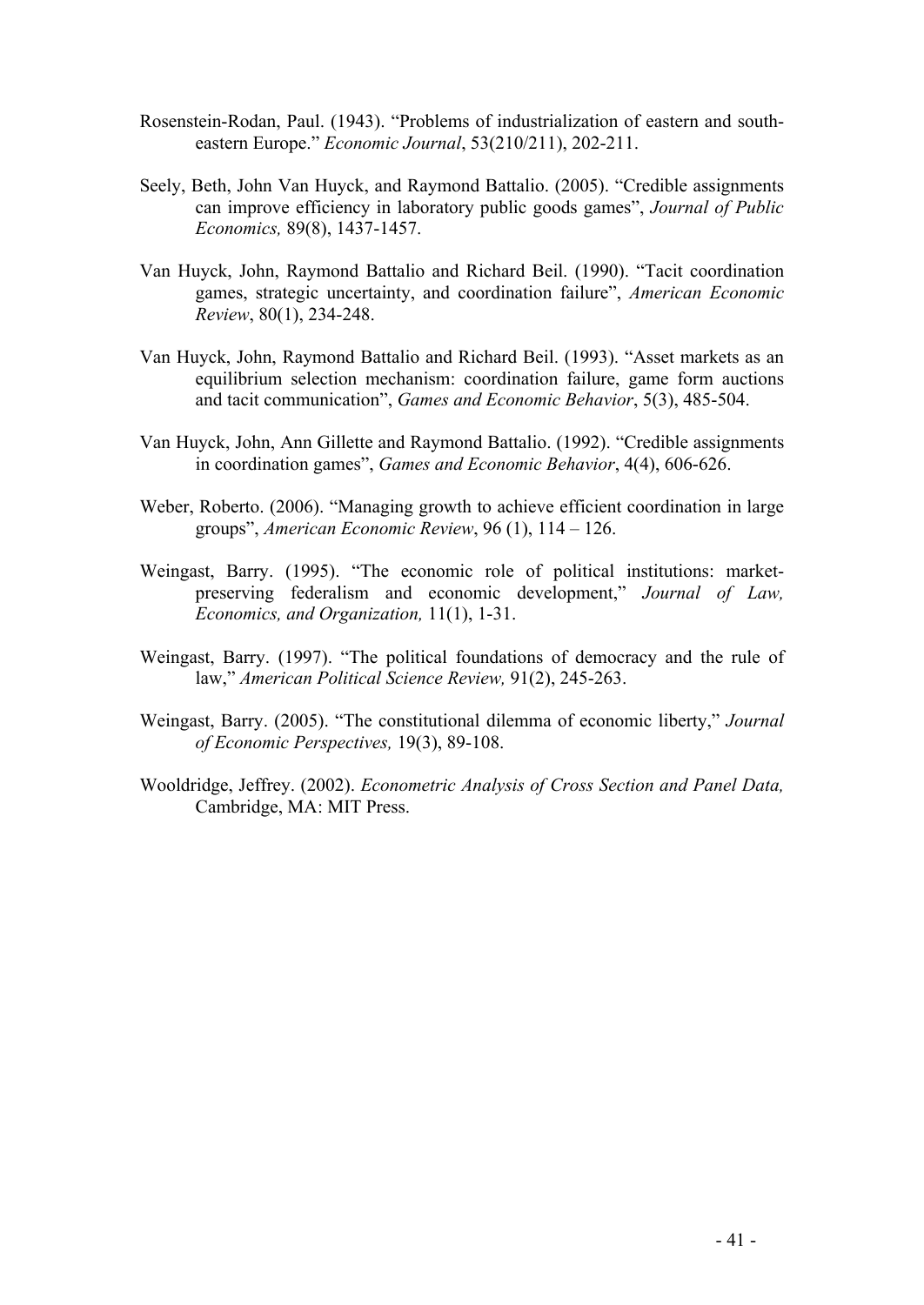- Rosenstein-Rodan, Paul. (1943). "Problems of industrialization of eastern and southeastern Europe." *Economic Journal*, 53(210/211), 202-211.
- Seely, Beth, John Van Huyck, and Raymond Battalio. (2005). "Credible assignments can improve efficiency in laboratory public goods games", *Journal of Public Economics,* 89(8), 1437-1457.
- Van Huyck, John, Raymond Battalio and Richard Beil. (1990). "Tacit coordination games, strategic uncertainty, and coordination failure", *American Economic Review*, 80(1), 234-248.
- Van Huyck, John, Raymond Battalio and Richard Beil. (1993). "Asset markets as an equilibrium selection mechanism: coordination failure, game form auctions and tacit communication", *Games and Economic Behavior*, 5(3), 485-504.
- Van Huyck, John, Ann Gillette and Raymond Battalio. (1992). "Credible assignments in coordination games", *Games and Economic Behavior*, 4(4), 606-626.
- Weber, Roberto. (2006). "Managing growth to achieve efficient coordination in large groups", *American Economic Review*, 96 (1), 114 – 126.
- Weingast, Barry. (1995). "The economic role of political institutions: marketpreserving federalism and economic development," *Journal of Law, Economics, and Organization,* 11(1), 1-31.
- Weingast, Barry. (1997). "The political foundations of democracy and the rule of law," *American Political Science Review,* 91(2), 245-263.
- Weingast, Barry. (2005). "The constitutional dilemma of economic liberty," *Journal of Economic Perspectives,* 19(3), 89-108.
- Wooldridge, Jeffrey. (2002). *Econometric Analysis of Cross Section and Panel Data,* Cambridge, MA: MIT Press.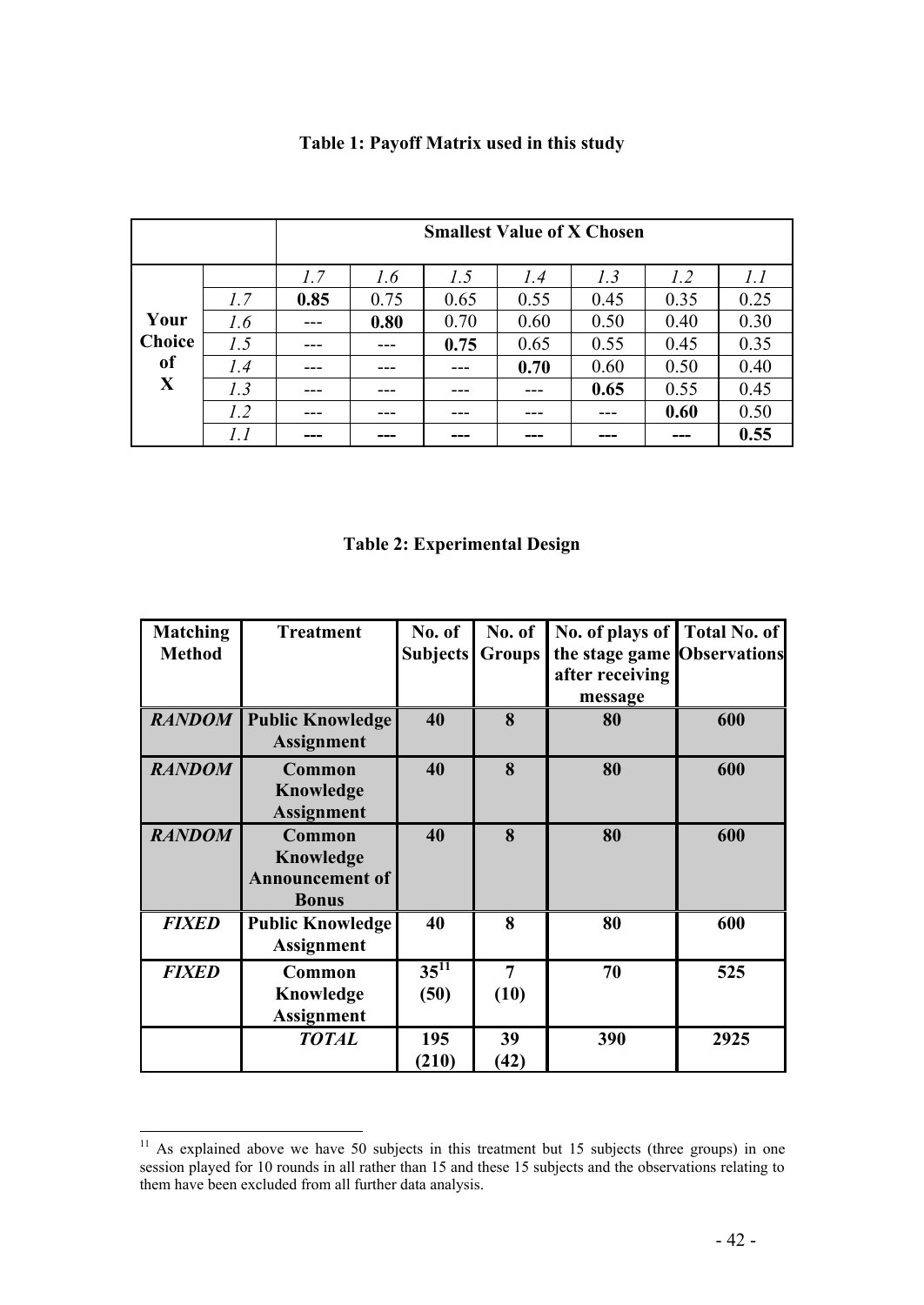|               |     |      | <b>Smallest Value of X Chosen</b> |      |      |      |      |      |  |
|---------------|-----|------|-----------------------------------|------|------|------|------|------|--|
|               |     | 1.7  | 1.6                               | 1.5  | 1.4  | 1.3  | 1.2  | 1.1  |  |
|               | 1.7 | 0.85 | 0.75                              | 0.65 | 0.55 | 0.45 | 0.35 | 0.25 |  |
| Your          | 1.6 |      | 0.80                              | 0.70 | 0.60 | 0.50 | 0.40 | 0.30 |  |
| <b>Choice</b> | 1.5 |      |                                   | 0.75 | 0.65 | 0.55 | 0.45 | 0.35 |  |
| <sub>of</sub> | 1.4 |      |                                   |      | 0.70 | 0.60 | 0.50 | 0.40 |  |
| X             | 1.3 |      |                                   |      |      | 0.65 | 0.55 | 0.45 |  |
|               | 1.2 |      |                                   |      |      |      | 0.60 | 0.50 |  |
|               |     |      |                                   |      |      |      | ---  | 0.55 |  |

## **Table 1: Payoff Matrix used in this study**

**Table 2: Experimental Design**

| <b>Matching</b> | <b>Treatment</b>        | No. of          | No. of         | No. of plays of Total No. of |      |
|-----------------|-------------------------|-----------------|----------------|------------------------------|------|
| <b>Method</b>   |                         | <b>Subjects</b> |                | the stage game Observations  |      |
|                 |                         |                 | <b>Groups</b>  |                              |      |
|                 |                         |                 |                | after receiving              |      |
|                 |                         |                 |                | message                      |      |
| <b>RANDOM</b>   | <b>Public Knowledge</b> | 40              | 8              | 80                           | 600  |
|                 | <b>Assignment</b>       |                 |                |                              |      |
| <b>RANDOM</b>   | Common                  | 40              | 8              | 80                           | 600  |
|                 | Knowledge               |                 |                |                              |      |
|                 | <b>Assignment</b>       |                 |                |                              |      |
| <b>RANDOM</b>   | Common                  | 40              | 8              | 80                           | 600  |
|                 | Knowledge               |                 |                |                              |      |
|                 | <b>Announcement of</b>  |                 |                |                              |      |
|                 | <b>Bonus</b>            |                 |                |                              |      |
|                 |                         |                 |                |                              |      |
| <b>FIXED</b>    | <b>Public Knowledge</b> | 40              | 8              | 80                           | 600  |
|                 | <b>Assignment</b>       |                 |                |                              |      |
| <b>FIXED</b>    | Common                  | $35^{11}$       | $\overline{7}$ | 70                           | 525  |
|                 | Knowledge               | (50)            | (10)           |                              |      |
|                 | <b>Assignment</b>       |                 |                |                              |      |
|                 |                         |                 |                |                              |      |
|                 | <b>TOTAL</b>            | 195             | 39             | 390                          | 2925 |
|                 |                         | (210)           | (42)           |                              |      |

 $\overline{a}$ 

 $11$  As explained above we have 50 subjects in this treatment but 15 subjects (three groups) in one session played for 10 rounds in all rather than 15 and these 15 subjects and the observations relating to them have been excluded from all further data analysis.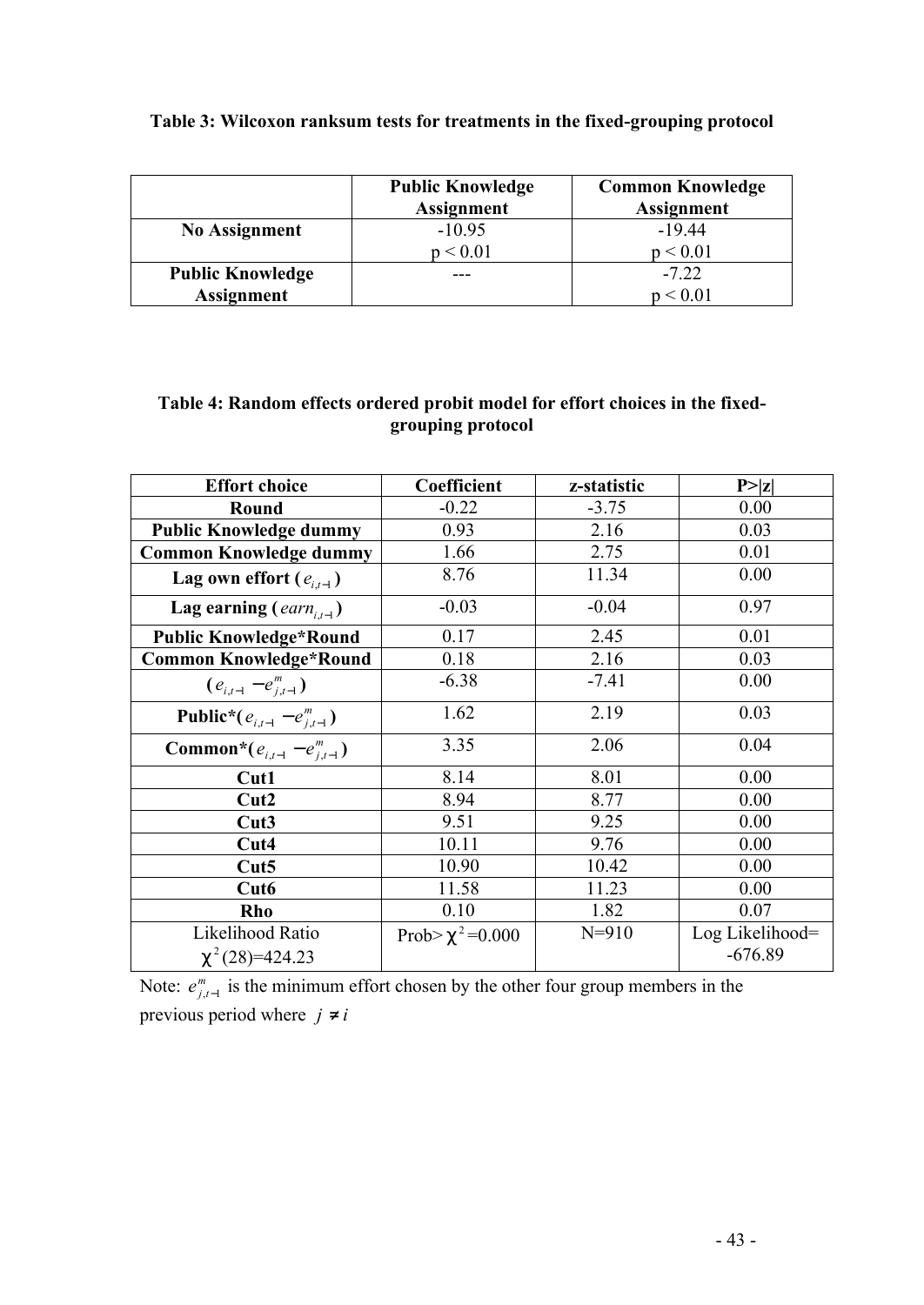|                         | <b>Public Knowledge</b><br><b>Assignment</b> | <b>Common Knowledge</b><br><b>Assignment</b> |
|-------------------------|----------------------------------------------|----------------------------------------------|
| <b>No Assignment</b>    | $-10.95$                                     | $-19.44$                                     |
|                         | ${}_{0.01}$                                  | p < 0.01                                     |
| <b>Public Knowledge</b> |                                              | $-7.22$                                      |
| <b>Assignment</b>       |                                              | < 0.01                                       |

## **Table 3: Wilcoxon ranksum tests for treatments in the fixed-grouping protocol**

## **Table 4: Random effects ordered probit model for effort choices in the fixedgrouping protocol**

| <b>Effort choice</b>                         | Coefficient                | z-statistic | P >  z          |
|----------------------------------------------|----------------------------|-------------|-----------------|
| Round                                        | $-0.22$                    | $-3.75$     | 0.00            |
| <b>Public Knowledge dummy</b>                | 0.93                       | 2.16        | 0.03            |
| <b>Common Knowledge dummy</b>                | 1.66                       | 2.75        | 0.01            |
| Lag own effort $(e_{i,t-1})$                 | 8.76                       | 11.34       | 0.00            |
| Lag earning ( $earn_{i,t-1}$ )               | $-0.03$                    | $-0.04$     | 0.97            |
| <b>Public Knowledge*Round</b>                | 0.17                       | 2.45        | 0.01            |
| <b>Common Knowledge*Round</b>                | 0.18                       | 2.16        | 0.03            |
| $(e_{i,t-1} - e_{i,t-1}^m)$                  | $-6.38$                    | $-7.41$     | 0.00            |
| <b>Public*</b> ( $e_{i,t-1} - e_{i,t-1}^m$ ) | 1.62                       | 2.19        | 0.03            |
| <b>Common*</b> $(e_{i,t-1} - e_{i,t-1}^m)$   | 3.35                       | 2.06        | 0.04            |
| Cut1                                         | 8.14                       | 8.01        | 0.00            |
| Cut2                                         | 8.94                       | 8.77        | 0.00            |
| Cut3                                         | 9.51                       | 9.25        | 0.00            |
| Cut4                                         | 10.11                      | 9.76        | 0.00            |
| Cut5                                         | 10.90                      | 10.42       | 0.00            |
| Cut <sub>6</sub>                             | 11.58                      | 11.23       | 0.00            |
| Rho                                          | 0.10                       | 1.82        | 0.07            |
| Likelihood Ratio                             | Prob>c <sup>2</sup> =0.000 | $N = 910$   | Log Likelihood= |
| $C^2(28)=424.23$                             |                            |             | $-676.89$       |

Note:  $e^m_{j,t-1}$  is the minimum effort chosen by the other four group members in the previous period where  $j \neq i$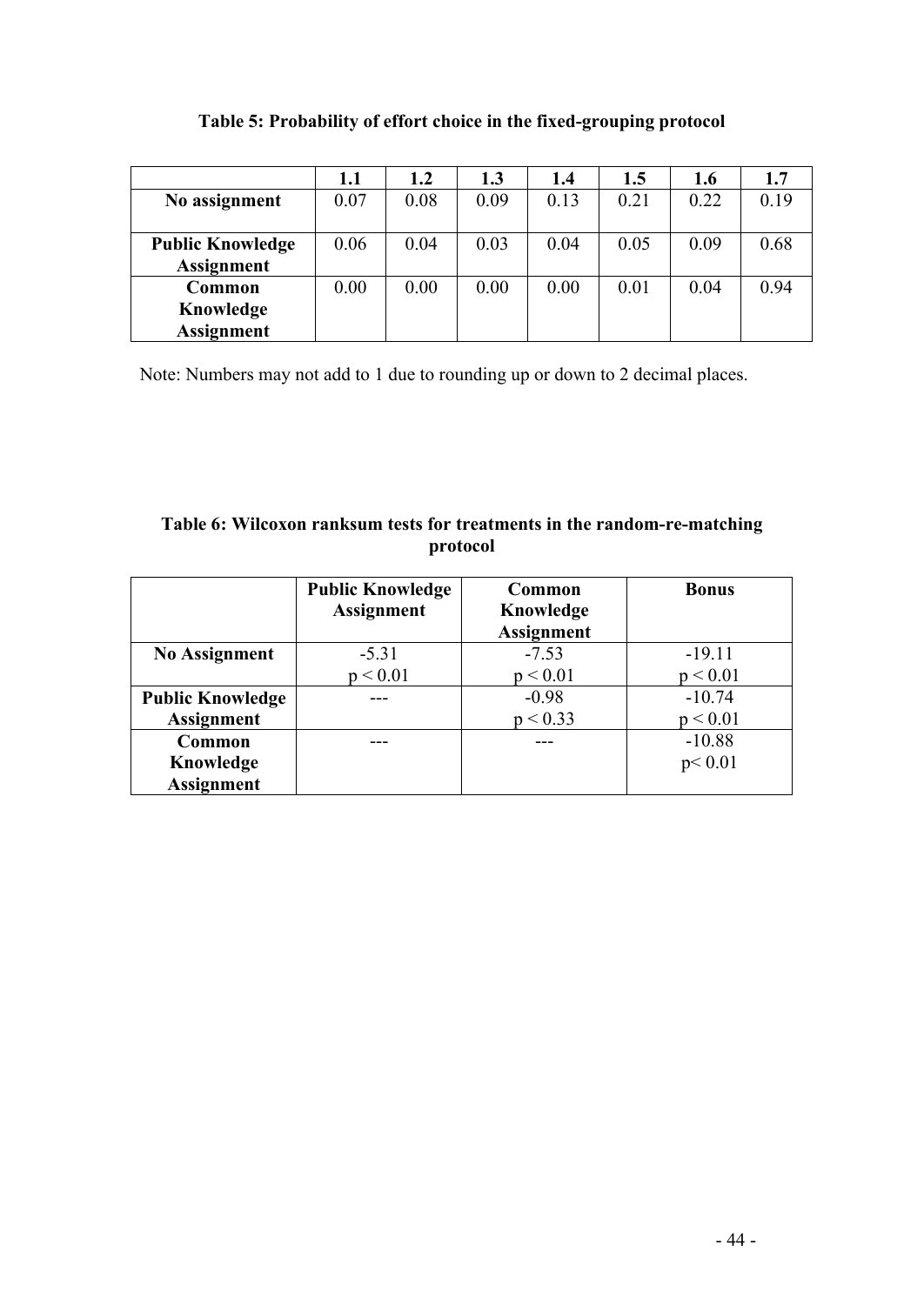| Table 5: Probability of effort choice in the fixed-grouping protocol |  |  |  |
|----------------------------------------------------------------------|--|--|--|

|                         | 1.1  | 1.2  | 1.3  | 1.4  | 1.5  | 1.6  | 1.7  |
|-------------------------|------|------|------|------|------|------|------|
| No assignment           | 0.07 | 0.08 | 0.09 | 0.13 | 0.21 | 0.22 | 0.19 |
|                         |      |      |      |      |      |      |      |
| <b>Public Knowledge</b> | 0.06 | 0.04 | 0.03 | 0.04 | 0.05 | 0.09 | 0.68 |
| <b>Assignment</b>       |      |      |      |      |      |      |      |
| Common                  | 0.00 | 0.00 | 0.00 | 0.00 | 0.01 | 0.04 | 0.94 |
| Knowledge               |      |      |      |      |      |      |      |
| <b>Assignment</b>       |      |      |      |      |      |      |      |

Note: Numbers may not add to 1 due to rounding up or down to 2 decimal places.

## **Table 6: Wilcoxon ranksum tests for treatments in the random-re-matching protocol**

|                         | <b>Public Knowledge</b><br><b>Assignment</b> | Common<br>Knowledge<br><b>Assignment</b> | <b>Bonus</b> |
|-------------------------|----------------------------------------------|------------------------------------------|--------------|
| <b>No Assignment</b>    | $-5.31$                                      | $-7.53$                                  | $-19.11$     |
|                         | p < 0.01                                     | p < 0.01                                 | p < 0.01     |
| <b>Public Knowledge</b> |                                              | $-0.98$                                  | $-10.74$     |
| <b>Assignment</b>       |                                              | p < 0.33                                 | p < 0.01     |
| Common                  |                                              |                                          | $-10.88$     |
| Knowledge               |                                              |                                          | p < 0.01     |
| <b>Assignment</b>       |                                              |                                          |              |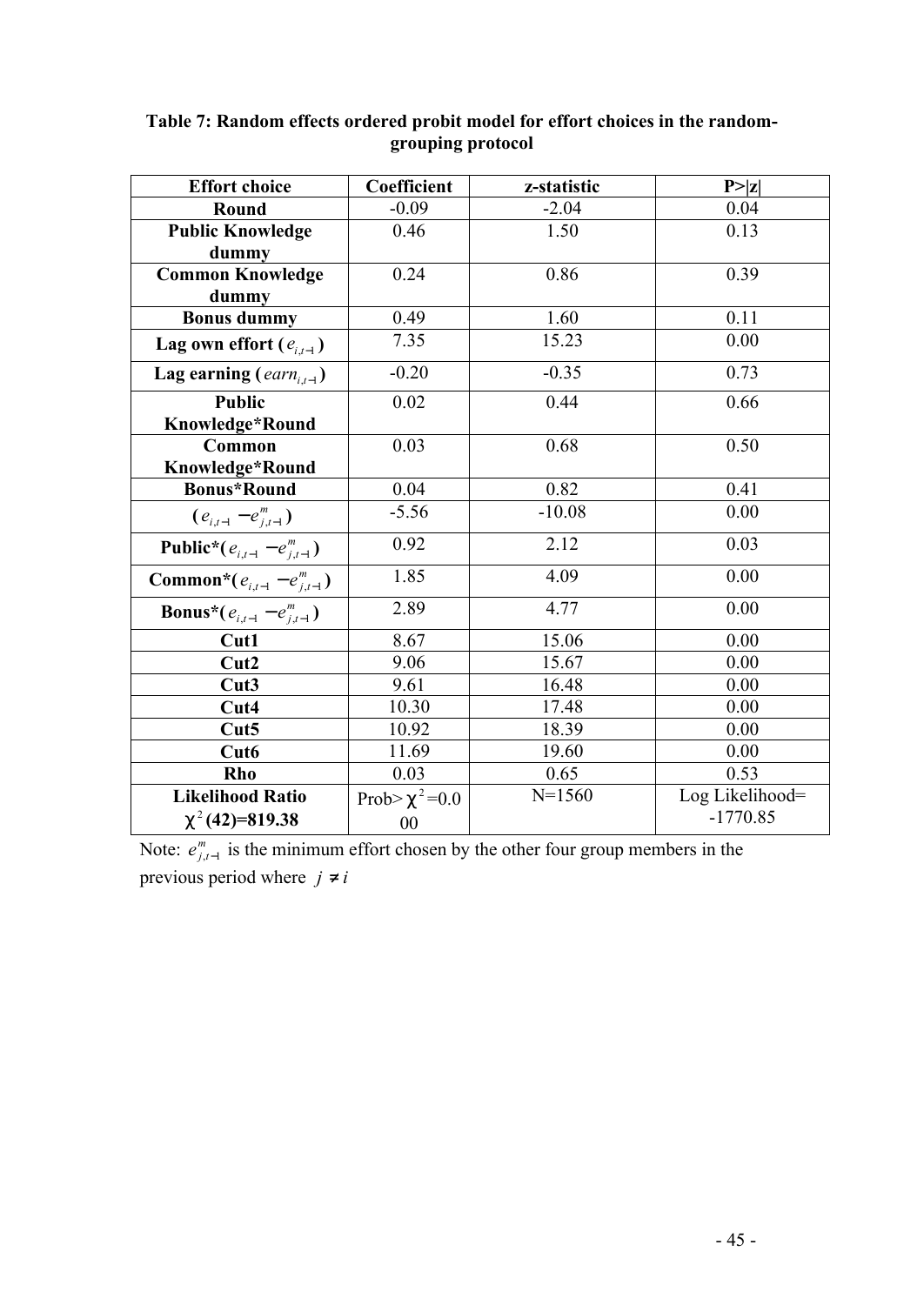| <b>Effort choice</b>                         | Coefficient              | z-statistic | P >  z          |
|----------------------------------------------|--------------------------|-------------|-----------------|
| Round                                        | $-0.09$                  | $-2.04$     | 0.04            |
| <b>Public Knowledge</b>                      | 0.46                     | 1.50        | 0.13            |
| dummy                                        |                          |             |                 |
| <b>Common Knowledge</b>                      | 0.24                     | 0.86        | 0.39            |
| dummy                                        |                          |             |                 |
| <b>Bonus dummy</b>                           | 0.49                     | 1.60        | 0.11            |
| Lag own effort $(e_{i,t-1})$                 | 7.35                     | 15.23       | 0.00            |
| Lag earning $(earn_{i,t-1})$                 | $-0.20$                  | $-0.35$     | 0.73            |
| <b>Public</b>                                | 0.02                     | 0.44        | 0.66            |
| Knowledge*Round                              |                          |             |                 |
| <b>Common</b>                                | 0.03                     | 0.68        | 0.50            |
| Knowledge*Round                              |                          |             |                 |
| <b>Bonus*Round</b>                           | 0.04                     | 0.82        | 0.41            |
| $(e_{i,t-1} - e_{j,t-1}^m)$                  | $-5.56$                  | $-10.08$    | 0.00            |
| <b>Public*</b> ( $e_{i,t-1} - e_{j,t-1}^m$ ) | 0.92                     | 2.12        | 0.03            |
| <b>Common*</b> $(e_{i,t-1} - e_{i,t-1}^m)$   | 1.85                     | 4.09        | 0.00            |
| <b>Bonus*</b> $(e_{i,t-1} - e_{j,t-1}^m)$    | 2.89                     | 4.77        | 0.00            |
| Cut1                                         | 8.67                     | 15.06       | 0.00            |
| Cut2                                         | 9.06                     | 15.67       | 0.00            |
| Cut3                                         | 9.61                     | 16.48       | 0.00            |
| Cut4                                         | 10.30                    | 17.48       | 0.00            |
| Cut5                                         | 10.92                    | 18.39       | 0.00            |
| Cut <sub>6</sub>                             | 11.69                    | 19.60       | 0.00            |
| Rho                                          | 0.03                     | 0.65        | 0.53            |
| <b>Likelihood Ratio</b>                      | Prob>c <sup>2</sup> =0.0 | $N = 1560$  | Log Likelihood= |
| $C^2(42)=819.38$                             | $00\,$                   |             | $-1770.85$      |

## **Table 7: Random effects ordered probit model for effort choices in the randomgrouping protocol**

Note:  $e^m_{j,t-1}$  is the minimum effort chosen by the other four group members in the previous period where  $j \neq i$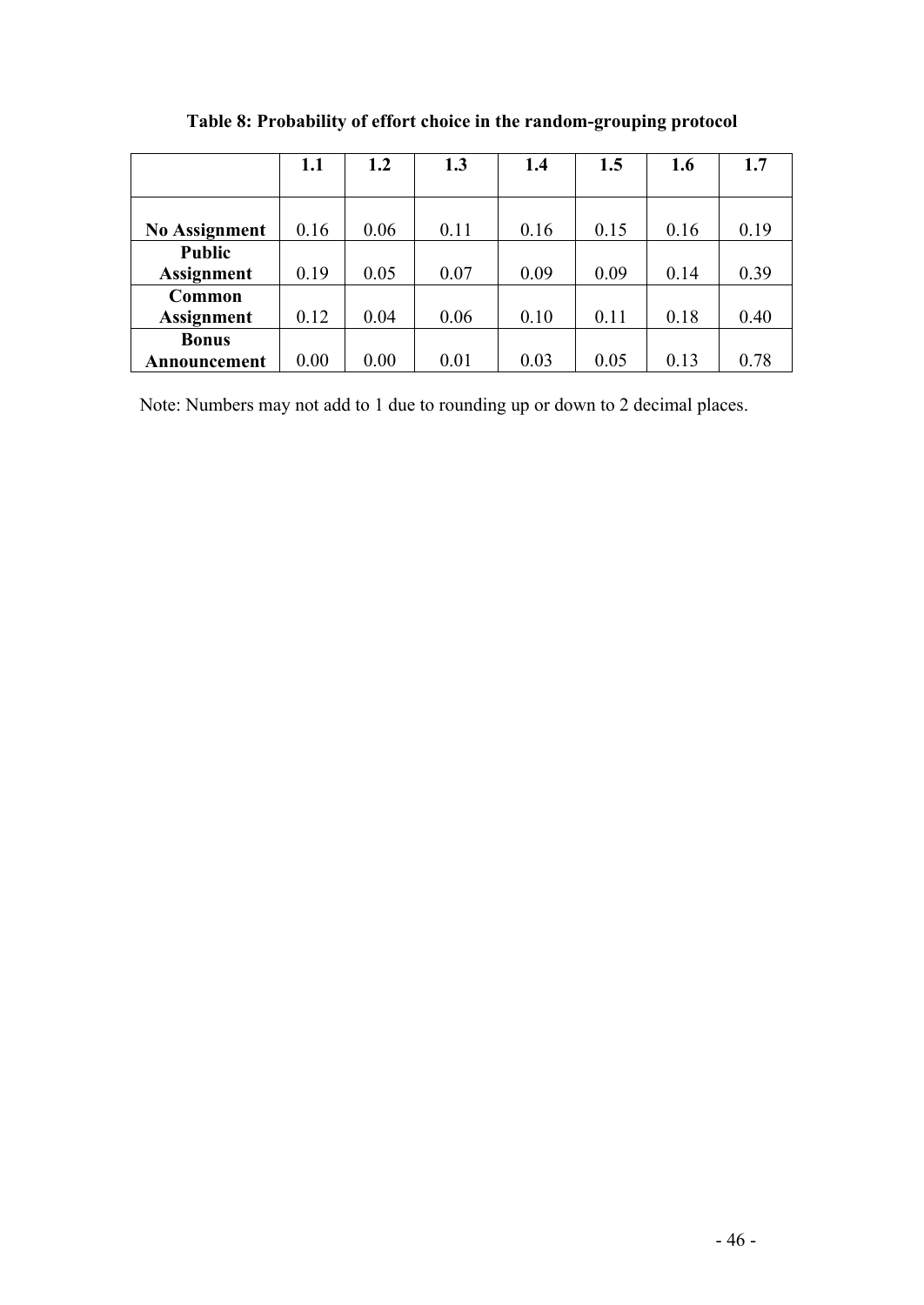|                      | 1.1  | 1.2  | 1.3  | 1.4  | 1.5  | 1.6  | 1.7  |
|----------------------|------|------|------|------|------|------|------|
|                      |      |      |      |      |      |      |      |
| <b>No Assignment</b> | 0.16 | 0.06 | 0.11 | 0.16 | 0.15 | 0.16 | 0.19 |
| <b>Public</b>        |      |      |      |      |      |      |      |
| <b>Assignment</b>    | 0.19 | 0.05 | 0.07 | 0.09 | 0.09 | 0.14 | 0.39 |
| Common               |      |      |      |      |      |      |      |
| <b>Assignment</b>    | 0.12 | 0.04 | 0.06 | 0.10 | 0.11 | 0.18 | 0.40 |
| <b>Bonus</b>         |      |      |      |      |      |      |      |
| Announcement         | 0.00 | 0.00 | 0.01 | 0.03 | 0.05 | 0.13 | 0.78 |

**Table 8: Probability of effort choice in the random-grouping protocol**

Note: Numbers may not add to 1 due to rounding up or down to 2 decimal places.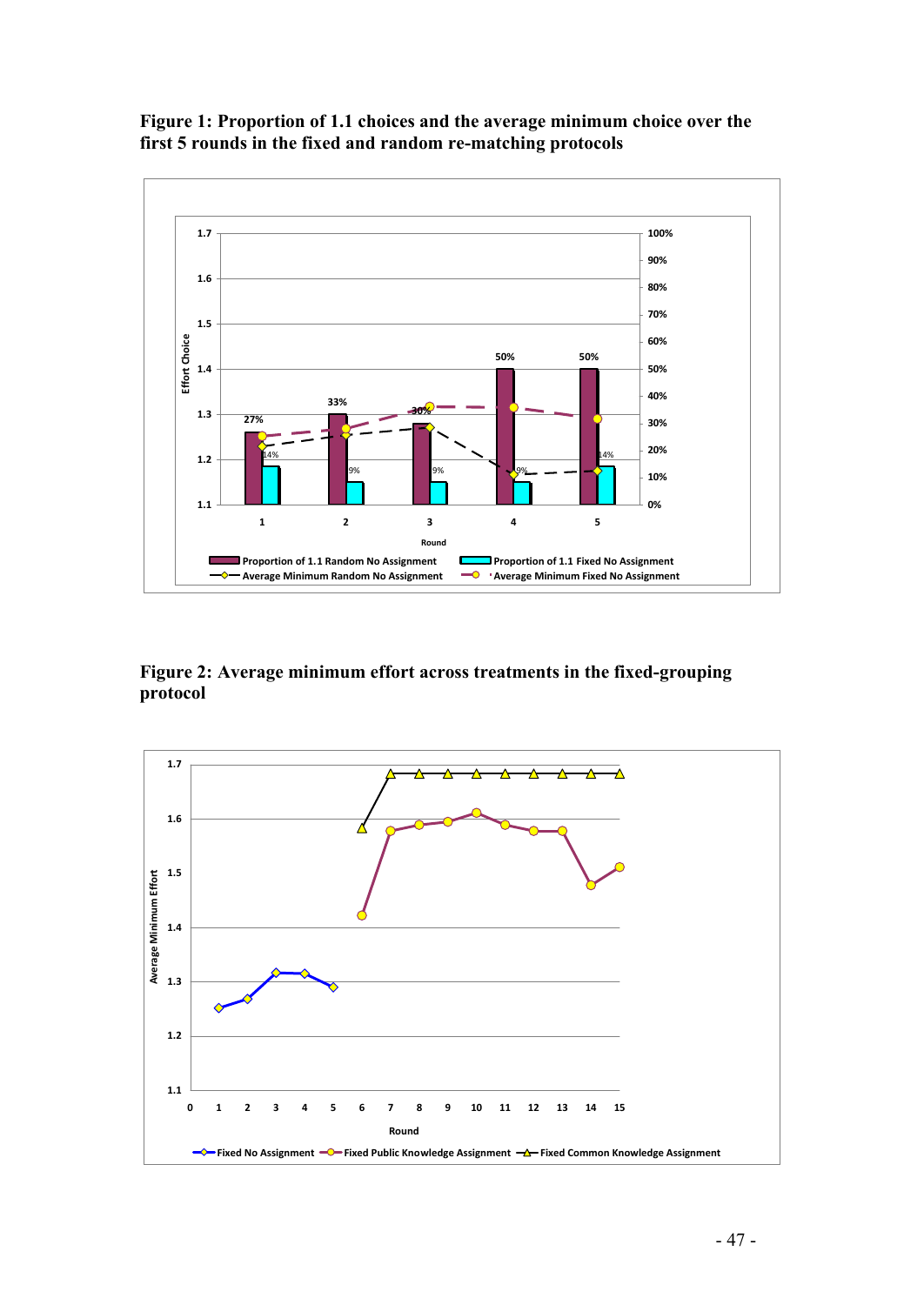

## **Figure 1: Proportion of 1.1 choices and the average minimum choice over the first 5 rounds in the fixed and random re-matching protocols**

**Figure 2: Average minimum effort across treatments in the fixed-grouping protocol**

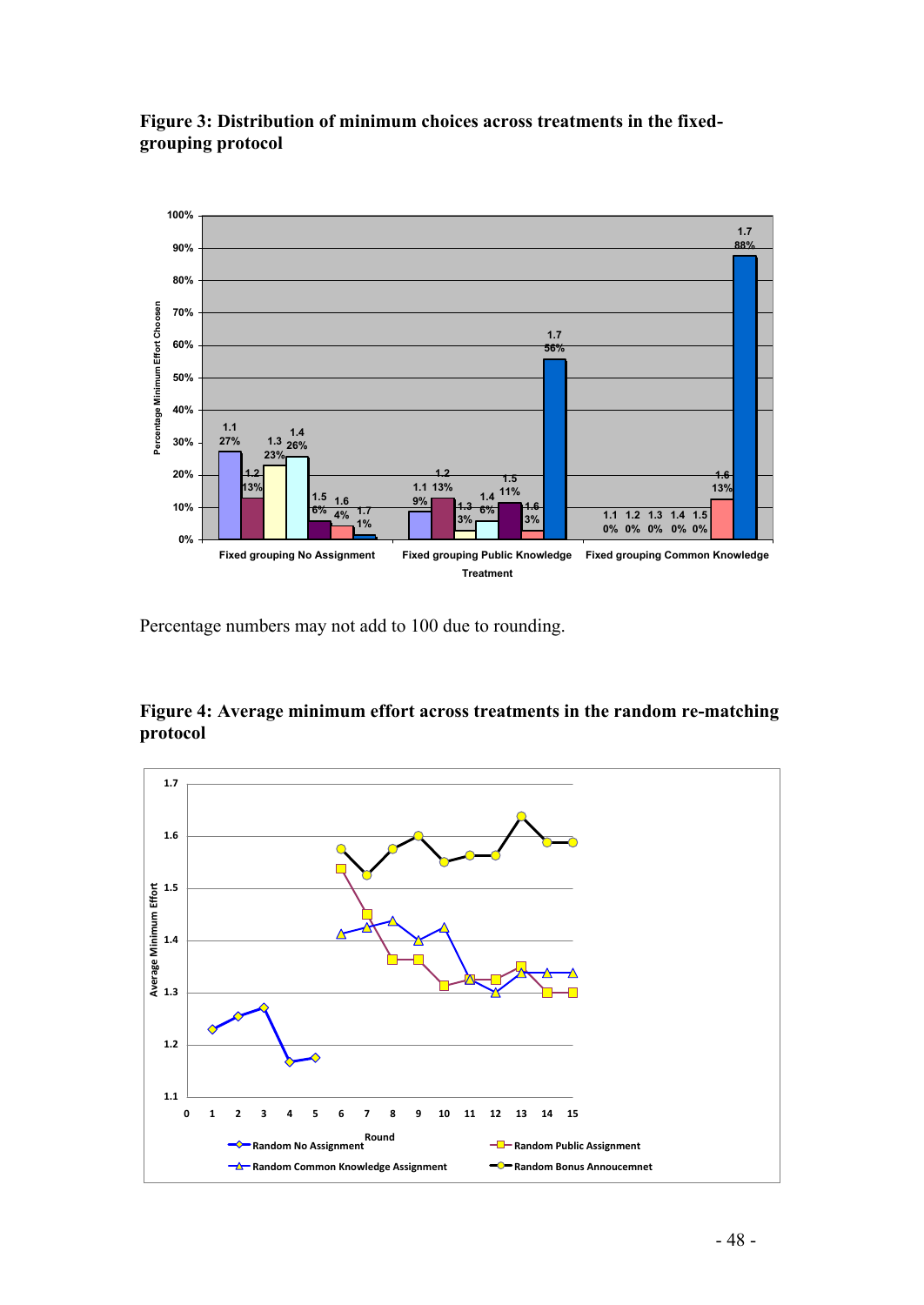

**Figure 3: Distribution of minimum choices across treatments in the fixedgrouping protocol**

Percentage numbers may not add to 100 due to rounding.

**Figure 4: Average minimum effort across treatments in the random re-matching protocol**

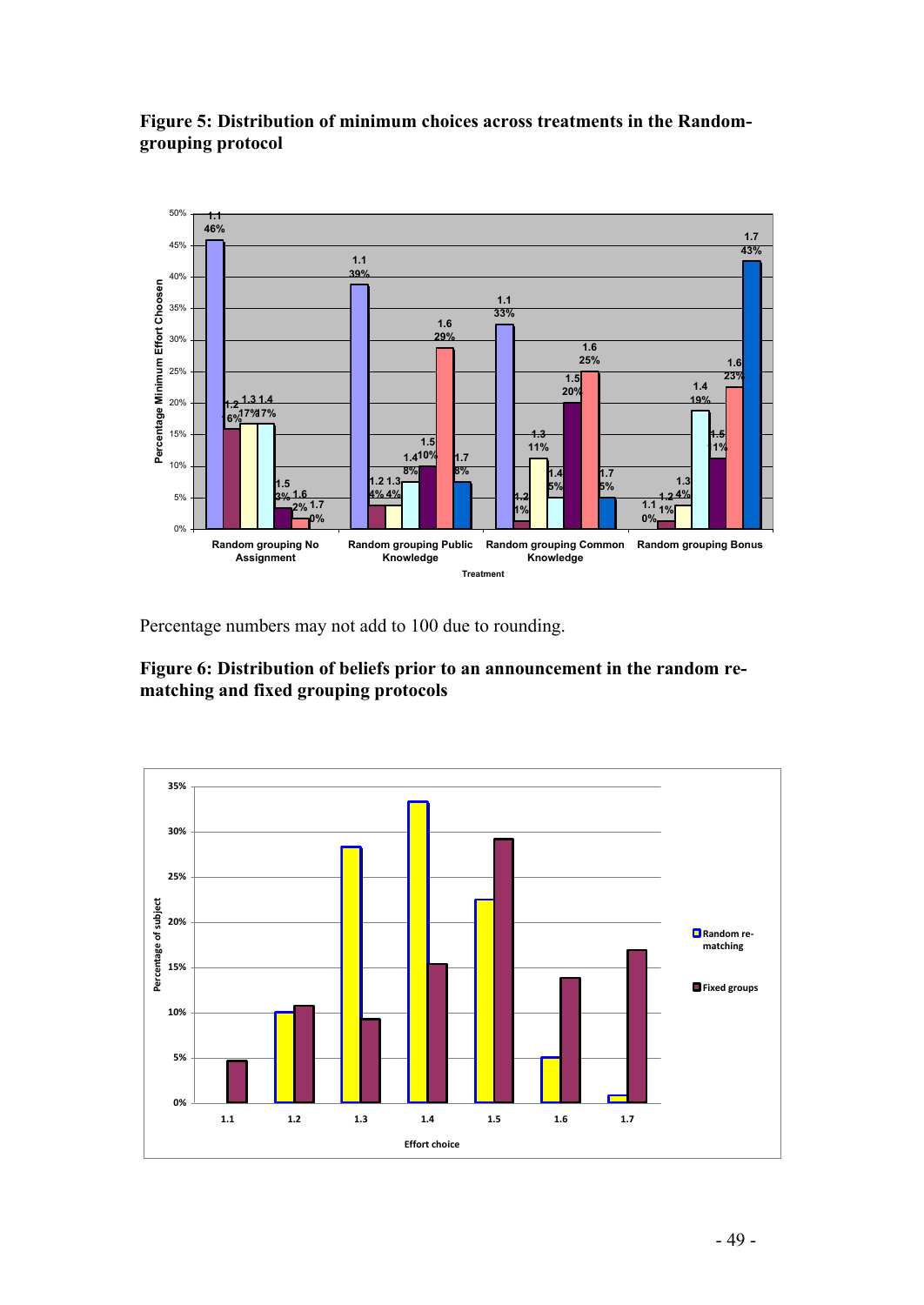

**Figure 5: Distribution of minimum choices across treatments in the Randomgrouping protocol**

Percentage numbers may not add to 100 due to rounding.

**Figure 6: Distribution of beliefs prior to an announcement in the random rematching and fixed grouping protocols**

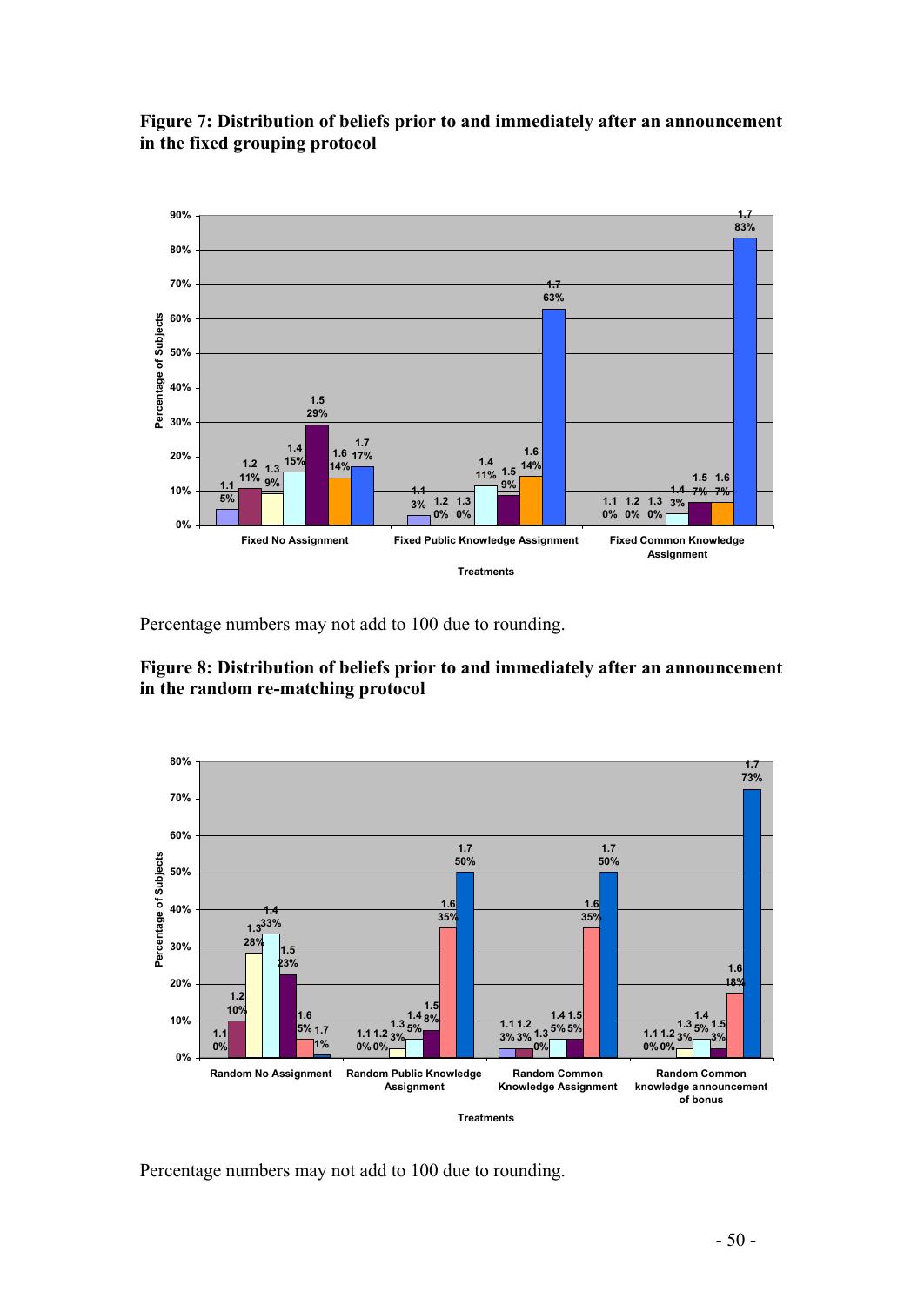

#### **Figure 7: Distribution of beliefs prior to and immediately after an announcement in the fixed grouping protocol**

Percentage numbers may not add to 100 due to rounding.





Percentage numbers may not add to 100 due to rounding.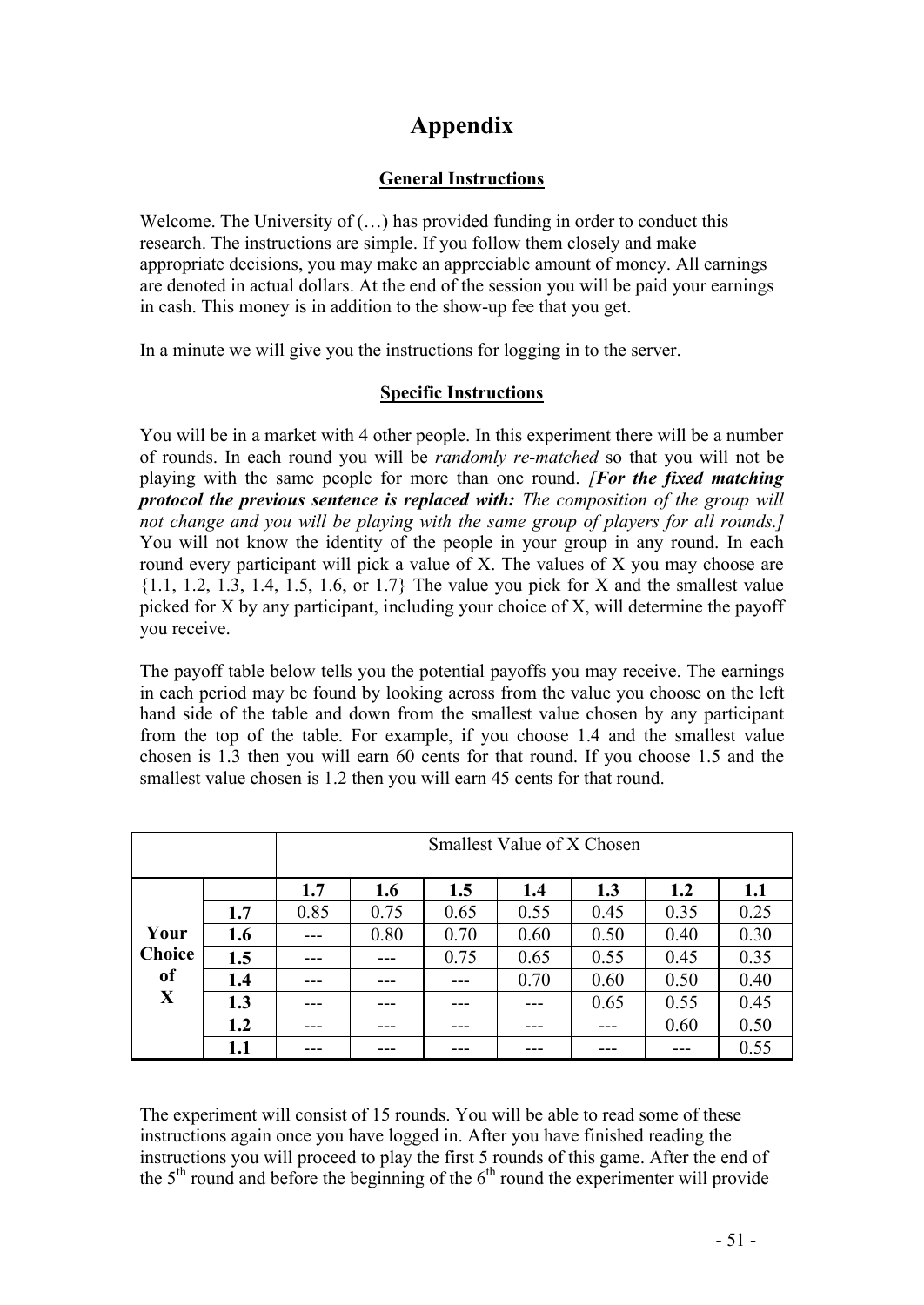## **Appendix**

## **General Instructions**

Welcome. The University of  $(...)$  has provided funding in order to conduct this research. The instructions are simple. If you follow them closely and make appropriate decisions, you may make an appreciable amount of money. All earnings are denoted in actual dollars. At the end of the session you will be paid your earnings in cash. This money is in addition to the show-up fee that you get.

In a minute we will give you the instructions for logging in to the server.

## **Specific Instructions**

You will be in a market with 4 other people. In this experiment there will be a number of rounds. In each round you will be *randomly re-matched* so that you will not be playing with the same people for more than one round. *[For the fixed matching protocol the previous sentence is replaced with: The composition of the group will not change and you will be playing with the same group of players for all rounds.]* You will not know the identity of the people in your group in any round. In each round every participant will pick a value of X. The values of X you may choose are  $\{1.1, 1.2, 1.3, 1.4, 1.5, 1.6, \text{ or } 1.7\}$  The value you pick for X and the smallest value picked for X by any participant, including your choice of X, will determine the payoff you receive.

The payoff table below tells you the potential payoffs you may receive. The earnings in each period may be found by looking across from the value you choose on the left hand side of the table and down from the smallest value chosen by any participant from the top of the table. For example, if you choose 1.4 and the smallest value chosen is 1.3 then you will earn 60 cents for that round. If you choose 1.5 and the smallest value chosen is 1.2 then you will earn 45 cents for that round.

|               |     | Smallest Value of X Chosen |      |      |      |      |      |      |
|---------------|-----|----------------------------|------|------|------|------|------|------|
|               |     | 1.7                        | 1.6  | 1.5  | 1.4  | 1.3  | 1.2  | 1.1  |
|               | 1.7 | 0.85                       | 0.75 | 0.65 | 0.55 | 0.45 | 0.35 | 0.25 |
| Your          | 1.6 |                            | 0.80 | 0.70 | 0.60 | 0.50 | 0.40 | 0.30 |
| <b>Choice</b> | 1.5 | ---                        |      | 0.75 | 0.65 | 0.55 | 0.45 | 0.35 |
| <sub>of</sub> | 1.4 | ---                        |      | ---  | 0.70 | 0.60 | 0.50 | 0.40 |
| X             | 1.3 |                            |      |      |      | 0.65 | 0.55 | 0.45 |
|               | 1.2 | ---                        |      |      |      |      | 0.60 | 0.50 |
|               | 1.1 | ---                        |      |      |      |      | ---  | 0.55 |

The experiment will consist of 15 rounds. You will be able to read some of these instructions again once you have logged in. After you have finished reading the instructions you will proceed to play the first 5 rounds of this game. After the end of the  $5<sup>th</sup>$  round and before the beginning of the  $6<sup>th</sup>$  round the experimenter will provide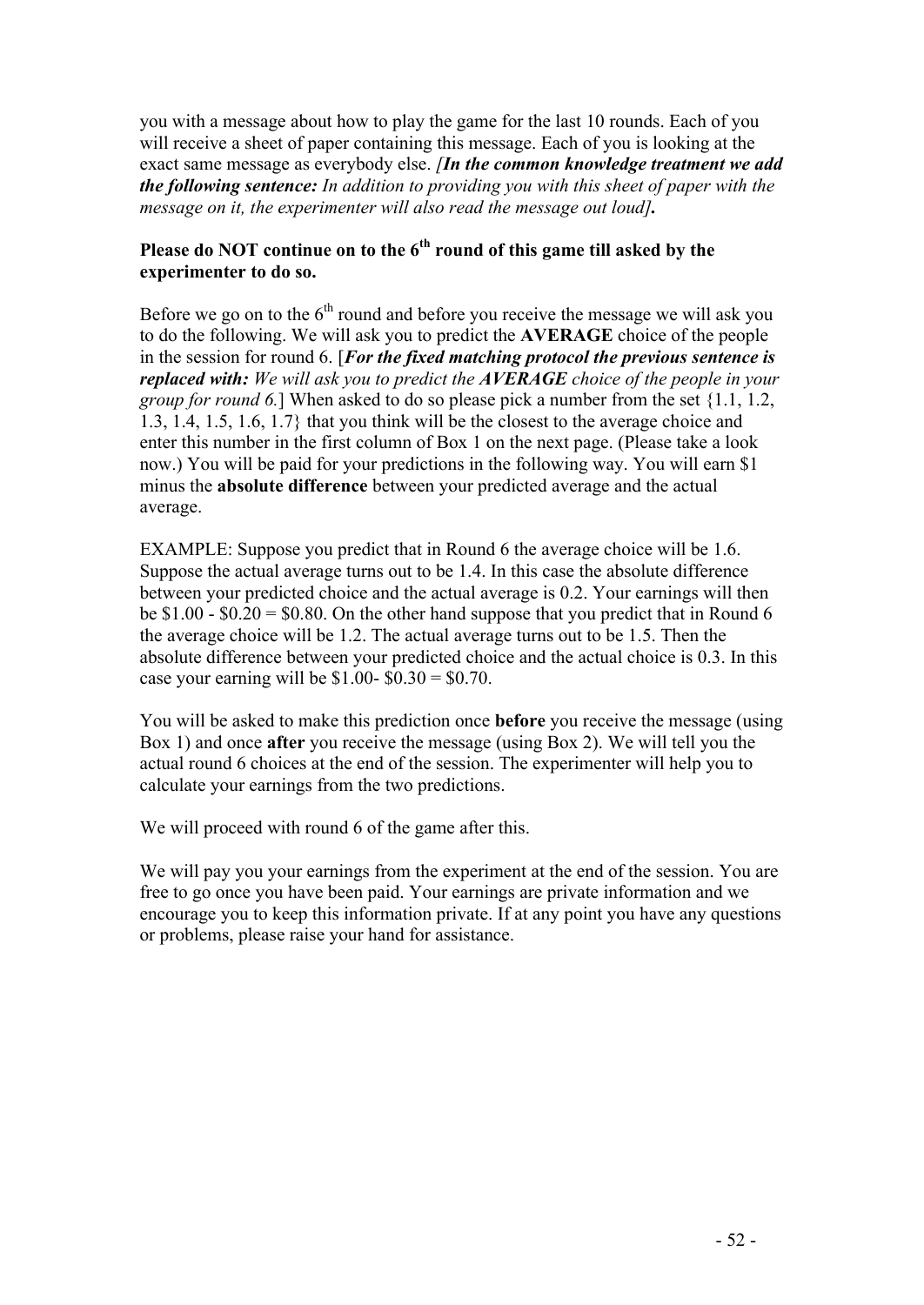you with a message about how to play the game for the last 10 rounds. Each of you will receive a sheet of paper containing this message. Each of you is looking at the exact same message as everybody else. *[In the common knowledge treatment we add the following sentence: In addition to providing you with this sheet of paper with the message on it, the experimenter will also read the message out loud].*

## **Please do NOT continue on to the 6th round of this game till asked by the experimenter to do so.**

Before we go on to the  $6<sup>th</sup>$  round and before you receive the message we will ask you to do the following. We will ask you to predict the **AVERAGE** choice of the people in the session for round 6. [*For the fixed matching protocol the previous sentence is replaced with: We will ask you to predict the AVERAGE choice of the people in your group for round 6.*] When asked to do so please pick a number from the set {1.1, 1.2, 1.3, 1.4, 1.5, 1.6, 1.7} that you think will be the closest to the average choice and enter this number in the first column of Box 1 on the next page. (Please take a look now.) You will be paid for your predictions in the following way. You will earn \$1 minus the **absolute difference** between your predicted average and the actual average.

EXAMPLE: Suppose you predict that in Round 6 the average choice will be 1.6. Suppose the actual average turns out to be 1.4. In this case the absolute difference between your predicted choice and the actual average is 0.2. Your earnings will then be  $$1.00 - $0.20 = $0.80$ . On the other hand suppose that you predict that in Round 6 the average choice will be 1.2. The actual average turns out to be 1.5. Then the absolute difference between your predicted choice and the actual choice is 0.3. In this case your earning will be \$1.00-  $$0.30 = $0.70$ .

You will be asked to make this prediction once **before** you receive the message (using Box 1) and once **after** you receive the message (using Box 2). We will tell you the actual round 6 choices at the end of the session. The experimenter will help you to calculate your earnings from the two predictions.

We will proceed with round 6 of the game after this.

We will pay you your earnings from the experiment at the end of the session. You are free to go once you have been paid. Your earnings are private information and we encourage you to keep this information private. If at any point you have any questions or problems, please raise your hand for assistance.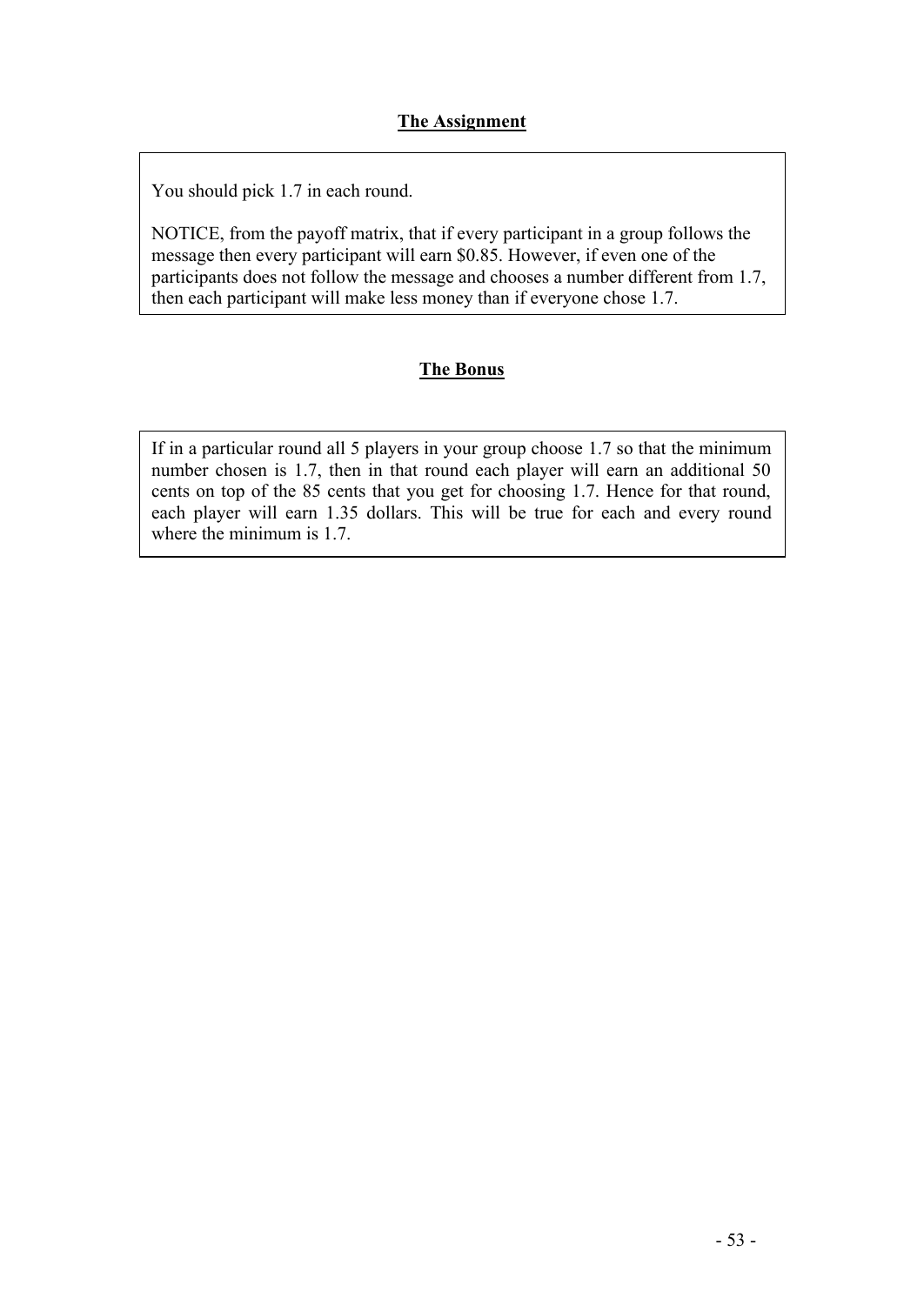You should pick 1.7 in each round.

NOTICE, from the payoff matrix, that if every participant in a group follows the message then every participant will earn \$0.85. However, if even one of the participants does not follow the message and chooses a number different from 1.7, then each participant will make less money than if everyone chose 1.7.

## **The Bonus**

If in a particular round all 5 players in your group choose 1.7 so that the minimum number chosen is 1.7, then in that round each player will earn an additional 50 cents on top of the 85 cents that you get for choosing 1.7. Hence for that round, each player will earn 1.35 dollars. This will be true for each and every round where the minimum is 1.7.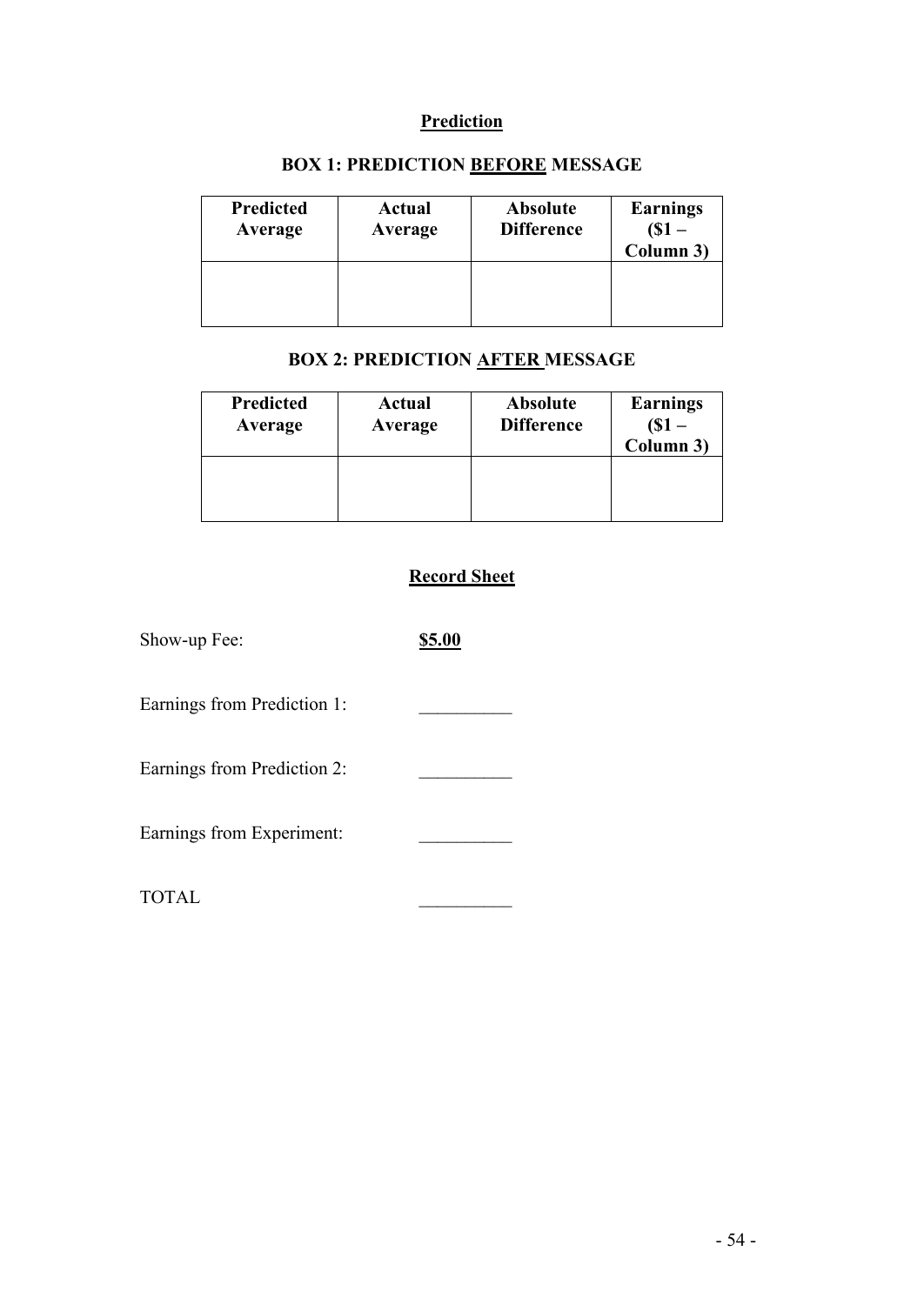## **Prediction**

| <b>Predicted</b> | <b>Actual</b> | <b>Absolute</b>   | <b>Earnings</b> |
|------------------|---------------|-------------------|-----------------|
| Average          | Average       | <b>Difference</b> | Column 3)       |
|                  |               |                   |                 |

## **BOX 1: PREDICTION BEFORE MESSAGE**

## **BOX 2: PREDICTION AFTER MESSAGE**

| <b>Predicted</b> | Actual  | <b>Absolute</b>   | <b>Earnings</b> |
|------------------|---------|-------------------|-----------------|
| Average          | Average | <b>Difference</b> | Column 3)       |
|                  |         |                   |                 |

## **Record Sheet**

| Show-up Fee:                | \$5.00 |
|-----------------------------|--------|
| Earnings from Prediction 1: |        |
| Earnings from Prediction 2: |        |
| Earnings from Experiment:   |        |
| <b>TOTAL</b>                |        |